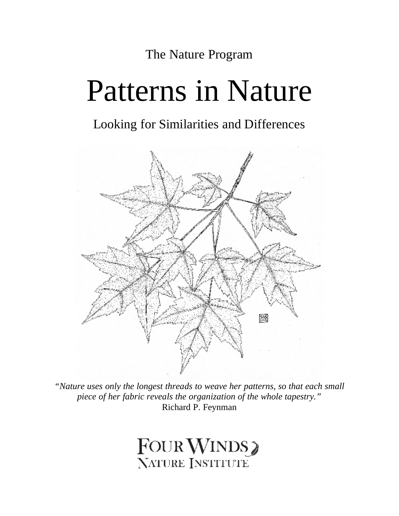The Nature Program

# Patterns in Nature

### Looking for Similarities and Differences



*"Nature uses only the longest threads to weave her patterns, so that each small piece of her fabric reveals the organization of the whole tapestry."*  Richard P. Feynman

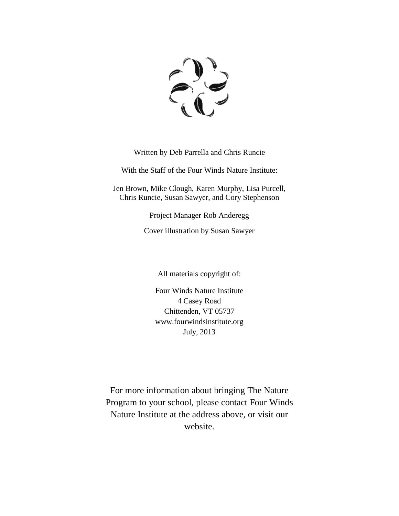

Written by Deb Parrella and Chris Runcie

With the Staff of the Four Winds Nature Institute:

Jen Brown, Mike Clough, Karen Murphy, Lisa Purcell, Chris Runcie, Susan Sawyer, and Cory Stephenson

Project Manager Rob Anderegg

Cover illustration by Susan Sawyer

All materials copyright of:

Four Winds Nature Institute 4 Casey Road Chittenden, VT 05737 www.fourwindsinstitute.org July, 2013

For more information about bringing The Nature Program to your school, please contact Four Winds Nature Institute at the address above, or visit our website.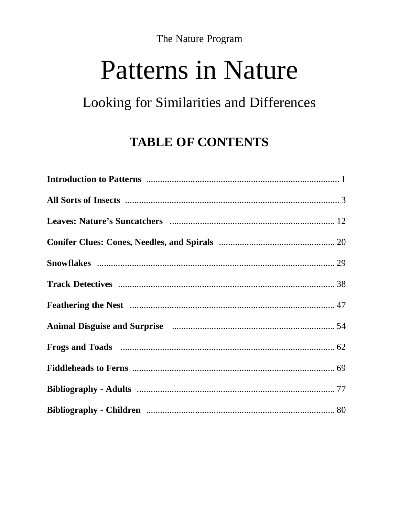The Nature Program

## **Patterns in Nature**

## Looking for Similarities and Differences

## **TABLE OF CONTENTS**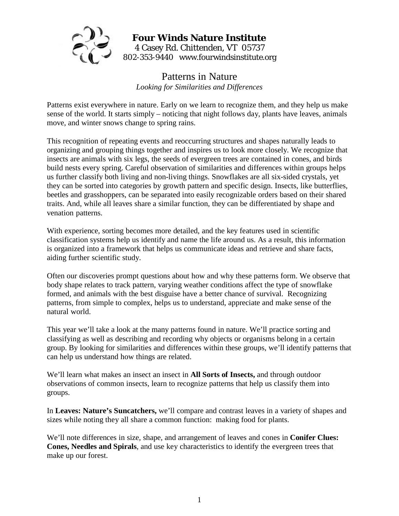

#### **Four Winds Nature Institute**  4 Casey Rd. Chittenden, VT 05737 802-353-9440 www.fourwindsinstitute.org

#### Patterns in Nature *Looking for Similarities and Differences*

Patterns exist everywhere in nature. Early on we learn to recognize them, and they help us make sense of the world. It starts simply – noticing that night follows day, plants have leaves, animals move, and winter snows change to spring rains.

This recognition of repeating events and reoccurring structures and shapes naturally leads to organizing and grouping things together and inspires us to look more closely. We recognize that insects are animals with six legs, the seeds of evergreen trees are contained in cones, and birds build nests every spring. Careful observation of similarities and differences within groups helps us further classify both living and non-living things. Snowflakes are all six-sided crystals, yet they can be sorted into categories by growth pattern and specific design. Insects, like butterflies, beetles and grasshoppers, can be separated into easily recognizable orders based on their shared traits. And, while all leaves share a similar function, they can be differentiated by shape and venation patterns.

With experience, sorting becomes more detailed, and the key features used in scientific classification systems help us identify and name the life around us. As a result, this information is organized into a framework that helps us communicate ideas and retrieve and share facts, aiding further scientific study.

Often our discoveries prompt questions about how and why these patterns form. We observe that body shape relates to track pattern, varying weather conditions affect the type of snowflake formed, and animals with the best disguise have a better chance of survival. Recognizing patterns, from simple to complex, helps us to understand, appreciate and make sense of the natural world.

This year we'll take a look at the many patterns found in nature. We'll practice sorting and classifying as well as describing and recording why objects or organisms belong in a certain group. By looking for similarities and differences within these groups, we'll identify patterns that can help us understand how things are related.

We'll learn what makes an insect an insect in **All Sorts of Insects,** and through outdoor observations of common insects, learn to recognize patterns that help us classify them into groups.

In **Leaves: Nature's Suncatchers,** we'll compare and contrast leaves in a variety of shapes and sizes while noting they all share a common function: making food for plants.

We'll note differences in size, shape, and arrangement of leaves and cones in **Conifer Clues: Cones, Needles and Spirals**, and use key characteristics to identify the evergreen trees that make up our forest.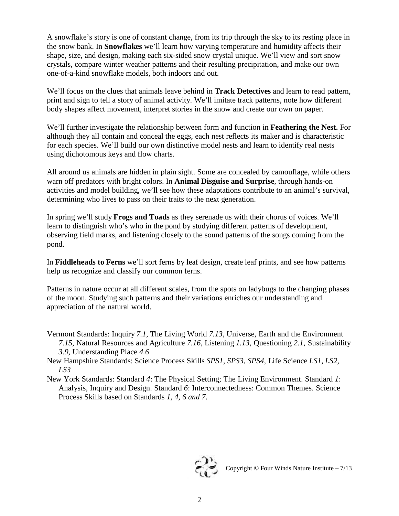A snowflake's story is one of constant change, from its trip through the sky to its resting place in the snow bank. In **Snowflakes** we'll learn how varying temperature and humidity affects their shape, size, and design, making each six-sided snow crystal unique. We'll view and sort snow crystals, compare winter weather patterns and their resulting precipitation, and make our own one-of-a-kind snowflake models, both indoors and out.

We'll focus on the clues that animals leave behind in **Track Detectives** and learn to read pattern, print and sign to tell a story of animal activity. We'll imitate track patterns, note how different body shapes affect movement, interpret stories in the snow and create our own on paper*.* 

We'll further investigate the relationship between form and function in **Feathering the Nest.** For although they all contain and conceal the eggs, each nest reflects its maker and is characteristic for each species. We'll build our own distinctive model nests and learn to identify real nests using dichotomous keys and flow charts*.* 

All around us animals are hidden in plain sight. Some are concealed by camouflage, while others warn off predators with bright colors. In **Animal Disguise and Surprise**, through hands-on activities and model building, we'll see how these adaptations contribute to an animal's survival, determining who lives to pass on their traits to the next generation.

In spring we'll study **Frogs and Toads** as they serenade us with their chorus of voices. We'll learn to distinguish who's who in the pond by studying different patterns of development, observing field marks, and listening closely to the sound patterns of the songs coming from the pond.

In **Fiddleheads to Ferns** we'll sort ferns by leaf design, create leaf prints, and see how patterns help us recognize and classify our common ferns.

Patterns in nature occur at all different scales, from the spots on ladybugs to the changing phases of the moon. Studying such patterns and their variations enriches our understanding and appreciation of the natural world.

Vermont Standards: Inquiry *7.1*, The Living World *7.13,* Universe, Earth and the Environment *7.15*, Natural Resources and Agriculture *7.16*, Listening *1.13*, Questioning *2.1*, Sustainability

*3.9*, Understanding Place *4.6*

- New Hampshire Standards: Science Process Skills *SPS1*, *SPS3*, *SPS4*, Life Science *LS1, LS2, LS3*
- New York Standards: Standard *4*: The Physical Setting; The Living Environment. Standard *1*: Analysis, Inquiry and Design. Standard *6*: Interconnectedness: Common Themes. Science Process Skills based on Standards *1, 4, 6 and 7*.

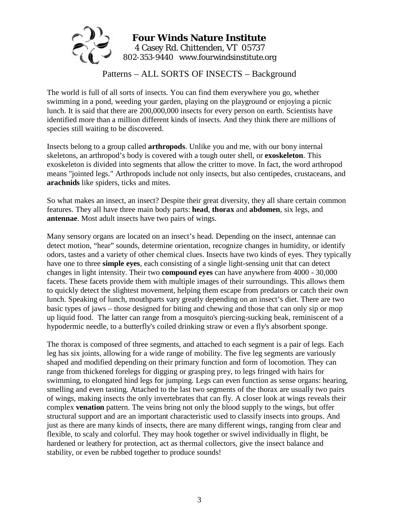

Patterns – ALL SORTS OF INSECTS – Background

The world is full of all sorts of insects. You can find them everywhere you go, whether swimming in a pond, weeding your garden, playing on the playground or enjoying a picnic lunch. It is said that there are 200,000,000 insects for every person on earth. Scientists have identified more than a million different kinds of insects. And they think there are millions of species still waiting to be discovered.

Insects belong to a group called **arthropods**. Unlike you and me, with our bony internal skeletons, an arthropod's body is covered with a tough outer shell, or **exoskeleton**. This exoskeleton is divided into segments that allow the critter to move. In fact, the word arthropod means "jointed legs." Arthropods include not only insects, but also centipedes, crustaceans, and **arachnids** like spiders, ticks and mites.

So what makes an insect, an insect? Despite their great diversity, they all share certain common features. They all have three main body parts: **head**, **thorax** and **abdomen**, six legs, and **antennae**. Most adult insects have two pairs of wings.

Many sensory organs are located on an insect's head. Depending on the insect, antennae can detect motion, "hear" sounds, determine orientation, recognize changes in humidity, or identify odors, tastes and a variety of other chemical clues. Insects have two kinds of eyes. They typically have one to three **simple eyes**, each consisting of a single light-sensing unit that can detect changes in light intensity. Their two **compound eyes** can have anywhere from 4000 - 30,000 facets. These facets provide them with multiple images of their surroundings. This allows them to quickly detect the slightest movement, helping them escape from predators or catch their own lunch. Speaking of lunch, mouthparts vary greatly depending on an insect's diet. There are two basic types of jaws – those designed for biting and chewing and those that can only sip or mop up liquid food. The latter can range from a mosquito's piercing-sucking beak, reminiscent of a hypodermic needle, to a butterfly's coiled drinking straw or even a fly's absorbent sponge.

The thorax is composed of three segments, and attached to each segment is a pair of legs. Each leg has six joints, allowing for a wide range of mobility. The five leg segments are variously shaped and modified depending on their primary function and form of locomotion. They can range from thickened forelegs for digging or grasping prey, to legs fringed with hairs for swimming, to elongated hind legs for jumping. Legs can even function as sense organs: hearing, smelling and even tasting. Attached to the last two segments of the thorax are usually two pairs of wings, making insects the only invertebrates that can fly. A closer look at wings reveals their complex **venation** pattern. The veins bring not only the blood supply to the wings, but offer structural support and are an important characteristic used to classify insects into groups. And just as there are many kinds of insects, there are many different wings, ranging from clear and flexible, to scaly and colorful. They may hook together or swivel individually in flight, be hardened or leathery for protection, act as thermal collectors, give the insect balance and stability, or even be rubbed together to produce sounds!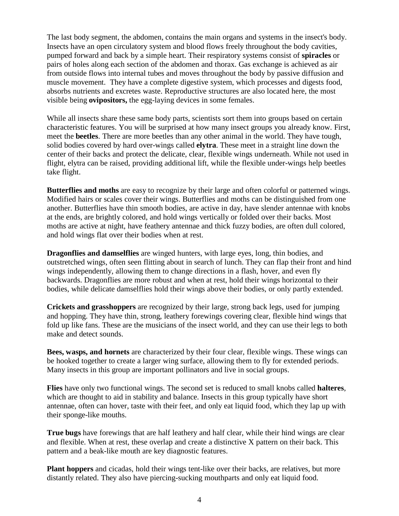The last body segment, the abdomen, contains the main organs and systems in the insect's body. Insects have an open circulatory system and blood flows freely throughout the body cavities, pumped forward and back by a simple heart. Their respiratory systems consist of **spiracles** or pairs of holes along each section of the abdomen and thorax. Gas exchange is achieved as air from outside flows into internal tubes and moves throughout the body by passive diffusion and muscle movement. They have a complete digestive system, which processes and digests food, absorbs nutrients and excretes waste. Reproductive structures are also located here, the most visible being **ovipositors,** the egg-laying devices in some females.

While all insects share these same body parts, scientists sort them into groups based on certain characteristic features. You will be surprised at how many insect groups you already know. First, meet the **beetles**. There are more beetles than any other animal in the world. They have tough, solid bodies covered by hard over-wings called **elytra**. These meet in a straight line down the center of their backs and protect the delicate, clear, flexible wings underneath. While not used in flight, elytra can be raised, providing additional lift, while the flexible under-wings help beetles take flight.

**Butterflies and moths** are easy to recognize by their large and often colorful or patterned wings. Modified hairs or scales cover their wings. Butterflies and moths can be distinguished from one another. Butterflies have thin smooth bodies, are active in day, have slender antennae with knobs at the ends, are brightly colored, and hold wings vertically or folded over their backs. Most moths are active at night, have feathery antennae and thick fuzzy bodies, are often dull colored, and hold wings flat over their bodies when at rest.

**Dragonflies and damselflies** are winged hunters, with large eyes, long, thin bodies, and outstretched wings, often seen flitting about in search of lunch. They can flap their front and hind wings independently, allowing them to change directions in a flash, hover, and even fly backwards. Dragonflies are more robust and when at rest, hold their wings horizontal to their bodies, while delicate damselflies hold their wings above their bodies, or only partly extended.

**Crickets and grasshoppers** are recognized by their large, strong back legs, used for jumping and hopping. They have thin, strong, leathery forewings covering clear, flexible hind wings that fold up like fans. These are the musicians of the insect world, and they can use their legs to both make and detect sounds.

**Bees, wasps, and hornets** are characterized by their four clear, flexible wings. These wings can be hooked together to create a larger wing surface, allowing them to fly for extended periods. Many insects in this group are important pollinators and live in social groups.

**Flies** have only two functional wings. The second set is reduced to small knobs called **halteres**, which are thought to aid in stability and balance. Insects in this group typically have short antennae, often can hover, taste with their feet, and only eat liquid food, which they lap up with their sponge-like mouths.

**True bugs** have forewings that are half leathery and half clear, while their hind wings are clear and flexible. When at rest, these overlap and create a distinctive X pattern on their back. This pattern and a beak-like mouth are key diagnostic features.

**Plant hoppers** and cicadas, hold their wings tent-like over their backs, are relatives, but more distantly related. They also have piercing-sucking mouthparts and only eat liquid food.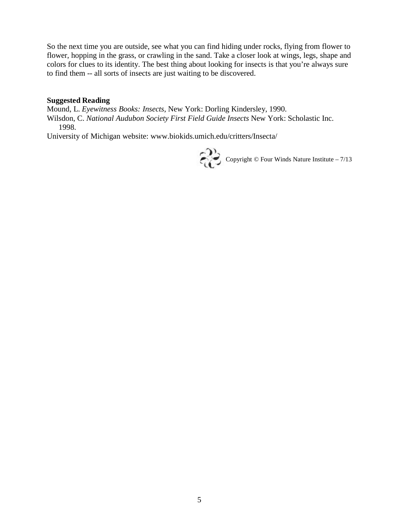So the next time you are outside, see what you can find hiding under rocks, flying from flower to flower, hopping in the grass, or crawling in the sand. Take a closer look at wings, legs, shape and colors for clues to its identity. The best thing about looking for insects is that you're always sure to find them -- all sorts of insects are just waiting to be discovered.

#### **Suggested Reading**

Mound, L. *Eyewitness Books: Insects*, New York: Dorling Kindersley, 1990.

Wilsdon, C. *National Audubon Society First Field Guide Insects* New York: Scholastic Inc. 1998.

University of Michigan website: www.biokids.umich.edu/critters/Insecta/

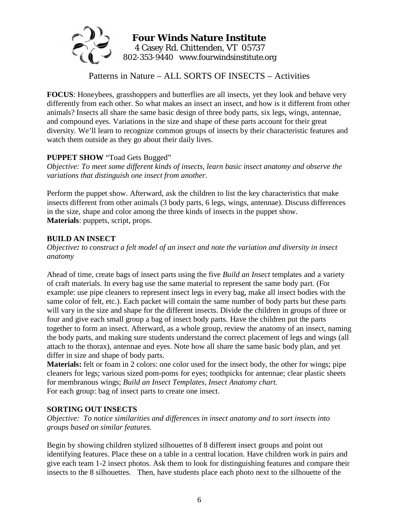

Patterns in Nature – ALL SORTS OF INSECTS – Activities

**FOCUS**: Honeybees, grasshoppers and butterflies are all insects, yet they look and behave very differently from each other. So what makes an insect an insect, and how is it different from other animals? Insects all share the same basic design of three body parts, six legs, wings, antennae, and compound eyes. Variations in the size and shape of these parts account for their great diversity. We'll learn to recognize common groups of insects by their characteristic features and watch them outside as they go about their daily lives.

#### **PUPPET SHOW** "Toad Gets Bugged"

*Objective: To meet some different kinds of insects, learn basic insect anatomy and observe the variations that distinguish one insect from another.* 

Perform the puppet show. Afterward, ask the children to list the key characteristics that make insects different from other animals (3 body parts, 6 legs, wings, antennae). Discuss differences in the size, shape and color among the three kinds of insects in the puppet show. **Materials**: puppets, script, props.

#### **BUILD AN INSECT**

*Objective: to construct a felt model of an insect and note the variation and diversity in insect anatomy* 

Ahead of time, create bags of insect parts using the five *Build an Insect* templates and a variety of craft materials. In every bag use the same material to represent the same body part. (For example: use pipe cleaners to represent insect legs in every bag, make all insect bodies with the same color of felt, etc.). Each packet will contain the same number of body parts but these parts will vary in the size and shape for the different insects. Divide the children in groups of three or four and give each small group a bag of insect body parts. Have the children put the parts together to form an insect. Afterward, as a whole group, review the anatomy of an insect, naming the body parts, and making sure students understand the correct placement of legs and wings (all attach to the thorax), antennae and eyes. Note how all share the same basic body plan, and yet differ in size and shape of body parts.

**Materials:** felt or foam in 2 colors: one color used for the insect body, the other for wings; pipe cleaners for legs; various sized pom-poms for eyes; toothpicks for antennae; clear plastic sheets for membranous wings; *Build an Insect Templates*, *Insect Anatomy chart*. For each group: bag of insect parts to create one insect.

#### **SORTING OUT INSECTS**

*Objective: To notice similarities and differences in insect anatomy and to sort insects into groups based on similar features.* 

Begin by showing children stylized silhouettes of 8 different insect groups and point out identifying features. Place these on a table in a central location. Have children work in pairs and give each team 1-2 insect photos. Ask them to look for distinguishing features and compare their insects to the 8 silhouettes. Then, have students place each photo next to the silhouette of the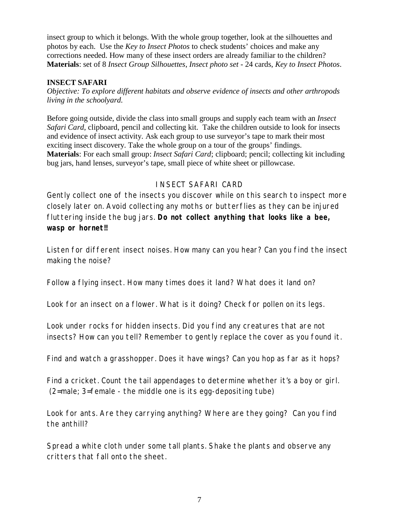insect group to which it belongs. With the whole group together, look at the silhouettes and photos by each. Use the *Key to Insect Photos* to check students' choices and make any corrections needed. How many of these insect orders are already familiar to the children? **Materials**: set of 8 *Insect Group Silhouettes*, *Insect photo set -* 24 cards, *Key to Insect Photos*.

#### **INSECT SAFARI**

*Objective: To explore different habitats and observe evidence of insects and other arthropods living in the schoolyard.* 

Before going outside, divide the class into small groups and supply each team with an *Insect Safari Card*, clipboard, pencil and collecting kit. Take the children outside to look for insects and evidence of insect activity. Ask each group to use surveyor's tape to mark their most exciting insect discovery. Take the whole group on a tour of the groups' findings. **Materials**: For each small group: *Insect Safari Card*; clipboard; pencil; collecting kit including bug jars, hand lenses, surveyor's tape, small piece of white sheet or pillowcase.

#### INSECT SAFARI CARD

Gently collect one of the insects you discover while on this search to inspect more closely later on. Avoid collecting any moths or butterflies as they can be injured fluttering inside the bug jars. **Do not collect anything that looks like a bee, wasp or hornet!!**

Listen for different insect noises. How many can you hear? Can you find the insect making the noise?

Follow a flying insect. How many times does it land? What does it land on?

Look for an insect on a flower. What is it doing? Check for pollen on its legs.

Look under rocks for hidden insects. Did you find any creatures that are not insects? How can you tell? Remember to gently replace the cover as you found it.

Find and watch a grasshopper. Does it have wings? Can you hop as far as it hops?

Find a cricket. Count the tail appendages to determine whether it's a boy or girl. (2=male; 3=female - the middle one is its egg-depositing tube)

Look for ants. Are they carrying anything? Where are they going? Can you find the anthill?

Spread a white cloth under some tall plants. Shake the plants and observe any critters that fall onto the sheet.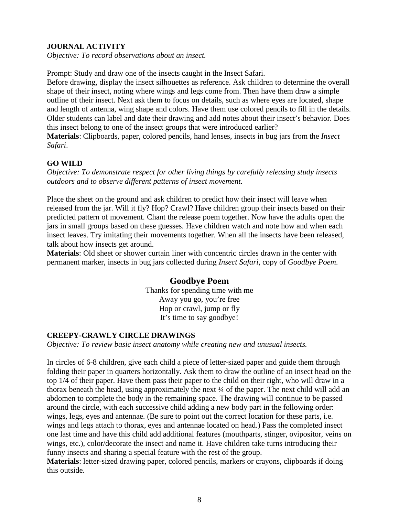#### **JOURNAL ACTIVITY**

*Objective: To record observations about an insect.* 

Prompt: Study and draw one of the insects caught in the Insect Safari.

Before drawing, display the insect silhouettes as reference. Ask children to determine the overall shape of their insect, noting where wings and legs come from. Then have them draw a simple outline of their insect. Next ask them to focus on details, such as where eyes are located, shape and length of antenna, wing shape and colors. Have them use colored pencils to fill in the details. Older students can label and date their drawing and add notes about their insect's behavior. Does this insect belong to one of the insect groups that were introduced earlier?

**Materials**: Clipboards, paper, colored pencils, hand lenses, insects in bug jars from the *Insect Safari*.

#### **GO WILD**

*Objective: To demonstrate respect for other living things by carefully releasing study insects outdoors and to observe different patterns of insect movement.*

Place the sheet on the ground and ask children to predict how their insect will leave when released from the jar. Will it fly? Hop? Crawl? Have children group their insects based on their predicted pattern of movement. Chant the release poem together. Now have the adults open the jars in small groups based on these guesses. Have children watch and note how and when each insect leaves. Try imitating their movements together. When all the insects have been released, talk about how insects get around.

**Materials**: Old sheet or shower curtain liner with concentric circles drawn in the center with permanent marker, insects in bug jars collected during *Insect Safari*, copy of *Goodbye Poem*.

#### **Goodbye Poem**

Thanks for spending time with me Away you go, you're free Hop or crawl, jump or fly It's time to say goodbye!

#### **CREEPY-CRAWLY CIRCLE DRAWINGS**

*Objective: To review basic insect anatomy while creating new and unusual insects.* 

In circles of 6-8 children, give each child a piece of letter-sized paper and guide them through folding their paper in quarters horizontally. Ask them to draw the outline of an insect head on the top 1/4 of their paper. Have them pass their paper to the child on their right, who will draw in a thorax beneath the head, using approximately the next ¼ of the paper. The next child will add an abdomen to complete the body in the remaining space. The drawing will continue to be passed around the circle, with each successive child adding a new body part in the following order: wings, legs, eyes and antennae. (Be sure to point out the correct location for these parts, i.e. wings and legs attach to thorax, eyes and antennae located on head.) Pass the completed insect one last time and have this child add additional features (mouthparts, stinger, ovipositor, veins on wings, etc.), color/decorate the insect and name it. Have children take turns introducing their funny insects and sharing a special feature with the rest of the group.

**Materials**: letter-sized drawing paper, colored pencils, markers or crayons, clipboards if doing this outside.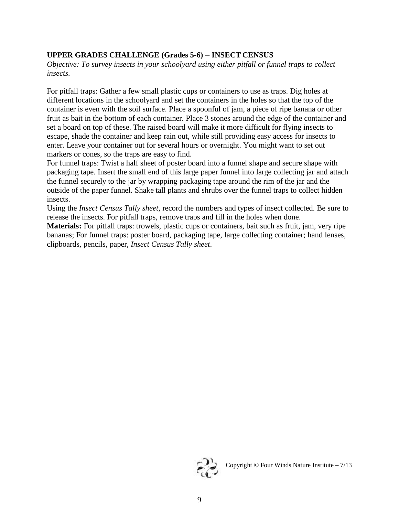#### **UPPER GRADES CHALLENGE (Grades 5-6)** – **INSECT CENSUS**

*Objective: To survey insects in your schoolyard using either pitfall or funnel traps to collect insects.*

For pitfall traps: Gather a few small plastic cups or containers to use as traps. Dig holes at different locations in the schoolyard and set the containers in the holes so that the top of the container is even with the soil surface. Place a spoonful of jam, a piece of ripe banana or other fruit as bait in the bottom of each container. Place 3 stones around the edge of the container and set a board on top of these. The raised board will make it more difficult for flying insects to escape, shade the container and keep rain out, while still providing easy access for insects to enter. Leave your container out for several hours or overnight. You might want to set out markers or cones, so the traps are easy to find.

For funnel traps: Twist a half sheet of poster board into a funnel shape and secure shape with packaging tape. Insert the small end of this large paper funnel into large collecting jar and attach the funnel securely to the jar by wrapping packaging tape around the rim of the jar and the outside of the paper funnel. Shake tall plants and shrubs over the funnel traps to collect hidden insects.

Using the *Insect Census Tally sheet*, record the numbers and types of insect collected. Be sure to release the insects. For pitfall traps, remove traps and fill in the holes when done.

**Materials:** For pitfall traps: trowels, plastic cups or containers, bait such as fruit, jam, very ripe bananas; For funnel traps: poster board, packaging tape, large collecting container; hand lenses, clipboards, pencils, paper, *Insect Census Tally sheet*.

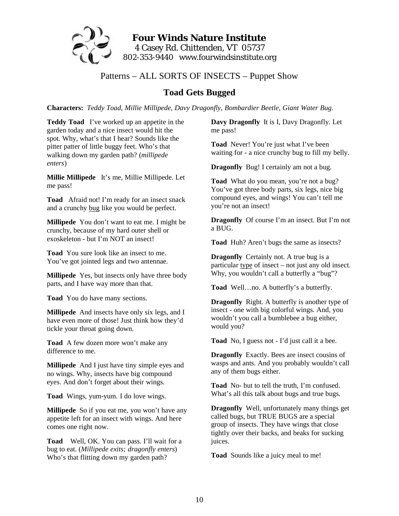

#### Patterns – ALL SORTS OF INSECTS – Puppet Show

#### **Toad Gets Bugged**

**Characters:** *Teddy Toad, Millie Millipede, Davy Dragonfly, Bombardier Beetle, Giant Water Bug.* 

**Teddy Toad** I've worked up an appetite in the garden today and a nice insect would hit the spot. Why, what's that I hear? Sounds like the pitter patter of little buggy feet. Who's that walking down my garden path? (*millipede enters*)

**Millie Millipede** It's me, Millie Millipede. Let me pass!

**Toad** Afraid not! I'm ready for an insect snack and a crunchy bug like you would be perfect.

**Millipede** You don't want to eat me. I might be crunchy, because of my hard outer shell or exoskeleton - but I'm NOT an insect!

**Toad** You sure look like an insect to me. You've got jointed legs and two antennae.

**Millipede** Yes, but insects only have three body parts, and I have way more than that.

**Toad** You do have many sections.

**Millipede** And insects have only six legs, and I have even more of those! Just think how they'd tickle your throat going down.

**Toad** A few dozen more won't make any difference to me.

**Millipede** And I just have tiny simple eyes and no wings. Why, insects have big compound eyes. And don't forget about their wings.

**Toad** Wings, yum-yum. I do love wings.

**Millipede** So if you eat me, you won't have any appetite left for an insect with wings. And here comes one right now.

**Toad** Well, OK. You can pass. I'll wait for a bug to eat. (*Millipede exits; dragonfly enters*) Who's that flitting down my garden path?

**Davy Dragonfly** It is I, Davy Dragonfly. Let me pass!

**Toad** Never! You're just what I've been waiting for - a nice crunchy bug to fill my belly.

**Dragonfly** Bug! I certainly am not a bug.

**Toad** What do you mean, you're not a bug? You've got three body parts, six legs, nice big compound eyes, and wings! You can't tell me you're not an insect!

**Dragonfly** Of course I'm an insect. But I'm not a BUG.

**Toad** Huh? Aren't bugs the same as insects?

**Dragonfly** Certainly not. A true bug is a particular type of insect – not just any old insect. Why, you wouldn't call a butterfly a "bug"?

**Toad** Well…no. A butterfly's a butterfly.

**Dragonfly** Right. A butterfly is another type of insect - one with big colorful wings. And, you wouldn't you call a bumblebee a bug either, would you?

**Toad** No, I guess not - I'd just call it a bee.

**Dragonfly** Exactly. Bees are insect cousins of wasps and ants. And you probably wouldn't call any of them bugs either.

**Toad** No- but to tell the truth, I'm confused. What's all this talk about bugs and true bugs.

**Dragonfly** Well, unfortunately many things get called bugs, but TRUE BUGS are a special group of insects. They have wings that close tightly over their backs, and beaks for sucking juices.

**Toad** Sounds like a juicy meal to me!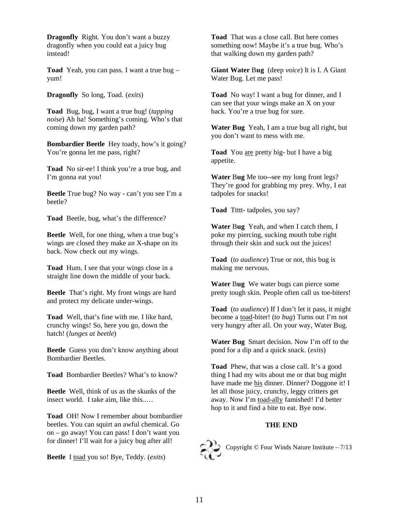**Dragonfly** Right. You don't want a buzzy dragonfly when you could eat a juicy bug instead!

**Toad** Yeah, you can pass. I want a true bug – yum!

**Dragonfly** So long, Toad. (*exits*)

**Toad** Bug, bug, I want a true bug! (*tapping noise*) Ah ha! Something's coming. Who's that coming down my garden path?

**Bombardier Beetle** Hey toady, how's it going? You're gonna let me pass, right?

**Toad** No sir-ee! I think you're a true bug, and I'm gonna eat you!

**Beetle** True bug? No way - can't you see I'm a beetle?

**Toad** Beetle, bug, what's the difference?

**Beetle** Well, for one thing, when a true bug's wings are closed they make an X-shape on its back. Now check out my wings.

**Toad** Hum. I see that your wings close in a straight line down the middle of your back.

**Beetle** That's right. My front wings are hard and protect my delicate under-wings.

**Toad** Well, that's fine with me. I like hard, crunchy wings! So, here you go, down the hatch! (*lunges at beetle*)

**Beetle** Guess you don't know anything about Bombardier Beetles.

**Toad** Bombardier Beetles? What's to know?

**Beetle** Well, think of us as the skunks of the insect world. I take aim, like this..…

**Toad** OH! Now I remember about bombardier beetles. You can squirt an awful chemical. Go on – go away! You can pass! I don't want you for dinner! I'll wait for a juicy bug after all!

**Beetle** I toad you so! Bye, Teddy. (*exits*)

**Toad** That was a close call. But here comes something now! Maybe it's a true bug. Who's that walking down my garden path?

**Giant Water** B**ug** (deep *voice*) It is I. A Giant Water Bug. Let me pass!

**Toad** No way! I want a bug for dinner, and I can see that your wings make an X on your back. You're a true bug for sure.

**Water Bug** Yeah, I am a true bug all right, but you don't want to mess with me.

**Toad** You are pretty big- but I have a big appetite.

**Water Bug** Me too--see my long front legs? They're good for grabbing my prey. Why, I eat tadpoles for snacks!

**Toad** Ttttt- tadpoles, you say?

**Water** B**ug** Yeah, and when I catch them, I poke my piercing, sucking mouth tube right through their skin and suck out the juices!

**Toad** (*to audience*) True or not, this bug is making me nervous.

**Water Bug** We water bugs can pierce some pretty tough skin. People often call us toe-biters!

**Toad** (*to audience*) If I don't let it pass, it might become a toad-biter! (*to bug*) Turns out I'm not very hungry after all. On your way, Water Bug.

**Water Bug** Smart decision. Now I'm off to the pond for a dip and a quick snack. (*exits*)

**Toad** Phew, that was a close call. It's a good thing I had my wits about me or that bug might have made me his dinner. Dinner? Doggone it! I let all those juicy, crunchy, leggy critters get away. Now I'm toad-ally famished! I'd better hop to it and find a bite to eat. Bye now.

#### **THE END**



Copyright © Four Winds Nature Institute – 7/13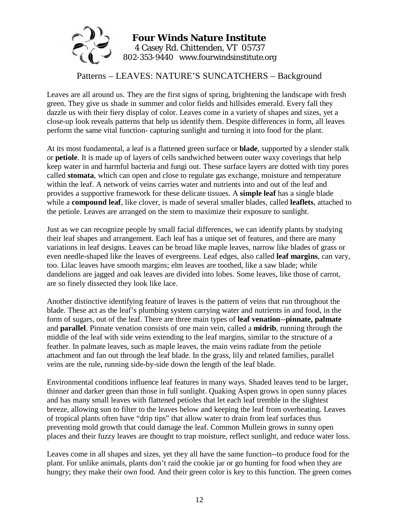

#### Patterns – LEAVES: NATURE'S SUNCATCHERS – Background

Leaves are all around us. They are the first signs of spring, brightening the landscape with fresh green. They give us shade in summer and color fields and hillsides emerald. Every fall they dazzle us with their fiery display of color. Leaves come in a variety of shapes and sizes, yet a close-up look reveals patterns that help us identify them. Despite differences in form, all leaves perform the same vital function- capturing sunlight and turning it into food for the plant.

At its most fundamental, a leaf is a flattened green surface or **blade**, supported by a slender stalk or **petiole**. It is made up of layers of cells sandwiched between outer waxy coverings that help keep water in and harmful bacteria and fungi out. These surface layers are dotted with tiny pores called **stomata**, which can open and close to regulate gas exchange, moisture and temperature within the leaf. A network of veins carries water and nutrients into and out of the leaf and provides a supportive framework for these delicate tissues. A **simple leaf** has a single blade while a **compound leaf**, like clover, is made of several smaller blades, called **leaflets**, attached to the petiole. Leaves are arranged on the stem to maximize their exposure to sunlight.

Just as we can recognize people by small facial differences, we can identify plants by studying their leaf shapes and arrangement. Each leaf has a unique set of features, and there are many variations in leaf designs. Leaves can be broad like maple leaves, narrow like blades of grass or even needle-shaped like the leaves of evergreens. Leaf edges, also called **leaf margins**, can vary, too. Lilac leaves have smooth margins; elm leaves are toothed, like a saw blade; while dandelions are jagged and oak leaves are divided into lobes. Some leaves, like those of carrot, are so finely dissected they look like lace.

Another distinctive identifying feature of leaves is the pattern of veins that run throughout the blade. These act as the leaf's plumbing system carrying water and nutrients in and food, in the form of sugars, out of the leaf. There are three main types of **leaf venation**--**pinnate, palmate** and **parallel**. Pinnate venation consists of one main vein, called a **midrib**, running through the middle of the leaf with side veins extending to the leaf margins, similar to the structure of a feather. In palmate leaves, such as maple leaves, the main veins radiate from the petiole attachment and fan out through the leaf blade. In the grass, lily and related families, parallel veins are the rule, running side-by-side down the length of the leaf blade.

Environmental conditions influence leaf features in many ways. Shaded leaves tend to be larger, thinner and darker green than those in full sunlight. Quaking Aspen grows in open sunny places and has many small leaves with flattened petioles that let each leaf tremble in the slightest breeze, allowing sun to filter to the leaves below and keeping the leaf from overheating. Leaves of tropical plants often have "drip tips" that allow water to drain from leaf surfaces thus preventing mold growth that could damage the leaf. Common Mullein grows in sunny open places and their fuzzy leaves are thought to trap moisture, reflect sunlight, and reduce water loss.

Leaves come in all shapes and sizes, yet they all have the same function--to produce food for the plant. For unlike animals, plants don't raid the cookie jar or go hunting for food when they are hungry; they make their own food. And their green color is key to this function. The green comes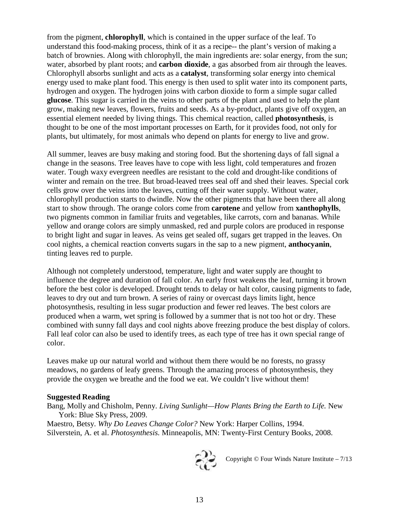from the pigment, **chlorophyll**, which is contained in the upper surface of the leaf. To understand this food-making process, think of it as a recipe-- the plant's version of making a batch of brownies. Along with chlorophyll, the main ingredients are: solar energy, from the sun; water, absorbed by plant roots; and **carbon dioxide**, a gas absorbed from air through the leaves. Chlorophyll absorbs sunlight and acts as a **catalyst**, transforming solar energy into chemical energy used to make plant food. This energy is then used to split water into its component parts, hydrogen and oxygen. The hydrogen joins with carbon dioxide to form a simple sugar called **glucose**. This sugar is carried in the veins to other parts of the plant and used to help the plant grow, making new leaves, flowers, fruits and seeds. As a by-product, plants give off oxygen, an essential element needed by living things. This chemical reaction, called **photosynthesis**, is thought to be one of the most important processes on Earth, for it provides food, not only for plants, but ultimately, for most animals who depend on plants for energy to live and grow.

All summer, leaves are busy making and storing food. But the shortening days of fall signal a change in the seasons. Tree leaves have to cope with less light, cold temperatures and frozen water. Tough waxy evergreen needles are resistant to the cold and drought-like conditions of winter and remain on the tree. But broad-leaved trees seal off and shed their leaves. Special cork cells grow over the veins into the leaves, cutting off their water supply. Without water, chlorophyll production starts to dwindle. Now the other pigments that have been there all along start to show through. The orange colors come from **carotene** and yellow from **xanthophylls**, two pigments common in familiar fruits and vegetables, like carrots, corn and bananas. While yellow and orange colors are simply unmasked, red and purple colors are produced in response to bright light and sugar in leaves. As veins get sealed off, sugars get trapped in the leaves. On cool nights, a chemical reaction converts sugars in the sap to a new pigment, **anthocyanin**, tinting leaves red to purple.

Although not completely understood, temperature, light and water supply are thought to influence the degree and duration of fall color. An early frost weakens the leaf, turning it brown before the best color is developed. Drought tends to delay or halt color, causing pigments to fade, leaves to dry out and turn brown. A series of rainy or overcast days limits light, hence photosynthesis, resulting in less sugar production and fewer red leaves. The best colors are produced when a warm, wet spring is followed by a summer that is not too hot or dry. These combined with sunny fall days and cool nights above freezing produce the best display of colors. Fall leaf color can also be used to identify trees, as each type of tree has it own special range of color.

Leaves make up our natural world and without them there would be no forests, no grassy meadows, no gardens of leafy greens. Through the amazing process of photosynthesis, they provide the oxygen we breathe and the food we eat. We couldn't live without them!

#### **Suggested Reading**

Bang, Molly and Chisholm, Penny. *Living Sunlight—How Plants Bring the Earth to Life.* New York: Blue Sky Press, 2009.

Maestro, Betsy. *Why Do Leaves Change Color?* New York: Harper Collins, 1994. Silverstein, A. et al. *Photosynthesis.* Minneapolis, MN: Twenty-First Century Books, 2008.



Copyright  $\copyright$  Four Winds Nature Institute –  $7/13$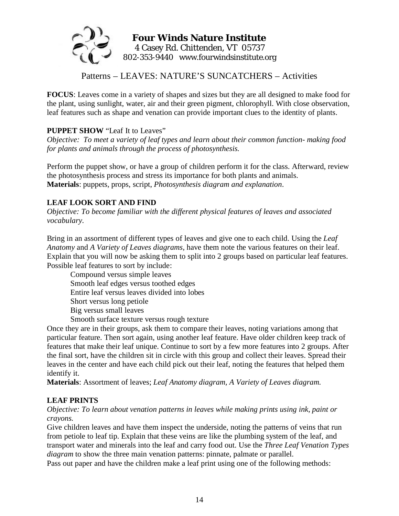

Patterns – LEAVES: NATURE'S SUNCATCHERS – Activities

**FOCUS**: Leaves come in a variety of shapes and sizes but they are all designed to make food for the plant, using sunlight, water, air and their green pigment, chlorophyll. With close observation, leaf features such as shape and venation can provide important clues to the identity of plants.

#### **PUPPET SHOW** "Leaf It to Leaves"

*Objective: To meet a variety of leaf types and learn about their common function- making food for plants and animals through the process of photosynthesis.* 

Perform the puppet show, or have a group of children perform it for the class. Afterward, review the photosynthesis process and stress its importance for both plants and animals. **Materials**: puppets, props, script, *Photosynthesis diagram and explanation*.

#### **LEAF LOOK SORT AND FIND**

*Objective: To become familiar with the different physical features of leaves and associated vocabulary.* 

Bring in an assortment of different types of leaves and give one to each child. Using the *Leaf Anatomy* and *A Variety of Leaves diagrams,* have them note the various features on their leaf. Explain that you will now be asking them to split into 2 groups based on particular leaf features. Possible leaf features to sort by include:

Compound versus simple leaves Smooth leaf edges versus toothed edges Entire leaf versus leaves divided into lobes Short versus long petiole Big versus small leaves

Smooth surface texture versus rough texture

Once they are in their groups, ask them to compare their leaves, noting variations among that particular feature. Then sort again, using another leaf feature. Have older children keep track of features that make their leaf unique. Continue to sort by a few more features into 2 groups. After the final sort, have the children sit in circle with this group and collect their leaves. Spread their leaves in the center and have each child pick out their leaf, noting the features that helped them identify it.

**Materials**: Assortment of leaves; *Leaf Anatomy diagram, A Variety of Leaves diagram.*

#### **LEAF PRINTS**

*Objective: To learn about venation patterns in leaves while making prints using ink, paint or crayons.* 

Give children leaves and have them inspect the underside, noting the patterns of veins that run from petiole to leaf tip. Explain that these veins are like the plumbing system of the leaf, and transport water and minerals into the leaf and carry food out. Use the *Three Leaf Venation Types diagram* to show the three main venation patterns: pinnate, palmate or parallel.

Pass out paper and have the children make a leaf print using one of the following methods: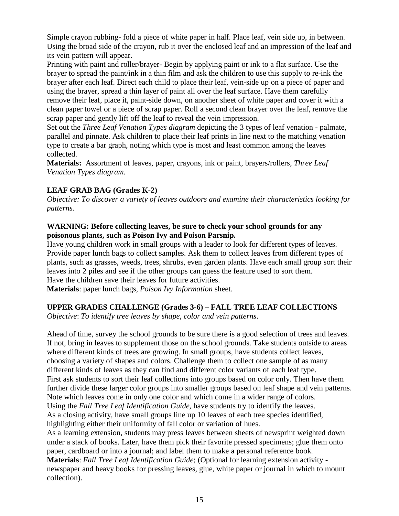Simple crayon rubbing- fold a piece of white paper in half. Place leaf, vein side up, in between. Using the broad side of the crayon, rub it over the enclosed leaf and an impression of the leaf and its vein pattern will appear.

Printing with paint and roller/brayer- Begin by applying paint or ink to a flat surface. Use the brayer to spread the paint/ink in a thin film and ask the children to use this supply to re-ink the brayer after each leaf. Direct each child to place their leaf, vein-side up on a piece of paper and using the brayer, spread a thin layer of paint all over the leaf surface. Have them carefully remove their leaf, place it, paint-side down, on another sheet of white paper and cover it with a clean paper towel or a piece of scrap paper. Roll a second clean brayer over the leaf, remove the scrap paper and gently lift off the leaf to reveal the vein impression.

Set out the *Three Leaf Venation Types diagram* depicting the 3 types of leaf venation - palmate, parallel and pinnate. Ask children to place their leaf prints in line next to the matching venation type to create a bar graph, noting which type is most and least common among the leaves collected.

**Materials:** Assortment of leaves, paper, crayons, ink or paint, brayers/rollers, *Three Leaf Venation Types diagram.*

#### **LEAF GRAB BAG (Grades K-2)**

collection).

*Objective: To discover a variety of leaves outdoors and examine their characteristics looking for patterns.* 

#### **WARNING: Before collecting leaves, be sure to check your school grounds for any poisonous plants, such as Poison Ivy and Poison Parsnip.**

Have young children work in small groups with a leader to look for different types of leaves. Provide paper lunch bags to collect samples. Ask them to collect leaves from different types of plants, such as grasses, weeds, trees, shrubs, even garden plants. Have each small group sort their leaves into 2 piles and see if the other groups can guess the feature used to sort them. Have the children save their leaves for future activities.

**Materials**: paper lunch bags, *Poison Ivy Information* sheet.

#### **UPPER GRADES CHALLENGE (Grades 3-6) – FALL TREE LEAF COLLECTIONS**

*Objective*: *To identify tree leaves by shape, color and vein patterns*.

Ahead of time, survey the school grounds to be sure there is a good selection of trees and leaves. If not, bring in leaves to supplement those on the school grounds. Take students outside to areas where different kinds of trees are growing. In small groups, have students collect leaves, choosing a variety of shapes and colors. Challenge them to collect one sample of as many different kinds of leaves as they can find and different color variants of each leaf type. First ask students to sort their leaf collections into groups based on color only. Then have them further divide these larger color groups into smaller groups based on leaf shape and vein patterns. Note which leaves come in only one color and which come in a wider range of colors. Using the *Fall Tree Leaf Identification Guide*, have students try to identify the leaves. As a closing activity, have small groups line up 10 leaves of each tree species identified, highlighting either their uniformity of fall color or variation of hues.

As a learning extension, students may press leaves between sheets of newsprint weighted down under a stack of books. Later, have them pick their favorite pressed specimens; glue them onto paper, cardboard or into a journal; and label them to make a personal reference book. **Materials**: *Fall Tree Leaf Identification Guide*; (Optional for learning extension activity newspaper and heavy books for pressing leaves, glue, white paper or journal in which to mount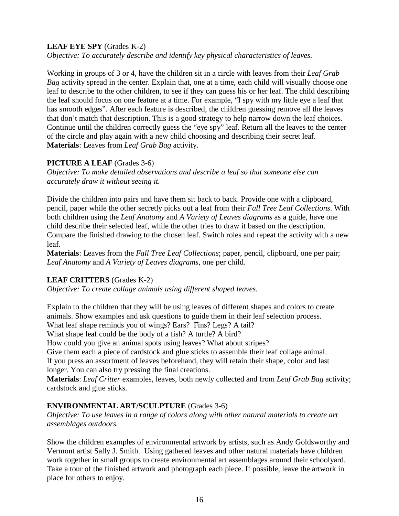#### **LEAF EYE SPY** (Grades K-2)

*Objective: To accurately describe and identify key physical characteristics of leaves.* 

Working in groups of 3 or 4, have the children sit in a circle with leaves from their *Leaf Grab Bag* activity spread in the center. Explain that, one at a time, each child will visually choose one leaf to describe to the other children, to see if they can guess his or her leaf. The child describing the leaf should focus on one feature at a time. For example, "I spy with my little eye a leaf that has smooth edges". After each feature is described, the children guessing remove all the leaves that don't match that description. This is a good strategy to help narrow down the leaf choices. Continue until the children correctly guess the "eye spy" leaf. Return all the leaves to the center of the circle and play again with a new child choosing and describing their secret leaf. **Materials**: Leaves from *Leaf Grab Bag* activity.

#### **PICTURE A LEAF** (Grades 3-6)

*Objective: To make detailed observations and describe a leaf so that someone else can accurately draw it without seeing it.* 

Divide the children into pairs and have them sit back to back. Provide one with a clipboard, pencil, paper while the other secretly picks out a leaf from their *Fall Tree Leaf Collections*. With both children using the *Leaf Anatomy* and *A Variety of Leaves diagrams* as a guide, have one child describe their selected leaf, while the other tries to draw it based on the description. Compare the finished drawing to the chosen leaf. Switch roles and repeat the activity with a new leaf.

**Materials**: Leaves from the *Fall Tree Leaf Collections*; paper, pencil, clipboard, one per pair; *Leaf Anatomy* and *A Variety of Leaves diagrams,* one per child*.*

#### **LEAF CRITTERS** (Grades K-2)

*Objective: To create collage animals using different shaped leaves.* 

Explain to the children that they will be using leaves of different shapes and colors to create animals. Show examples and ask questions to guide them in their leaf selection process.

What leaf shape reminds you of wings? Ears? Fins? Legs? A tail?

What shape leaf could be the body of a fish? A turtle? A bird?

How could you give an animal spots using leaves? What about stripes?

Give them each a piece of cardstock and glue sticks to assemble their leaf collage animal. If you press an assortment of leaves beforehand, they will retain their shape, color and last longer. You can also try pressing the final creations.

**Materials**: *Leaf Critter* examples, leaves, both newly collected and from *Leaf Grab Bag* activity; cardstock and glue sticks.

#### **ENVIRONMENTAL ART/SCULPTURE** (Grades 3-6)

*Objective: To use leaves in a range of colors along with other natural materials to create art assemblages outdoors.* 

Show the children examples of environmental artwork by artists, such as Andy Goldsworthy and Vermont artist Sally J. Smith. Using gathered leaves and other natural materials have children work together in small groups to create environmental art assemblages around their schoolyard. Take a tour of the finished artwork and photograph each piece. If possible, leave the artwork in place for others to enjoy.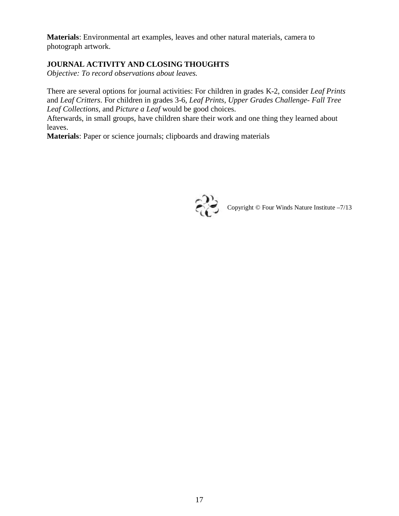**Materials**: Environmental art examples, leaves and other natural materials, camera to photograph artwork.

#### **JOURNAL ACTIVITY AND CLOSING THOUGHTS**

*Objective: To record observations about leaves.*

There are several options for journal activities: For children in grades K-2, consider *Leaf Prints* and *Leaf Critters*. For children in grades 3-6, *Leaf Prints*, *Upper Grades Challenge- Fall Tree Leaf Collections*, and *Picture a Leaf* would be good choices.

Afterwards, in small groups, have children share their work and one thing they learned about leaves.

**Materials**: Paper or science journals; clipboards and drawing materials

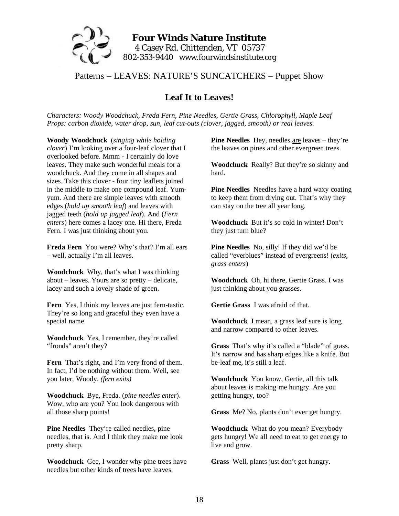

#### Patterns – LEAVES: NATURE'S SUNCATCHERS – Puppet Show

#### **Leaf It to Leaves!**

*Characters: Woody Woodchuck, Freda Fern, Pine Needles, Gertie Grass, Chlorophyll, Maple Leaf Props: carbon dioxide, water drop, sun, leaf cut-outs (clover, jagged, smooth) or real leaves.* 

**Woody Woodchuck** (*singing while holding clover*) I'm looking over a four-leaf clover that I overlooked before. Mmm - I certainly do love leaves. They make such wonderful meals for a woodchuck. And they come in all shapes and sizes. Take this clover - four tiny leaflets joined in the middle to make one compound leaf. Yumyum. And there are simple leaves with smooth edges (*hold up smooth leaf*) and leaves with jagged teeth (*hold up jagged leaf*). And (*Fern enters*) here comes a lacey one. Hi there, Freda Fern. I was just thinking about you.

**Freda Fern** You were? Why's that? I'm all ears – well, actually I'm all leaves.

**Woodchuck** Why, that's what I was thinking about – leaves. Yours are so pretty – delicate, lacey and such a lovely shade of green.

**Fern** Yes, I think my leaves are just fern-tastic. They're so long and graceful they even have a special name.

**Woodchuck** Yes, I remember, they're called "fronds" aren't they?

**Fern** That's right, and I'm very frond of them. In fact, I'd be nothing without them. Well, see you later, Woody. *(fern exits)*

**Woodchuck** Bye, Freda. (*pine needles enter*). Wow, who are you? You look dangerous with all those sharp points!

**Pine Needles** They're called needles, pine needles, that is. And I think they make me look pretty sharp.

**Woodchuck** Gee, I wonder why pine trees have needles but other kinds of trees have leaves.

**Pine Needles** Hey, needles are leaves – they're the leaves on pines and other evergreen trees.

**Woodchuck** Really? But they're so skinny and hard.

**Pine Needles** Needles have a hard waxy coating to keep them from drying out. That's why they can stay on the tree all year long.

**Woodchuck** But it's so cold in winter! Don't they just turn blue?

**Pine Needles** No, silly! If they did we'd be called "everblues" instead of evergreens! (*exits, grass enters*)

**Woodchuck** Oh, hi there, Gertie Grass. I was just thinking about you grasses.

**Gertie Grass** I was afraid of that.

**Woodchuck** I mean, a grass leaf sure is long and narrow compared to other leaves.

**Grass** That's why it's called a "blade" of grass. It's narrow and has sharp edges like a knife. But be-leaf me, it's still a leaf.

**Woodchuck** You know, Gertie, all this talk about leaves is making me hungry. Are you getting hungry, too?

**Grass** Me? No, plants don't ever get hungry.

**Woodchuck** What do you mean? Everybody gets hungry! We all need to eat to get energy to live and grow.

**Grass** Well, plants just don't get hungry.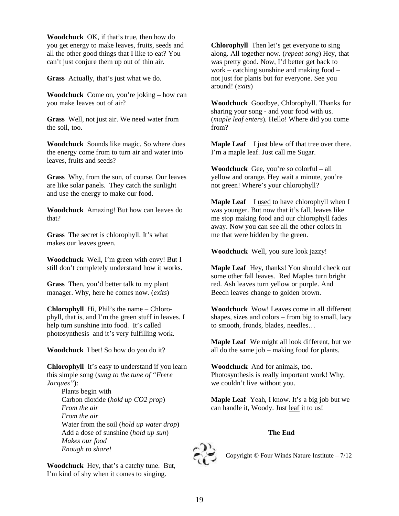**Woodchuck** OK, if that's true, then how do you get energy to make leaves, fruits, seeds and all the other good things that I like to eat? You can't just conjure them up out of thin air.

**Grass** Actually, that's just what we do.

**Woodchuck** Come on, you're joking – how can you make leaves out of air?

**Grass** Well, not just air. We need water from the soil, too.

**Woodchuck** Sounds like magic. So where does the energy come from to turn air and water into leaves, fruits and seeds?

**Grass** Why, from the sun, of course. Our leaves are like solar panels. They catch the sunlight and use the energy to make our food.

**Woodchuck** Amazing! But how can leaves do that?

**Grass** The secret is chlorophyll. It's what makes our leaves green.

**Woodchuck** Well, I'm green with envy! But I still don't completely understand how it works.

**Grass** Then, you'd better talk to my plant manager. Why, here he comes now. (*exits*)

**Chlorophyll** Hi, Phil's the name – Chlorophyll, that is, and I'm the green stuff in leaves. I help turn sunshine into food. It's called photosynthesis and it's very fulfilling work.

**Woodchuck** I bet! So how do you do it?

**Chlorophyll** It's easy to understand if you learn this simple song (*sung to the tune of "Frere Jacques"*):

Plants begin with Carbon dioxide (*hold up CO2 prop*) *From the air From the air* Water from the soil (*hold up water drop*) Add a dose of sunshine (*hold up sun*) *Makes our food Enough to share!* 

**Woodchuck** Hey, that's a catchy tune. But, I'm kind of shy when it comes to singing.

**Chlorophyll** Then let's get everyone to sing along. All together now. (*repeat song*) Hey, that was pretty good. Now, I'd better get back to work – catching sunshine and making food – not just for plants but for everyone. See you around! (*exits*)

**Woodchuck** Goodbye, Chlorophyll. Thanks for sharing your song - and your food with us. (*maple leaf enters*)*.* Hello! Where did you come from?

**Maple Leaf** I just blew off that tree over there. I'm a maple leaf. Just call me Sugar.

**Woodchuck** Gee, you're so colorful – all yellow and orange. Hey wait a minute, you're not green! Where's your chlorophyll?

**Maple Leaf** I used to have chlorophyll when I was younger. But now that it's fall, leaves like me stop making food and our chlorophyll fades away. Now you can see all the other colors in me that were hidden by the green.

**Woodchuck** Well, you sure look jazzy!

**Maple Leaf** Hey, thanks! You should check out some other fall leaves. Red Maples turn bright red. Ash leaves turn yellow or purple. And Beech leaves change to golden brown.

**Woodchuck** Wow! Leaves come in all different shapes, sizes and colors – from big to small, lacy to smooth, fronds, blades, needles…

**Maple Leaf** We might all look different, but we all do the same job – making food for plants.

**Woodchuck** And for animals, too. Photosynthesis is really important work! Why, we couldn't live without you.

**Maple Leaf** Yeah, I know. It's a big job but we can handle it, Woody. Just leaf it to us!

#### **The End**



Copyright  $\odot$  Four Winds Nature Institute – 7/12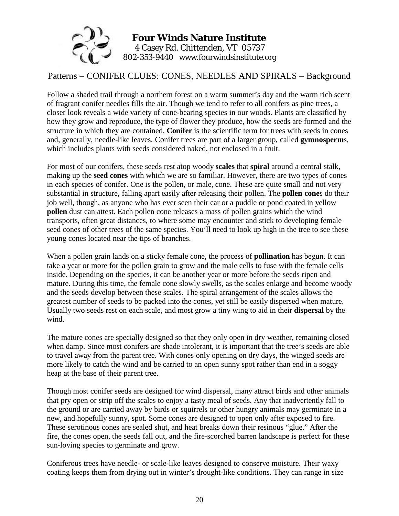

#### Patterns – CONIFER CLUES: CONES, NEEDLES AND SPIRALS – Background

Follow a shaded trail through a northern forest on a warm summer's day and the warm rich scent of fragrant conifer needles fills the air. Though we tend to refer to all conifers as pine trees, a closer look reveals a wide variety of cone-bearing species in our woods. Plants are classified by how they grow and reproduce, the type of flower they produce, how the seeds are formed and the structure in which they are contained. **Conifer** is the scientific term for trees with seeds in cones and, generally, needle-like leaves. Conifer trees are part of a larger group, called **gymnosperm**s, which includes plants with seeds considered naked, not enclosed in a fruit.

For most of our conifers, these seeds rest atop woody **scales** that **spiral** around a central stalk, making up the **seed cones** with which we are so familiar. However, there are two types of cones in each species of conifer. One is the pollen, or male, cone. These are quite small and not very substantial in structure, falling apart easily after releasing their pollen. The **pollen cone**s do their job well, though, as anyone who has ever seen their car or a puddle or pond coated in yellow **pollen** dust can attest. Each pollen cone releases a mass of pollen grains which the wind transports, often great distances, to where some may encounter and stick to developing female seed cones of other trees of the same species. You'll need to look up high in the tree to see these young cones located near the tips of branches.

When a pollen grain lands on a sticky female cone, the process of **pollination** has begun. It can take a year or more for the pollen grain to grow and the male cells to fuse with the female cells inside. Depending on the species, it can be another year or more before the seeds ripen and mature. During this time, the female cone slowly swells, as the scales enlarge and become woody and the seeds develop between these scales. The spiral arrangement of the scales allows the greatest number of seeds to be packed into the cones, yet still be easily dispersed when mature. Usually two seeds rest on each scale, and most grow a tiny wing to aid in their **dispersal** by the wind.

The mature cones are specially designed so that they only open in dry weather, remaining closed when damp. Since most conifers are shade intolerant, it is important that the tree's seeds are able to travel away from the parent tree. With cones only opening on dry days, the winged seeds are more likely to catch the wind and be carried to an open sunny spot rather than end in a soggy heap at the base of their parent tree.

Though most conifer seeds are designed for wind dispersal, many attract birds and other animals that pry open or strip off the scales to enjoy a tasty meal of seeds. Any that inadvertently fall to the ground or are carried away by birds or squirrels or other hungry animals may germinate in a new, and hopefully sunny, spot. Some cones are designed to open only after exposed to fire. These serotinous cones are sealed shut, and heat breaks down their resinous "glue." After the fire, the cones open, the seeds fall out, and the fire-scorched barren landscape is perfect for these sun-loving species to germinate and grow.

Coniferous trees have needle- or scale-like leaves designed to conserve moisture. Their waxy coating keeps them from drying out in winter's drought-like conditions. They can range in size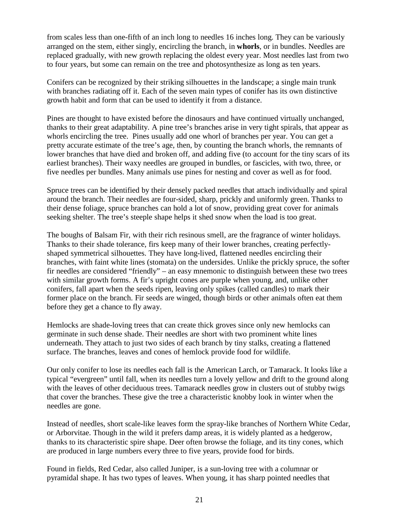from scales less than one-fifth of an inch long to needles 16 inches long. They can be variously arranged on the stem, either singly, encircling the branch, in **whorls**, or in bundles. Needles are replaced gradually, with new growth replacing the oldest every year. Most needles last from two to four years, but some can remain on the tree and photosynthesize as long as ten years.

Conifers can be recognized by their striking silhouettes in the landscape; a single main trunk with branches radiating off it. Each of the seven main types of conifer has its own distinctive growth habit and form that can be used to identify it from a distance.

Pines are thought to have existed before the dinosaurs and have continued virtually unchanged, thanks to their great adaptability. A pine tree's branches arise in very tight spirals, that appear as whorls encircling the tree. Pines usually add one whorl of branches per year. You can get a pretty accurate estimate of the tree's age, then, by counting the branch whorls, the remnants of lower branches that have died and broken off, and adding five (to account for the tiny scars of its earliest branches). Their waxy needles are grouped in bundles, or fascicles, with two, three, or five needles per bundles. Many animals use pines for nesting and cover as well as for food.

Spruce trees can be identified by their densely packed needles that attach individually and spiral around the branch. Their needles are four-sided, sharp, prickly and uniformly green. Thanks to their dense foliage, spruce branches can hold a lot of snow, providing great cover for animals seeking shelter. The tree's steeple shape helps it shed snow when the load is too great.

The boughs of Balsam Fir, with their rich resinous smell, are the fragrance of winter holidays. Thanks to their shade tolerance, firs keep many of their lower branches, creating perfectlyshaped symmetrical silhouettes. They have long-lived, flattened needles encircling their branches, with faint white lines (stomata) on the undersides. Unlike the prickly spruce, the softer fir needles are considered "friendly" – an easy mnemonic to distinguish between these two trees with similar growth forms. A fir's upright cones are purple when young, and, unlike other conifers, fall apart when the seeds ripen, leaving only spikes (called candles) to mark their former place on the branch. Fir seeds are winged, though birds or other animals often eat them before they get a chance to fly away.

Hemlocks are shade-loving trees that can create thick groves since only new hemlocks can germinate in such dense shade. Their needles are short with two prominent white lines underneath. They attach to just two sides of each branch by tiny stalks, creating a flattened surface. The branches, leaves and cones of hemlock provide food for wildlife.

Our only conifer to lose its needles each fall is the American Larch, or Tamarack. It looks like a typical "evergreen" until fall, when its needles turn a lovely yellow and drift to the ground along with the leaves of other deciduous trees. Tamarack needles grow in clusters out of stubby twigs that cover the branches. These give the tree a characteristic knobby look in winter when the needles are gone.

Instead of needles, short scale-like leaves form the spray-like branches of Northern White Cedar, or Arborvitae. Though in the wild it prefers damp areas, it is widely planted as a hedgerow, thanks to its characteristic spire shape. Deer often browse the foliage, and its tiny cones, which are produced in large numbers every three to five years, provide food for birds.

Found in fields, Red Cedar, also called Juniper, is a sun-loving tree with a columnar or pyramidal shape. It has two types of leaves. When young, it has sharp pointed needles that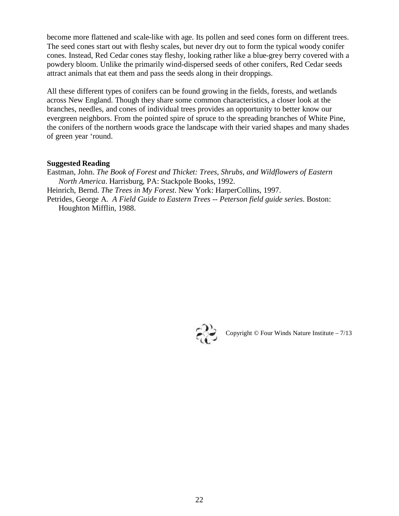become more flattened and scale-like with age. Its pollen and seed cones form on different trees. The seed cones start out with fleshy scales, but never dry out to form the typical woody conifer cones. Instead, Red Cedar cones stay fleshy, looking rather like a blue-grey berry covered with a powdery bloom. Unlike the primarily wind-dispersed seeds of other conifers, Red Cedar seeds attract animals that eat them and pass the seeds along in their droppings.

All these different types of conifers can be found growing in the fields, forests, and wetlands across New England. Though they share some common characteristics, a closer look at the branches, needles, and cones of individual trees provides an opportunity to better know our evergreen neighbors. From the pointed spire of spruce to the spreading branches of White Pine, the conifers of the northern woods grace the landscape with their varied shapes and many shades of green year 'round.

#### **Suggested Reading**

Eastman, John. *The Book of Forest and Thicket: Trees, Shrubs, and Wildflowers of Eastern North America*. Harrisburg, PA: Stackpole Books, 1992. Heinrich, Bernd. *The Trees in My Forest*. New York: HarperCollins, 1997. Petrides, George A. *A Field Guide to Eastern Trees -- Peterson field guide series*. Boston: Houghton Mifflin, 1988.



Copyright © Four Winds Nature Institute – 7/13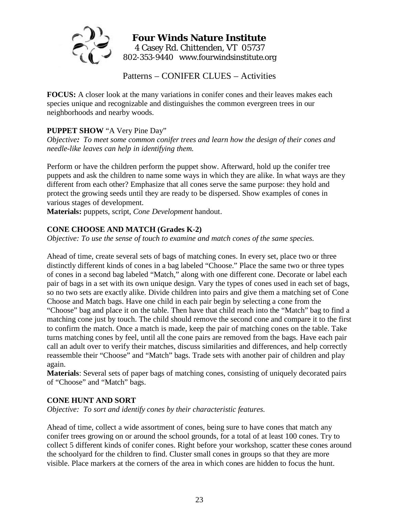

Patterns – CONIFER CLUES – Activities

**FOCUS:** A closer look at the many variations in conifer cones and their leaves makes each species unique and recognizable and distinguishes the common evergreen trees in our neighborhoods and nearby woods.

#### **PUPPET SHOW** "A Very Pine Day"

*Objective: To meet some common conifer trees and learn how the design of their cones and needle-like leaves can help in identifying them.* 

Perform or have the children perform the puppet show. Afterward, hold up the conifer tree puppets and ask the children to name some ways in which they are alike. In what ways are they different from each other? Emphasize that all cones serve the same purpose: they hold and protect the growing seeds until they are ready to be dispersed. Show examples of cones in various stages of development.

**Materials:** puppets, script, *Cone Development* handout.

#### **CONE CHOOSE AND MATCH (Grades K-2)**

*Objective: To use the sense of touch to examine and match cones of the same species.* 

Ahead of time, create several sets of bags of matching cones. In every set, place two or three distinctly different kinds of cones in a bag labeled "Choose." Place the same two or three types of cones in a second bag labeled "Match," along with one different cone. Decorate or label each pair of bags in a set with its own unique design. Vary the types of cones used in each set of bags, so no two sets are exactly alike. Divide children into pairs and give them a matching set of Cone Choose and Match bags. Have one child in each pair begin by selecting a cone from the "Choose" bag and place it on the table. Then have that child reach into the "Match" bag to find a matching cone just by touch. The child should remove the second cone and compare it to the first to confirm the match. Once a match is made, keep the pair of matching cones on the table. Take turns matching cones by feel, until all the cone pairs are removed from the bags. Have each pair call an adult over to verify their matches, discuss similarities and differences, and help correctly reassemble their "Choose" and "Match" bags. Trade sets with another pair of children and play again.

**Materials**: Several sets of paper bags of matching cones, consisting of uniquely decorated pairs of "Choose" and "Match" bags.

#### **CONE HUNT AND SORT**

*Objective: To sort and identify cones by their characteristic features.* 

Ahead of time, collect a wide assortment of cones, being sure to have cones that match any conifer trees growing on or around the school grounds, for a total of at least 100 cones. Try to collect 5 different kinds of conifer cones. Right before your workshop, scatter these cones around the schoolyard for the children to find. Cluster small cones in groups so that they are more visible. Place markers at the corners of the area in which cones are hidden to focus the hunt.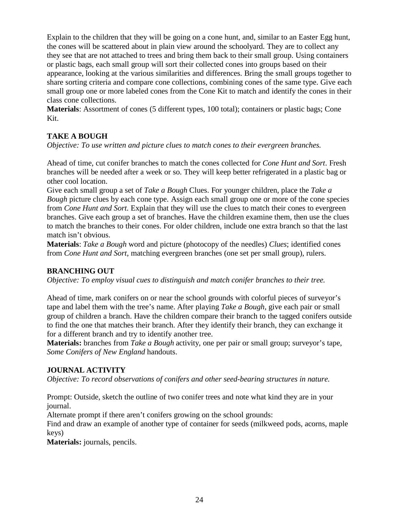Explain to the children that they will be going on a cone hunt, and, similar to an Easter Egg hunt, the cones will be scattered about in plain view around the schoolyard. They are to collect any they see that are not attached to trees and bring them back to their small group. Using containers or plastic bags, each small group will sort their collected cones into groups based on their appearance, looking at the various similarities and differences. Bring the small groups together to share sorting criteria and compare cone collections, combining cones of the same type. Give each small group one or more labeled cones from the Cone Kit to match and identify the cones in their class cone collections.

**Materials**: Assortment of cones (5 different types, 100 total); containers or plastic bags; Cone Kit.

#### **TAKE A BOUGH**

*Objective: To use written and picture clues to match cones to their evergreen branches.* 

Ahead of time, cut conifer branches to match the cones collected for *Cone Hunt and Sort*. Fresh branches will be needed after a week or so. They will keep better refrigerated in a plastic bag or other cool location.

Give each small group a set of *Take a Bough* Clues. For younger children, place the *Take a Bough* picture clues by each cone type. Assign each small group one or more of the cone species from *Cone Hunt and Sort.* Explain that they will use the clues to match their cones to evergreen branches. Give each group a set of branches. Have the children examine them, then use the clues to match the branches to their cones. For older children, include one extra branch so that the last match isn't obvious.

**Materials**: *Take a Bough* word and picture (photocopy of the needles) *Clues*; identified cones from *Cone Hunt and Sort*, matching evergreen branches (one set per small group), rulers.

#### **BRANCHING OUT**

*Objective: To employ visual cues to distinguish and match conifer branches to their tree.* 

Ahead of time, mark conifers on or near the school grounds with colorful pieces of surveyor's tape and label them with the tree's name. After playing *Take a Bough*, give each pair or small group of children a branch. Have the children compare their branch to the tagged conifers outside to find the one that matches their branch. After they identify their branch, they can exchange it for a different branch and try to identify another tree.

**Materials:** branches from *Take a Bough* activity, one per pair or small group; surveyor's tape, *Some Conifers of New England* handouts.

#### **JOURNAL ACTIVITY**

*Objective: To record observations of conifers and other seed-bearing structures in nature.* 

Prompt: Outside, sketch the outline of two conifer trees and note what kind they are in your journal.

Alternate prompt if there aren't conifers growing on the school grounds:

Find and draw an example of another type of container for seeds (milkweed pods, acorns, maple keys)

**Materials:** journals, pencils.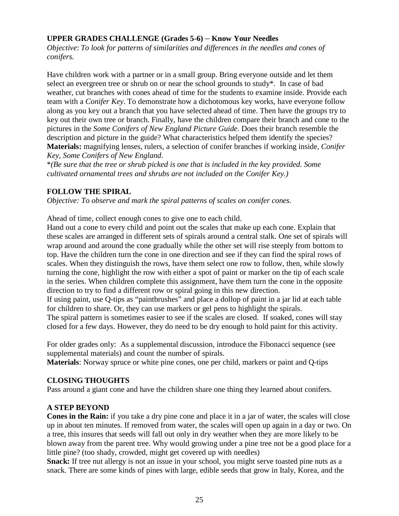#### **UPPER GRADES CHALLENGE (Grades 5-6)** – **Know Your Needles**

*Objective*: *To look for patterns of similarities and differences in the needles and cones of conifers.* 

Have children work with a partner or in a small group. Bring everyone outside and let them select an evergreen tree or shrub on or near the school grounds to study\*. In case of bad weather, cut branches with cones ahead of time for the students to examine inside. Provide each team with a *Conifer Key*. To demonstrate how a dichotomous key works, have everyone follow along as you key out a branch that you have selected ahead of time. Then have the groups try to key out their own tree or branch. Finally, have the children compare their branch and cone to the pictures in the *Some Conifers of New England Picture Guide*. Does their branch resemble the description and picture in the guide? What characteristics helped them identify the species? **Materials:** magnifying lenses, rulers, a selection of conifer branches if working inside, *Conifer Key, Some Conifers of New England*.

\**(Be sure that the tree or shrub picked is one that is included in the key provided. Some cultivated ornamental trees and shrubs are not included on the Conifer Key.)*

#### **FOLLOW THE SPIRAL**

*Objective: To observe and mark the spiral patterns of scales on conifer cones.* 

Ahead of time, collect enough cones to give one to each child.

Hand out a cone to every child and point out the scales that make up each cone. Explain that these scales are arranged in different sets of spirals around a central stalk. One set of spirals will wrap around and around the cone gradually while the other set will rise steeply from bottom to top. Have the children turn the cone in one direction and see if they can find the spiral rows of scales. When they distinguish the rows, have them select one row to follow, then, while slowly turning the cone, highlight the row with either a spot of paint or marker on the tip of each scale in the series. When children complete this assignment, have them turn the cone in the opposite direction to try to find a different row or spiral going in this new direction.

If using paint, use Q-tips as "paintbrushes" and place a dollop of paint in a jar lid at each table for children to share. Or, they can use markers or gel pens to highlight the spirals.

The spiral pattern is sometimes easier to see if the scales are closed. If soaked, cones will stay closed for a few days. However, they do need to be dry enough to hold paint for this activity.

For older grades only: As a supplemental discussion, introduce the Fibonacci sequence (see supplemental materials) and count the number of spirals.

**Materials**: Norway spruce or white pine cones, one per child, markers or paint and Q-tips

#### **CLOSING THOUGHTS**

Pass around a giant cone and have the children share one thing they learned about conifers.

#### **A STEP BEYOND**

**Cones in the Rain:** if you take a dry pine cone and place it in a jar of water, the scales will close up in about ten minutes. If removed from water, the scales will open up again in a day or two. On a tree, this insures that seeds will fall out only in dry weather when they are more likely to be blown away from the parent tree. Why would growing under a pine tree not be a good place for a little pine? (too shady, crowded, might get covered up with needles)

**Snack:** If tree nut allergy is not an issue in your school, you might serve toasted pine nuts as a snack. There are some kinds of pines with large, edible seeds that grow in Italy, Korea, and the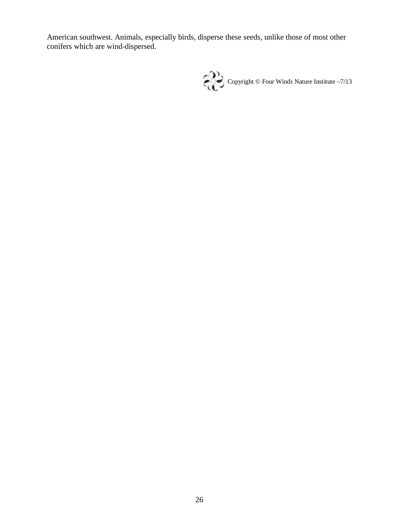American southwest. Animals, especially birds, disperse these seeds, unlike those of most other conifers which are wind-dispersed.

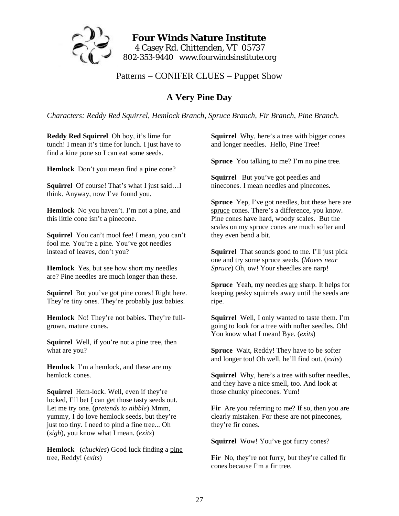

**Four Winds Nature Institute**  4 Casey Rd. Chittenden, VT 05737 802-353-9440 www.fourwindsinstitute.org

#### Patterns – CONIFER CLUES – Puppet Show

#### **A Very Pine Day**

*Characters: Reddy Red Squirrel, Hemlock Branch, Spruce Branch, Fir Branch, Pine Branch.*

**Reddy Red Squirrel** Oh boy, it's lime for tunch! I mean it's time for lunch. I just have to find a kine pone so I can eat some seeds.

**Hemlock** Don't you mean find a **p**ine **c**one?

**Squirrel** Of course! That's what I just said…I think. Anyway, now I've found you.

**Hemlock** No you haven't. I'm not a pine, and this little cone isn't a pinecone.

**Squirrel** You can't mool fee! I mean, you can't fool me. You're a pine. You've got needles instead of leaves, don't you?

**Hemlock** Yes, but see how short my needles are? Pine needles are much longer than these.

**Squirrel** But you've got pine cones! Right here. They're tiny ones. They're probably just babies.

**Hemlock** No! They're not babies. They're fullgrown, mature cones.

**Squirrel** Well, if you're not a pine tree, then what are you?

**Hemlock** I'm a hemlock, and these are my hemlock cones.

**Squirrel** Hem-lock. Well, even if they're locked, I'll bet I can get those tasty seeds out. Let me try one. (*pretends to nibble*) Mmm, yummy, I do love hemlock seeds, but they're just too tiny. I need to pind a fine tree... Oh (*sigh*), you know what I mean. (*exits*)

**Hemlock** (*chuckles*) Good luck finding a pine tree, Reddy! (*exits*)

**Squirrel** Why, here's a tree with bigger cones and longer needles. Hello, Pine Tree!

**Spruce** You talking to me? I'm no pine tree.

**Squirrel** But you've got peedles and ninecones. I mean needles and pinecones.

**Spruce** Yep, I've got needles, but these here are spruce cones. There's a difference, you know. Pine cones have hard, woody scales. But the scales on my spruce cones are much softer and they even bend a bit.

**Squirrel** That sounds good to me. I'll just pick one and try some spruce seeds. (*Moves near Spruce*) Oh, ow! Your sheedles are narp!

**Spruce** Yeah, my needles are sharp. It helps for keeping pesky squirrels away until the seeds are ripe.

**Squirrel** Well, I only wanted to taste them. I'm going to look for a tree with nofter seedles. Oh! You know what I mean! Bye. (*exits*)

**Spruce** Wait, Reddy! They have to be softer and longer too! Oh well, he'll find out. (*exits*)

**Squirrel** Why, here's a tree with softer needles, and they have a nice smell, too. And look at those chunky pinecones. Yum!

Fir Are you referring to me? If so, then you are clearly mistaken. For these are not pinecones, they're fir cones.

**Squirrel** Wow! You've got furry cones?

Fir No, they're not furry, but they're called fir cones because I'm a fir tree.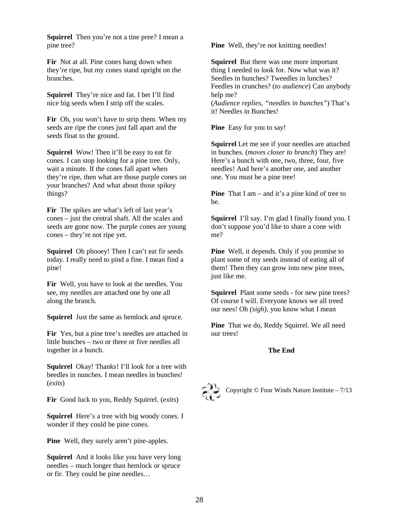**Squirrel** Then you're not a tine pree? I mean a pine tree?

Fir Not at all. Pine cones hang down when they're ripe, but my cones stand upright on the branches.

**Squirrel** They're nice and fat. I bet I'll find nice big seeds when I strip off the scales.

Fir Oh, you won't have to strip them. When my seeds are ripe the cones just fall apart and the seeds float to the ground.

**Squirrel** Wow! Then it'll be easy to eat fir cones. I can stop looking for a pine tree. Only, wait a minute. If the cones fall apart when they're ripe, then what are those purple cones on your branches? And what about those spikey things?

**Fir** The spikes are what's left of last year's cones – just the central shaft. All the scales and seeds are gone now. The purple cones are young cones – they're not ripe yet.

**Squirrel** Oh phooey! Then I can't eat fir seeds today. I really need to pind a fine. I mean find a pine!

Fir Well, you have to look at the needles. You see, my needles are attached one by one all along the branch.

**Squirrel** Just the same as hemlock and spruce.

Fir Yes, but a pine tree's needles are attached in little bunches – two or three or five needles all together in a bunch.

**Squirrel** Okay! Thanks! I'll look for a tree with beedles in nunches. I mean needles in bunches! (*exits*)

**Fir** Good luck to you, Reddy Squirrel. (*exits*)

**Squirrel** Here's a tree with big woody cones. I wonder if they could be pine cones.

**Pine** Well, they surely aren't pine-apples.

**Squirrel** And it looks like you have very long needles – much longer than hemlock or spruce or fir. They could be pine needles…

**Pine** Well, they're not knitting needles!

**Squirrel** But there was one more important thing I needed to look for. Now what was it? Seedles in hunches? Tweedles in lunches? Feedles in crunches? (*to audience*) Can anybody help me? (*Audience replies, "needles in bunches"*) That's it! Needles in Bunches!

**Pine** Easy for you to say!

**Squirrel** Let me see if your needles are attached in bunches. (*moves closer to branch*) They are! Here's a bunch with one, two, three, four, five needles! And here's another one, and another one. You must be a pine tree!

**Pine** That I am – and it's a pine kind of tree to be.

**Squirrel** I'll say. I'm glad I finally found you. I don't suppose you'd like to share a cone with me?

**Pine** Well, it depends. Only if you promise to plant some of my seeds instead of eating all of them! Then they can grow into new pine trees, just like me.

**Squirrel** Plant some seeds - for new pine trees? Of course I will. Everyone knows we all treed our nees! Oh *(sigh)*, you know what I mean

**Pine** That we do, Reddy Squirrel. We all need our trees!

#### **The End**



Copyright  $\odot$  Four Winds Nature Institute – 7/13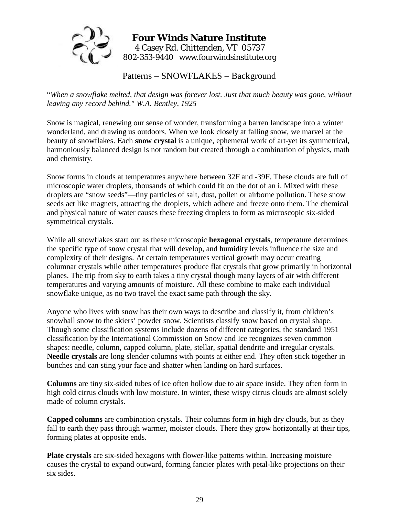

#### **Four Winds Nature Institute**  4 Casey Rd. Chittenden, VT 05737 802-353-9440 www.fourwindsinstitute.org

Patterns – SNOWFLAKES – Background

"*When a snowflake melted, that design was forever lost. Just that much beauty was gone, without leaving any record behind." W.A. Bentley, 1925* 

Snow is magical, renewing our sense of wonder, transforming a barren landscape into a winter wonderland, and drawing us outdoors. When we look closely at falling snow, we marvel at the beauty of snowflakes. Each **snow crystal** is a unique, ephemeral work of art-yet its symmetrical, harmoniously balanced design is not random but created through a combination of physics, math and chemistry.

Snow forms in clouds at temperatures anywhere between 32F and -39F. These clouds are full of microscopic water droplets, thousands of which could fit on the dot of an i. Mixed with these droplets are "snow seeds"—tiny particles of salt, dust, pollen or airborne pollution. These snow seeds act like magnets, attracting the droplets, which adhere and freeze onto them. The chemical and physical nature of water causes these freezing droplets to form as microscopic six-sided symmetrical crystals.

While all snowflakes start out as these microscopic **hexagonal crystals**, temperature determines the specific type of snow crystal that will develop, and humidity levels influence the size and complexity of their designs. At certain temperatures vertical growth may occur creating columnar crystals while other temperatures produce flat crystals that grow primarily in horizontal planes. The trip from sky to earth takes a tiny crystal though many layers of air with different temperatures and varying amounts of moisture. All these combine to make each individual snowflake unique, as no two travel the exact same path through the sky.

Anyone who lives with snow has their own ways to describe and classify it, from children's snowball snow to the skiers' powder snow. Scientists classify snow based on crystal shape. Though some classification systems include dozens of different categories, the standard 1951 classification by the International Commission on Snow and Ice recognizes seven common shapes: needle, column, capped column, plate, stellar, spatial dendrite and irregular crystals. **Needle crystals** are long slender columns with points at either end. They often stick together in bunches and can sting your face and shatter when landing on hard surfaces.

**Columns** are tiny six-sided tubes of ice often hollow due to air space inside. They often form in high cold cirrus clouds with low moisture. In winter, these wispy cirrus clouds are almost solely made of column crystals.

**Capped columns** are combination crystals. Their columns form in high dry clouds, but as they fall to earth they pass through warmer, moister clouds. There they grow horizontally at their tips, forming plates at opposite ends.

**Plate crystals** are six-sided hexagons with flower-like patterns within. Increasing moisture causes the crystal to expand outward, forming fancier plates with petal-like projections on their six sides.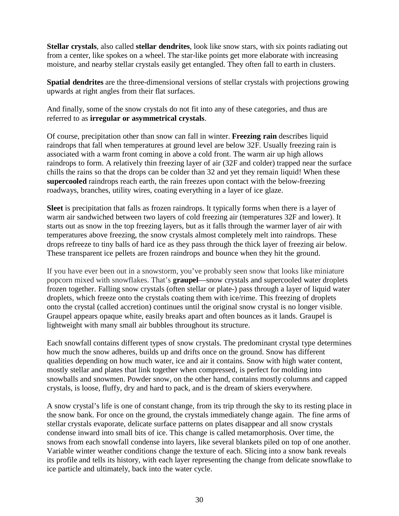**Stellar crystals**, also called **stellar dendrites**, look like snow stars, with six points radiating out from a center, like spokes on a wheel. The star-like points get more elaborate with increasing moisture, and nearby stellar crystals easily get entangled. They often fall to earth in clusters.

**Spatial dendrites** are the three-dimensional versions of stellar crystals with projections growing upwards at right angles from their flat surfaces.

And finally, some of the snow crystals do not fit into any of these categories, and thus are referred to as **irregular or asymmetrical crystals**.

Of course, precipitation other than snow can fall in winter. **Freezing rain** describes liquid raindrops that fall when temperatures at ground level are below 32F. Usually freezing rain is associated with a warm front coming in above a cold front. The warm air up high allows raindrops to form. A relatively thin freezing layer of air (32F and colder) trapped near the surface chills the rains so that the drops can be colder than 32 and yet they remain liquid! When these **supercooled** raindrops reach earth, the rain freezes upon contact with the below-freezing roadways, branches, utility wires, coating everything in a layer of ice glaze.

**Sleet** is precipitation that falls as frozen raindrops. It typically forms when there is a layer of warm air sandwiched between two layers of cold freezing air (temperatures 32F and lower). It starts out as snow in the top freezing layers, but as it falls through the warmer layer of air with temperatures above freezing, the snow crystals almost completely melt into raindrops. These drops refreeze to tiny balls of hard ice as they pass through the thick layer of freezing air below. These transparent ice pellets are frozen raindrops and bounce when they hit the ground.

If you have ever been out in a snowstorm, you've probably seen snow that looks like miniature popcorn mixed with snowflakes. That's **graupel**—snow crystals and supercooled water droplets frozen together. Falling snow crystals (often stellar or plate-) pass through a layer of liquid water droplets, which freeze onto the crystals coating them with ice/rime. This freezing of droplets onto the crystal (called accretion) continues until the original snow crystal is no longer visible. Graupel appears opaque white, easily breaks apart and often bounces as it lands. Graupel is lightweight with many small air bubbles throughout its structure.

Each snowfall contains different types of snow crystals. The predominant crystal type determines how much the snow adheres, builds up and drifts once on the ground. Snow has different qualities depending on how much water, ice and air it contains. Snow with high water content, mostly stellar and plates that link together when compressed, is perfect for molding into snowballs and snowmen. Powder snow, on the other hand, contains mostly columns and capped crystals, is loose, fluffy, dry and hard to pack, and is the dream of skiers everywhere.

A snow crystal's life is one of constant change, from its trip through the sky to its resting place in the snow bank. For once on the ground, the crystals immediately change again. The fine arms of stellar crystals evaporate, delicate surface patterns on plates disappear and all snow crystals condense inward into small bits of ice. This change is called metamorphosis. Over time, the snows from each snowfall condense into layers, like several blankets piled on top of one another. Variable winter weather conditions change the texture of each. Slicing into a snow bank reveals its profile and tells its history, with each layer representing the change from delicate snowflake to ice particle and ultimately, back into the water cycle.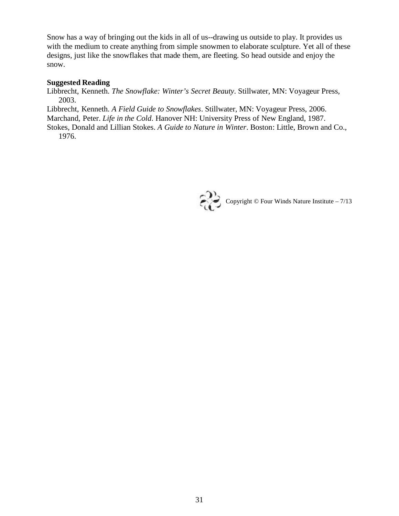Snow has a way of bringing out the kids in all of us--drawing us outside to play. It provides us with the medium to create anything from simple snowmen to elaborate sculpture. Yet all of these designs, just like the snowflakes that made them, are fleeting. So head outside and enjoy the snow.

#### **Suggested Reading**

Libbrecht, Kenneth. *The Snowflake: Winter's Secret Beauty*. Stillwater, MN: Voyageur Press, 2003.

Libbrecht, Kenneth. *A Field Guide to Snowflakes*. Stillwater, MN: Voyageur Press, 2006.

Marchand, Peter. *Life in the Cold*. Hanover NH: University Press of New England, 1987.

Stokes, Donald and Lillian Stokes. *A Guide to Nature in Winter*. Boston: Little, Brown and Co., 1976.

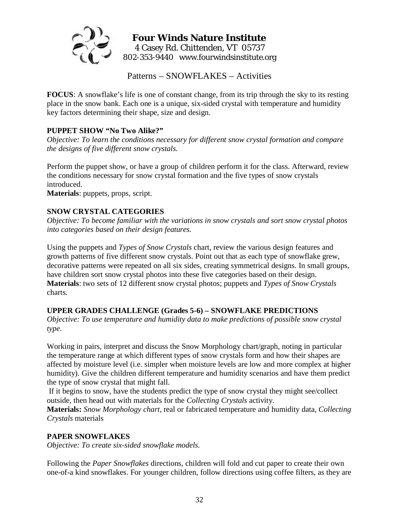

#### **Four Winds Nature Institute**  4 Casey Rd. Chittenden, VT 05737 802-353-9440 www.fourwindsinstitute.org

Patterns – SNOWFLAKES – Activities

**FOCUS**: A snowflake's life is one of constant change, from its trip through the sky to its resting place in the snow bank. Each one is a unique, six-sided crystal with temperature and humidity key factors determining their shape, size and design.

#### **PUPPET SHOW "No Two Alike?"**

*Objective: To learn the conditions necessary for different snow crystal formation and compare the designs of five different snow crystals.* 

Perform the puppet show, or have a group of children perform it for the class. Afterward, review the conditions necessary for snow crystal formation and the five types of snow crystals introduced.

**Materials**: puppets, props, script.

#### **SNOW CRYSTAL CATEGORIES**

*Objective: To become familiar with the variations in snow crystals and sort snow crystal photos into categories based on their design features.* 

Using the puppets and *Types of Snow Crystals* chart*,* review the various design features and growth patterns of five different snow crystals. Point out that as each type of snowflake grew, decorative patterns were repeated on all six sides, creating symmetrical designs. In small groups, have children sort snow crystal photos into these five categories based on their design. **Materials**: two sets of 12 different snow crystal photos; puppets and *Types of Snow Crystals*  charts*.*

#### **UPPER GRADES CHALLENGE (Grades 5-6) – SNOWFLAKE PREDICTIONS**

*Objective: To use temperature and humidity data to make predictions of possible snow crystal type.* 

Working in pairs, interpret and discuss the Snow Morphology chart/graph, noting in particular the temperature range at which different types of snow crystals form and how their shapes are affected by moisture level (i.e. simpler when moisture levels are low and more complex at higher humidity). Give the children different temperature and humidity scenarios and have them predict the type of snow crystal that might fall.

If it begins to snow, have the students predict the type of snow crystal they might see/collect outside, then head out with materials for the *Collecting Crystals* activity.

**Materials:** *Snow Morphology chart,* real or fabricated temperature and humidity data, *Collecting Crystals* materials

#### **PAPER SNOWFLAKES**

*Objective: To create six-sided snowflake models.* 

Following the *Paper Snowflakes* directions, children will fold and cut paper to create their own one-of-a kind snowflakes. For younger children, follow directions using coffee filters, as they are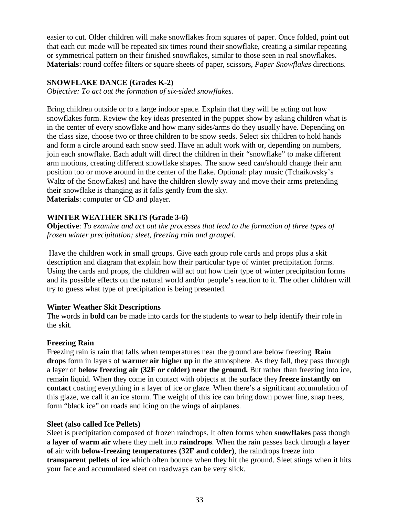easier to cut. Older children will make snowflakes from squares of paper. Once folded, point out that each cut made will be repeated six times round their snowflake, creating a similar repeating or symmetrical pattern on their finished snowflakes, similar to those seen in real snowflakes. **Materials**: round coffee filters or square sheets of paper, scissors, *Paper Snowflakes* directions.

#### **SNOWFLAKE DANCE (Grades K-2)**

*Objective: To act out the formation of six-sided snowflakes.* 

Bring children outside or to a large indoor space. Explain that they will be acting out how snowflakes form. Review the key ideas presented in the puppet show by asking children what is in the center of every snowflake and how many sides/arms do they usually have. Depending on the class size, choose two or three children to be snow seeds. Select six children to hold hands and form a circle around each snow seed. Have an adult work with or, depending on numbers, join each snowflake. Each adult will direct the children in their "snowflake" to make different arm motions, creating different snowflake shapes. The snow seed can/should change their arm position too or move around in the center of the flake. Optional: play music (Tchaikovsky's Waltz of the Snowflakes) and have the children slowly sway and move their arms pretending their snowflake is changing as it falls gently from the sky. **Materials**: computer or CD and player.

#### **WINTER WEATHER SKITS (Grade 3-6)**

**Objective**: *To examine and act out the processes that lead to the formation of three types of frozen winter precipitation; sleet, freezing rain and graupel*.

Have the children work in small groups. Give each group role cards and props plus a skit description and diagram that explain how their particular type of winter precipitation forms. Using the cards and props, the children will act out how their type of winter precipitation forms and its possible effects on the natural world and/or people's reaction to it. The other children will try to guess what type of precipitation is being presented.

#### **Winter Weather Skit Descriptions**

The words in **bold** can be made into cards for the students to wear to help identify their role in the skit.

#### **Freezing Rain**

Freezing rain is rain that falls when temperatures near the ground are below freezing. **Rain drops** form in layers of **warm**er **air high**er **up** in the atmosphere. As they fall, they pass through a layer of **below freezing air (32F or colder) near the ground.** But rather than freezing into ice, remain liquid. When they come in contact with objects at the surface they **freeze instantly on contact** coating everything in a layer of ice or glaze. When there's a significant accumulation of this glaze, we call it an ice storm. The weight of this ice can bring down power line, snap trees, form "black ice" on roads and icing on the wings of airplanes.

#### **Sleet (also called Ice Pellets)**

Sleet is precipitation composed of frozen raindrops. It often forms when **snowflakes** pass though a **layer of warm air** where they melt into **raindrops**. When the rain passes back through a **layer of** air with **below-freezing temperatures (32F and colder)**, the raindrops freeze into **transparent pellets of ice** which often bounce when they hit the ground. Sleet stings when it hits your face and accumulated sleet on roadways can be very slick.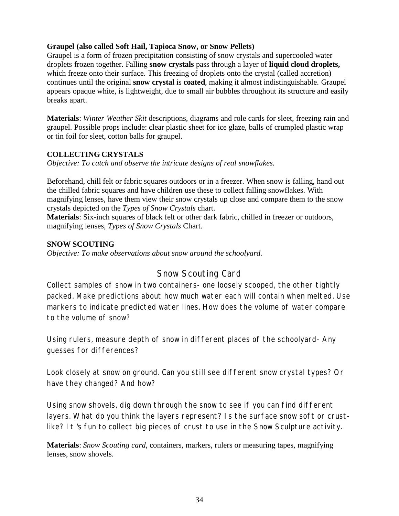### **Graupel (also called Soft Hail, Tapioca Snow, or Snow Pellets)**

Graupel is a form of frozen precipitation consisting of snow crystals and supercooled water droplets frozen together. Falling **snow crystals** pass through a layer of **liquid cloud droplets,** which freeze onto their surface. This freezing of droplets onto the crystal (called accretion) continues until the original **snow crystal** is **coated**, making it almost indistinguishable. Graupel appears opaque white, is lightweight, due to small air bubbles throughout its structure and easily breaks apart.

**Materials**: *Winter Weather Skit* descriptions, diagrams and role cards for sleet, freezing rain and graupel. Possible props include: clear plastic sheet for ice glaze, balls of crumpled plastic wrap or tin foil for sleet, cotton balls for graupel.

### **COLLECTING CRYSTALS**

*Objective: To catch and observe the intricate designs of real snowflakes.* 

Beforehand, chill felt or fabric squares outdoors or in a freezer. When snow is falling, hand out the chilled fabric squares and have children use these to collect falling snowflakes. With magnifying lenses, have them view their snow crystals up close and compare them to the snow crystals depicted on the *Types of Snow Crystals* chart.

**Materials**: Six-inch squares of black felt or other dark fabric, chilled in freezer or outdoors, magnifying lenses, *Types of Snow Crystals* Chart.

#### **SNOW SCOUTING**

*Objective: To make observations about snow around the schoolyard.* 

# Snow Scouting Card

Collect samples of snow in two containers- one loosely scooped, the other tightly packed. Make predictions about how much water each will contain when melted. Use markers to indicate predicted water lines. How does the volume of water compare to the volume of snow?

Using rulers, measure depth of snow in different places of the schoolyard- Any guesses for differences?

Look closely at snow on ground. Can you still see different snow crystal types? Or have they changed? And how?

Using snow shovels, dig down through the snow to see if you can find different layers. What do you think the layers represent? Is the surface snow soft or crustlike? It 's fun to collect big pieces of crust to use in the Snow Sculpture activity.

**Materials**: *Snow Scouting card*, containers, markers, rulers or measuring tapes, magnifying lenses, snow shovels.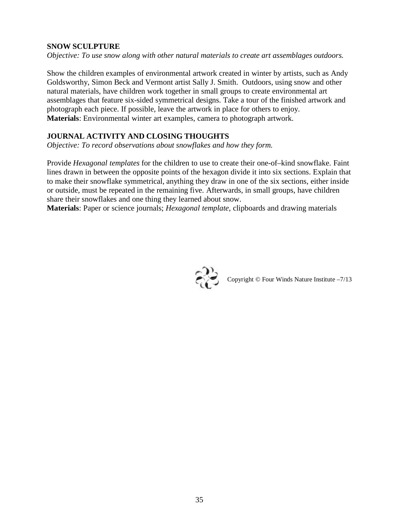#### **SNOW SCULPTURE**

*Objective: To use snow along with other natural materials to create art assemblages outdoors.* 

Show the children examples of environmental artwork created in winter by artists, such as Andy Goldsworthy, Simon Beck and Vermont artist Sally J. Smith. Outdoors, using snow and other natural materials, have children work together in small groups to create environmental art assemblages that feature six-sided symmetrical designs. Take a tour of the finished artwork and photograph each piece. If possible, leave the artwork in place for others to enjoy. **Materials**: Environmental winter art examples, camera to photograph artwork.

# **JOURNAL ACTIVITY AND CLOSING THOUGHTS**

*Objective: To record observations about snowflakes and how they form.*

Provide *Hexagonal templates* for the children to use to create their one-of–kind snowflake. Faint lines drawn in between the opposite points of the hexagon divide it into six sections. Explain that to make their snowflake symmetrical, anything they draw in one of the six sections, either inside or outside, must be repeated in the remaining five. Afterwards, in small groups, have children share their snowflakes and one thing they learned about snow.

**Materials**: Paper or science journals; *Hexagonal template*, clipboards and drawing materials



Copyright © Four Winds Nature Institute –7/13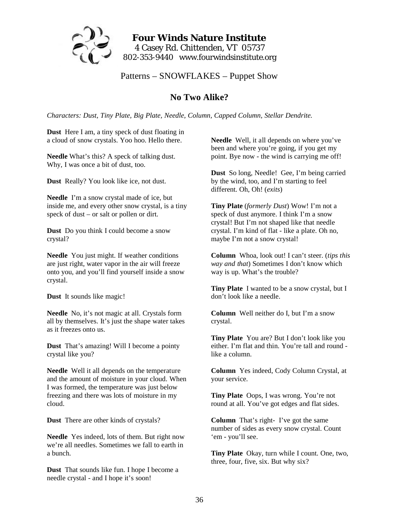

# **Four Winds Nature Institute**  4 Casey Rd. Chittenden, VT 05737 802-353-9440 www.fourwindsinstitute.org

Patterns – SNOWFLAKES – Puppet Show

# **No Two Alike?**

*Characters: Dust, Tiny Plate, Big Plate, Needle, Column, Capped Column, Stellar Dendrite.* 

**Dust** Here I am, a tiny speck of dust floating in a cloud of snow crystals. Yoo hoo. Hello there.

**Needle** What's this? A speck of talking dust. Why, I was once a bit of dust, too.

**Dust** Really? You look like ice, not dust.

**Needle** I'm a snow crystal made of ice, but inside me, and every other snow crystal, is a tiny speck of dust – or salt or pollen or dirt.

**Dust** Do you think I could become a snow crystal?

**Needle** You just might. If weather conditions are just right, water vapor in the air will freeze onto you, and you'll find yourself inside a snow crystal.

**Dust** It sounds like magic!

**Needle** No, it's not magic at all. Crystals form all by themselves. It's just the shape water takes as it freezes onto us.

**Dust** That's amazing! Will I become a pointy crystal like you?

**Needle** Well it all depends on the temperature and the amount of moisture in your cloud. When I was formed, the temperature was just below freezing and there was lots of moisture in my cloud.

**Dust** There are other kinds of crystals?

**Needle** Yes indeed, lots of them. But right now we're all needles. Sometimes we fall to earth in a bunch.

**Dust** That sounds like fun. I hope I become a needle crystal - and I hope it's soon!

**Needle** Well, it all depends on where you've been and where you're going, if you get my point. Bye now - the wind is carrying me off!

**Dust** So long, Needle! Gee, I'm being carried by the wind, too, and I'm starting to feel different. Oh, Oh! (*exits*)

**Tiny Plate** (*formerly Dust*) Wow! I'm not a speck of dust anymore. I think I'm a snow crystal! But I'm not shaped like that needle crystal. I'm kind of flat - like a plate. Oh no, maybe I'm not a snow crystal!

**Column** Whoa, look out! I can't steer. (*tips this way and that*) Sometimes I don't know which way is up. What's the trouble?

**Tiny Plate** I wanted to be a snow crystal, but I don't look like a needle.

**Column** Well neither do I, but I'm a snow crystal.

**Tiny Plate** You are? But I don't look like you either. I'm flat and thin. You're tall and round like a column.

**Column** Yes indeed, Cody Column Crystal, at your service.

**Tiny Plate** Oops, I was wrong. You're not round at all. You've got edges and flat sides.

**Column** That's right- I've got the same number of sides as every snow crystal. Count 'em - you'll see.

**Tiny Plate** Okay, turn while I count. One, two, three, four, five, six. But why six?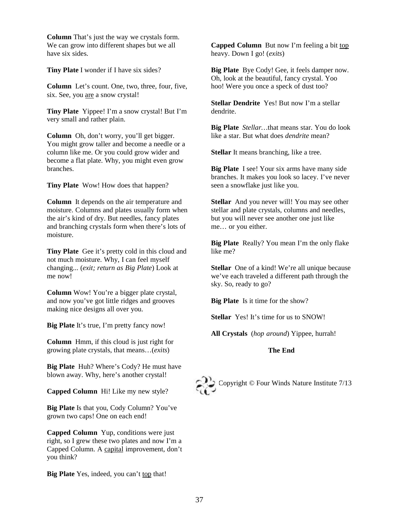**Column** That's just the way we crystals form. We can grow into different shapes but we all have six sides.

**Tiny Plate** I wonder if I have six sides?

**Column** Let's count. One, two, three, four, five, six. See, you are a snow crystal!

**Tiny Plate** Yippee! I'm a snow crystal! But I'm very small and rather plain.

**Column** Oh, don't worry, you'll get bigger. You might grow taller and become a needle or a column like me. Or you could grow wider and become a flat plate. Why, you might even grow branches.

**Tiny Plate** Wow! How does that happen?

**Column** It depends on the air temperature and moisture. Columns and plates usually form when the air's kind of dry. But needles, fancy plates and branching crystals form when there's lots of moisture.

**Tiny Plate** Gee it's pretty cold in this cloud and not much moisture. Why, I can feel myself changing... (*exit; return as Big Plate*) Look at me now!

**Column** Wow! You're a bigger plate crystal, and now you've got little ridges and grooves making nice designs all over you.

**Big Plate** It's true, I'm pretty fancy now!

**Column** Hmm, if this cloud is just right for growing plate crystals, that means…(*exits*)

**Big Plate** Huh? Where's Cody? He must have blown away. Why, here's another crystal!

**Capped Column** Hi! Like my new style?

**Big Plate** Is that you, Cody Column? You've grown two caps! One on each end!

**Capped Column** Yup, conditions were just right, so I grew these two plates and now I'm a Capped Column. A capital improvement, don't you think?

**Big Plate** Yes, indeed, you can't top that!

**Capped Column** But now I'm feeling a bit top heavy. Down I go! (*exits*)

**Big Plate** Bye Cody! Gee, it feels damper now. Oh, look at the beautiful, fancy crystal. Yoo hoo! Were you once a speck of dust too?

**Stellar Dendrite** Yes! But now I'm a stellar dendrite.

**Big Plate** *Stellar…*that means star. You do look like a star. But what does *dendrite* mean?

**Stellar** It means branching, like a tree.

**Big Plate** I see! Your six arms have many side branches. It makes you look so lacey. I've never seen a snowflake just like you.

**Stellar** And you never will! You may see other stellar and plate crystals, columns and needles, but you will never see another one just like me… or you either.

**Big Plate** Really? You mean I'm the only flake like me?

**Stellar** One of a kind! We're all unique because we've each traveled a different path through the sky. So, ready to go?

**Big Plate** Is it time for the show?

**Stellar** Yes! It's time for us to SNOW!

**All Crystals** (*hop around*) Yippee, hurrah!

#### **The End**

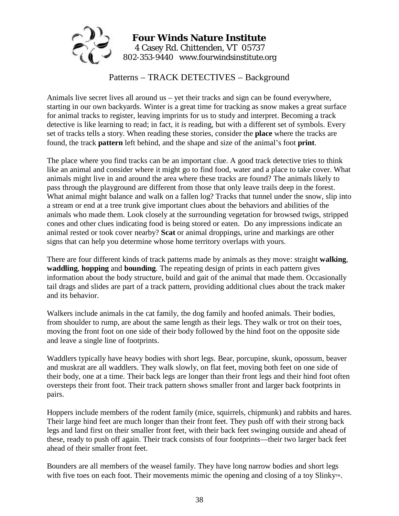

# Patterns – TRACK DETECTIVES – Background

Animals live secret lives all around us – yet their tracks and sign can be found everywhere, starting in our own backyards. Winter is a great time for tracking as snow makes a great surface for animal tracks to register, leaving imprints for us to study and interpret. Becoming a track detective is like learning to read; in fact, it *is* reading, but with a different set of symbols. Every set of tracks tells a story. When reading these stories, consider the **place** where the tracks are found, the track **pattern** left behind, and the shape and size of the animal's foot **print**.

The place where you find tracks can be an important clue. A good track detective tries to think like an animal and consider where it might go to find food, water and a place to take cover. What animals might live in and around the area where these tracks are found? The animals likely to pass through the playground are different from those that only leave trails deep in the forest. What animal might balance and walk on a fallen log? Tracks that tunnel under the snow, slip into a stream or end at a tree trunk give important clues about the behaviors and abilities of the animals who made them. Look closely at the surrounding vegetation for browsed twigs, stripped cones and other clues indicating food is being stored or eaten. Do any impressions indicate an animal rested or took cover nearby? **Scat** or animal droppings, urine and markings are other signs that can help you determine whose home territory overlaps with yours.

There are four different kinds of track patterns made by animals as they move: straight **walking**, **waddling**, **hopping** and **bounding**. The repeating design of prints in each pattern gives information about the body structure, build and gait of the animal that made them. Occasionally tail drags and slides are part of a track pattern, providing additional clues about the track maker and its behavior.

Walkers include animals in the cat family, the dog family and hoofed animals. Their bodies, from shoulder to rump, are about the same length as their legs. They walk or trot on their toes, moving the front foot on one side of their body followed by the hind foot on the opposite side and leave a single line of footprints.

Waddlers typically have heavy bodies with short legs. Bear, porcupine, skunk, opossum, beaver and muskrat are all waddlers. They walk slowly, on flat feet, moving both feet on one side of their body, one at a time. Their back legs are longer than their front legs and their hind foot often oversteps their front foot. Their track pattern shows smaller front and larger back footprints in pairs.

Hoppers include members of the rodent family (mice, squirrels, chipmunk) and rabbits and hares. Their large hind feet are much longer than their front feet. They push off with their strong back legs and land first on their smaller front feet, with their back feet swinging outside and ahead of these, ready to push off again. Their track consists of four footprints—their two larger back feet ahead of their smaller front feet.

Bounders are all members of the weasel family. They have long narrow bodies and short legs with five toes on each foot. Their movements mimic the opening and closing of a toy Slinky™.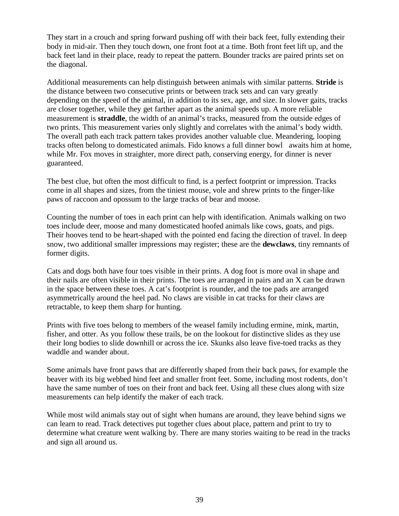They start in a crouch and spring forward pushing off with their back feet, fully extending their body in mid-air. Then they touch down, one front foot at a time. Both front feet lift up, and the back feet land in their place, ready to repeat the pattern. Bounder tracks are paired prints set on the diagonal.

Additional measurements can help distinguish between animals with similar patterns. **Stride** is the distance between two consecutive prints or between track sets and can vary greatly depending on the speed of the animal, in addition to its sex, age, and size. In slower gaits, tracks are closer together, while they get farther apart as the animal speeds up. A more reliable measurement is **straddle**, the width of an animal's tracks, measured from the outside edges of two prints. This measurement varies only slightly and correlates with the animal's body width. The overall path each track pattern takes provides another valuable clue. Meandering, looping tracks often belong to domesticated animals. Fido knows a full dinner bowl awaits him at home, while Mr. Fox moves in straighter, more direct path, conserving energy, for dinner is never guaranteed.

The best clue, but often the most difficult to find, is a perfect footprint or impression. Tracks come in all shapes and sizes, from the tiniest mouse, vole and shrew prints to the finger-like paws of raccoon and opossum to the large tracks of bear and moose.

Counting the number of toes in each print can help with identification. Animals walking on two toes include deer, moose and many domesticated hoofed animals like cows, goats, and pigs. Their hooves tend to be heart-shaped with the pointed end facing the direction of travel. In deep snow, two additional smaller impressions may register; these are the **dewclaws**, tiny remnants of former digits.

Cats and dogs both have four toes visible in their prints. A dog foot is more oval in shape and their nails are often visible in their prints. The toes are arranged in pairs and an X can be drawn in the space between these toes. A cat's footprint is rounder, and the toe pads are arranged asymmetrically around the heel pad. No claws are visible in cat tracks for their claws are retractable, to keep them sharp for hunting.

Prints with five toes belong to members of the weasel family including ermine, mink, martin, fisher, and otter. As you follow these trails, be on the lookout for distinctive slides as they use their long bodies to slide downhill or across the ice. Skunks also leave five-toed tracks as they waddle and wander about.

Some animals have front paws that are differently shaped from their back paws, for example the beaver with its big webbed hind feet and smaller front feet. Some, including most rodents, don't have the same number of toes on their front and back feet. Using all these clues along with size measurements can help identify the maker of each track.

While most wild animals stay out of sight when humans are around, they leave behind signs we can learn to read. Track detectives put together clues about place, pattern and print to try to determine what creature went walking by. There are many stories waiting to be read in the tracks and sign all around us.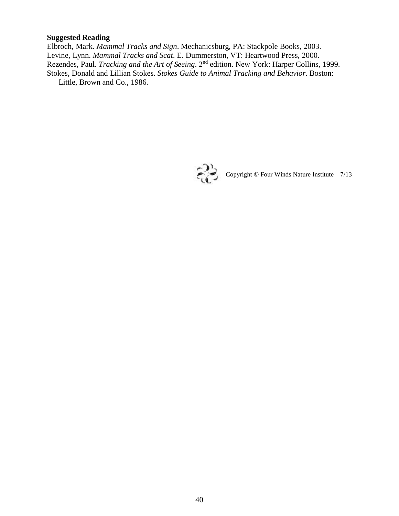# **Suggested Reading**

Elbroch, Mark. *Mammal Tracks and Sign*. Mechanicsburg, PA: Stackpole Books, 2003. Levine, Lynn. *Mammal Tracks and Scat*. E. Dummerston, VT: Heartwood Press, 2000. Rezendes, Paul. *Tracking and the Art of Seeing*. 2nd edition. New York: Harper Collins, 1999. Stokes, Donald and Lillian Stokes. *Stokes Guide to Animal Tracking and Behavior*. Boston: Little, Brown and Co., 1986.



Copyright  $\copyright$  Four Winds Nature Institute –  $7/13$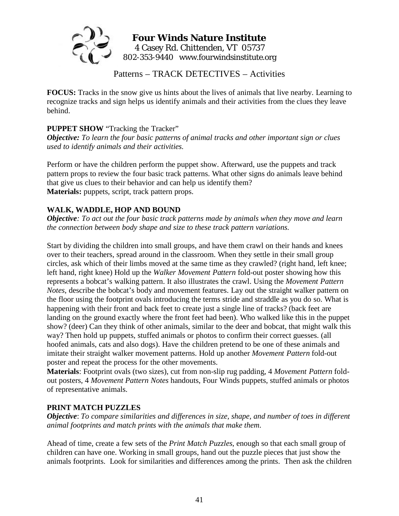

# **Four Winds Nature Institute**  4 Casey Rd. Chittenden, VT 05737 802-353-9440 www.fourwindsinstitute.org

Patterns – TRACK DETECTIVES – Activities

**FOCUS:** Tracks in the snow give us hints about the lives of animals that live nearby. Learning to recognize tracks and sign helps us identify animals and their activities from the clues they leave behind.

#### **PUPPET SHOW** "Tracking the Tracker"

*Objective: To learn the four basic patterns of animal tracks and other important sign or clues used to identify animals and their activities.* 

Perform or have the children perform the puppet show. Afterward, use the puppets and track pattern props to review the four basic track patterns. What other signs do animals leave behind that give us clues to their behavior and can help us identify them? **Materials:** puppets, script, track pattern props.

### **WALK, WADDLE, HOP AND BOUND**

*Objective: To act out the four basic track patterns made by animals when they move and learn the connection between body shape and size to these track pattern variations.* 

Start by dividing the children into small groups, and have them crawl on their hands and knees over to their teachers, spread around in the classroom. When they settle in their small group circles, ask which of their limbs moved at the same time as they crawled? (right hand, left knee; left hand, right knee) Hold up the *Walker Movement Pattern* fold-out poster showing how this represents a bobcat's walking pattern. It also illustrates the crawl. Using the *Movement Pattern Notes*, describe the bobcat's body and movement features. Lay out the straight walker pattern on the floor using the footprint ovals introducing the terms stride and straddle as you do so. What is happening with their front and back feet to create just a single line of tracks? (back feet are landing on the ground exactly where the front feet had been). Who walked like this in the puppet show? (deer) Can they think of other animals, similar to the deer and bobcat, that might walk this way? Then hold up puppets, stuffed animals or photos to confirm their correct guesses. (all hoofed animals, cats and also dogs). Have the children pretend to be one of these animals and imitate their straight walker movement patterns. Hold up another *Movement Pattern* fold-out poster and repeat the process for the other movements.

**Materials**: Footprint ovals (two sizes), cut from non-slip rug padding, 4 *Movement Pattern* foldout posters, 4 *Movement Pattern Notes* handouts, Four Winds puppets, stuffed animals or photos of representative animals.

### **PRINT MATCH PUZZLES**

*Objective*: *To compare similarities and differences in size, shape, and number of toes in different animal footprints and match prints with the animals that make them*.

Ahead of time, create a few sets of the *Print Match Puzzles*, enough so that each small group of children can have one. Working in small groups, hand out the puzzle pieces that just show the animals footprints. Look for similarities and differences among the prints. Then ask the children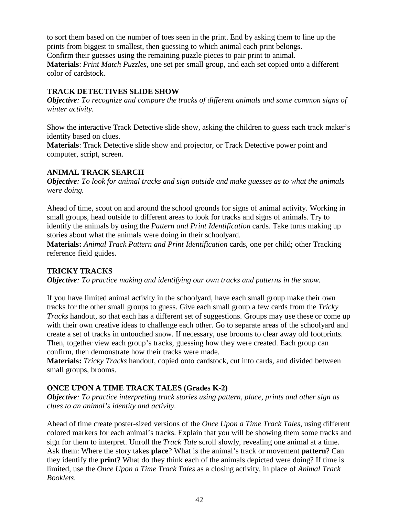to sort them based on the number of toes seen in the print. End by asking them to line up the prints from biggest to smallest, then guessing to which animal each print belongs. Confirm their guesses using the remaining puzzle pieces to pair print to animal. **Materials**: *Print Match Puzzles*, one set per small group, and each set copied onto a different

color of cardstock.

### **TRACK DETECTIVES SLIDE SHOW**

*Objective: To recognize and compare the tracks of different animals and some common signs of winter activity.* 

Show the interactive Track Detective slide show, asking the children to guess each track maker's identity based on clues.

**Materials**: Track Detective slide show and projector, or Track Detective power point and computer, script, screen.

### **ANIMAL TRACK SEARCH**

*Objective: To look for animal tracks and sign outside and make guesses as to what the animals were doing.* 

Ahead of time, scout on and around the school grounds for signs of animal activity. Working in small groups, head outside to different areas to look for tracks and signs of animals. Try to identify the animals by using the *Pattern and Print Identification* cards. Take turns making up stories about what the animals were doing in their schoolyard.

**Materials:** *Animal Track Pattern and Print Identification* cards, one per child; other Tracking reference field guides.

### **TRICKY TRACKS**

*Objective: To practice making and identifying our own tracks and patterns in the snow.* 

If you have limited animal activity in the schoolyard, have each small group make their own tracks for the other small groups to guess. Give each small group a few cards from the *Tricky Tracks* handout, so that each has a different set of suggestions. Groups may use these or come up with their own creative ideas to challenge each other. Go to separate areas of the schoolyard and create a set of tracks in untouched snow. If necessary, use brooms to clear away old footprints. Then, together view each group's tracks, guessing how they were created. Each group can confirm, then demonstrate how their tracks were made.

**Materials:** *Tricky Tracks* handout, copied onto cardstock, cut into cards, and divided between small groups, brooms.

# **ONCE UPON A TIME TRACK TALES (Grades K-2)**

*Objective: To practice interpreting track stories using pattern, place, prints and other sign as clues to an animal's identity and activity.* 

Ahead of time create poster-sized versions of the *Once Upon a Time Track Tales*, using different colored markers for each animal's tracks. Explain that you will be showing them some tracks and sign for them to interpret. Unroll the *Track Tale* scroll slowly, revealing one animal at a time. Ask them: Where the story takes **place**? What is the animal's track or movement **pattern**? Can they identify the **print**? What do they think each of the animals depicted were doing? If time is limited, use the *Once Upon a Time Track Tales* as a closing activity, in place of *Animal Track Booklets*.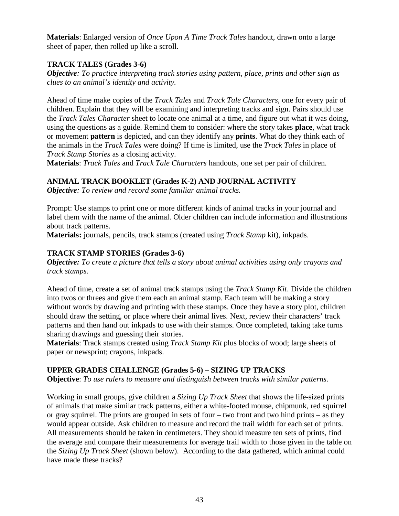**Materials**: Enlarged version of *Once Upon A Time Track Tales* handout, drawn onto a large sheet of paper, then rolled up like a scroll.

### **TRACK TALES (Grades 3-6)**

*Objective: To practice interpreting track stories using pattern, place, prints and other sign as clues to an animal's identity and activity.* 

Ahead of time make copies of the *Track Tales* and *Track Tale Characters*, one for every pair of children. Explain that they will be examining and interpreting tracks and sign. Pairs should use the *Track Tales Character* sheet to locate one animal at a time, and figure out what it was doing, using the questions as a guide. Remind them to consider: where the story takes **place**, what track or movement **pattern** is depicted, and can they identify any **prints**. What do they think each of the animals in the *Track Tales* were doing? If time is limited, use the *Track Tales* in place of *Track Stamp Stories* as a closing activity.

**Materials**: *Track Tales* and *Track Tale Characters* handouts, one set per pair of children.

# **ANIMAL TRACK BOOKLET (Grades K-2) AND JOURNAL ACTIVITY**

*Objective: To review and record some familiar animal tracks.* 

Prompt: Use stamps to print one or more different kinds of animal tracks in your journal and label them with the name of the animal. Older children can include information and illustrations about track patterns.

**Materials:** journals, pencils, track stamps (created using *Track Stamp* kit), inkpads.

# **TRACK STAMP STORIES (Grades 3-6)**

*Objective: To create a picture that tells a story about animal activities using only crayons and track stamps.* 

Ahead of time, create a set of animal track stamps using the *Track Stamp Kit*. Divide the children into twos or threes and give them each an animal stamp. Each team will be making a story without words by drawing and printing with these stamps. Once they have a story plot, children should draw the setting, or place where their animal lives. Next, review their characters' track patterns and then hand out inkpads to use with their stamps. Once completed, taking take turns sharing drawings and guessing their stories.

**Materials**: Track stamps created using *Track Stamp Kit* plus blocks of wood; large sheets of paper or newsprint; crayons, inkpads.

# **UPPER GRADES CHALLENGE (Grades 5-6) – SIZING UP TRACKS**

**Objective**: *To use rulers to measure and distinguish between tracks with similar patterns.* 

Working in small groups, give children a *Sizing Up Track Sheet* that shows the life-sized prints of animals that make similar track patterns, either a white-footed mouse, chipmunk, red squirrel or gray squirrel. The prints are grouped in sets of four – two front and two hind prints – as they would appear outside. Ask children to measure and record the trail width for each set of prints. All measurements should be taken in centimeters. They should measure ten sets of prints, find the average and compare their measurements for average trail width to those given in the table on the *Sizing Up Track Sheet* (shown below). According to the data gathered, which animal could have made these tracks?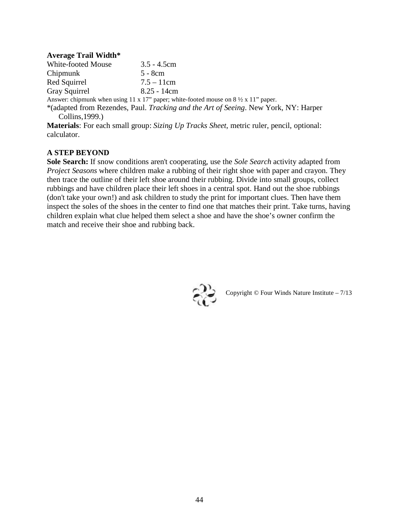#### **Average Trail Width\***

| <b>White-footed Mouse</b>                                 | $3.5 - 4.5cm$ |
|-----------------------------------------------------------|---------------|
| Chipmunk                                                  | 5 - 8cm       |
| Red Squirrel                                              | $7.5 - 11$ cm |
| Gray Squirrel                                             | $8.25 - 14cm$ |
| Answer: chinmunk when using $11 \times 17$ " paper: white |               |

Answer: chipmunk when using 11 x 17" paper; white-footed mouse on 8 ½ x 11" paper.

\*(adapted from Rezendes, Paul. *Tracking and the Art of Seeing*. New York, NY: Harper Collins,1999.)

**Materials**: For each small group: *Sizing Up Tracks Sheet*, metric ruler, pencil, optional: calculator.

#### **A STEP BEYOND**

**Sole Search:** If snow conditions aren't cooperating, use the *Sole Search* activity adapted from *Project Seasons* where children make a rubbing of their right shoe with paper and crayon. They then trace the outline of their left shoe around their rubbing. Divide into small groups, collect rubbings and have children place their left shoes in a central spot. Hand out the shoe rubbings (don't take your own!) and ask children to study the print for important clues. Then have them inspect the soles of the shoes in the center to find one that matches their print. Take turns, having children explain what clue helped them select a shoe and have the shoe's owner confirm the match and receive their shoe and rubbing back.



Copyright © Four Winds Nature Institute – 7/13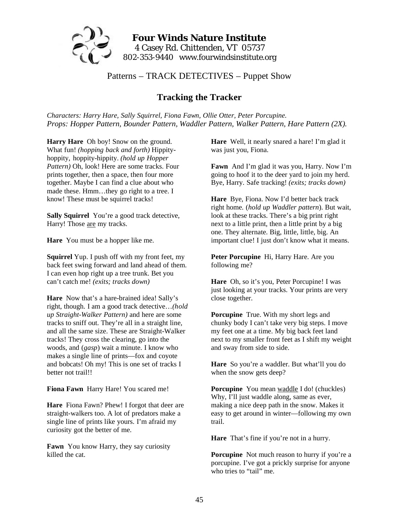

# Patterns – TRACK DETECTIVES – Puppet Show

# **Tracking the Tracker**

*Characters: Harry Hare, Sally Squirrel, Fiona Fawn, Ollie Otter, Peter Porcupine. Props: Hopper Pattern, Bounder Pattern, Waddler Pattern, Walker Pattern, Hare Pattern (2X).* 

**Harry Hare** Oh boy! Snow on the ground. What fun! *(hopping back and forth)* Hippityhoppity, hoppity-hippity. *(hold up Hopper Pattern)* Oh, look! Here are some tracks. Four prints together, then a space, then four more together. Maybe I can find a clue about who made these. Hmm…they go right to a tree. I know! These must be squirrel tracks!

**Sally Squirrel** You're a good track detective, Harry! Those are my tracks.

**Hare** You must be a hopper like me.

**Squirrel** Yup. I push off with my front feet, my back feet swing forward and land ahead of them. I can even hop right up a tree trunk. Bet you can't catch me! *(exits; tracks down)*

**Hare** Now that's a hare-brained idea! Sally's right, though. I am a good track detective…*(hold up Straight-Walker Pattern)* and here are some tracks to sniff out. They're all in a straight line, and all the same size. These are Straight-Walker tracks! They cross the clearing, go into the woods, and (*gasp*) wait a minute. I know who makes a single line of prints—fox and coyote and bobcats! Oh my! This is one set of tracks I better not trail!!

**Fiona Fawn** Harry Hare! You scared me!

**Hare** Fiona Fawn? Phew! I forgot that deer are straight-walkers too. A lot of predators make a single line of prints like yours. I'm afraid my curiosity got the better of me.

**Fawn** You know Harry, they say curiosity killed the cat.

**Hare** Well, it nearly snared a hare! I'm glad it was just you, Fiona.

**Fawn** And I'm glad it was you, Harry. Now I'm going to hoof it to the deer yard to join my herd. Bye, Harry. Safe tracking! *(exits; tracks down)* 

**Hare** Bye, Fiona. Now I'd better back track right home. (*hold up Waddler pattern*). But wait, look at these tracks. There's a big print right next to a little print, then a little print by a big one. They alternate. Big, little, little, big. An important clue! I just don't know what it means.

**Peter Porcupine** Hi, Harry Hare. Are you following me?

**Hare** Oh, so it's you, Peter Porcupine! I was just looking at your tracks. Your prints are very close together.

**Porcupine** True. With my short legs and chunky body I can't take very big steps. I move my feet one at a time. My big back feet land next to my smaller front feet as I shift my weight and sway from side to side.

**Hare** So you're a waddler. But what'll you do when the snow gets deep?

**Porcupine** You mean waddle I do! (chuckles) Why, I'll just waddle along, same as ever, making a nice deep path in the snow. Makes it easy to get around in winter—following my own trail.

**Hare** That's fine if you're not in a hurry.

Porcupine Not much reason to hurry if you're a porcupine. I've got a prickly surprise for anyone who tries to "tail" me.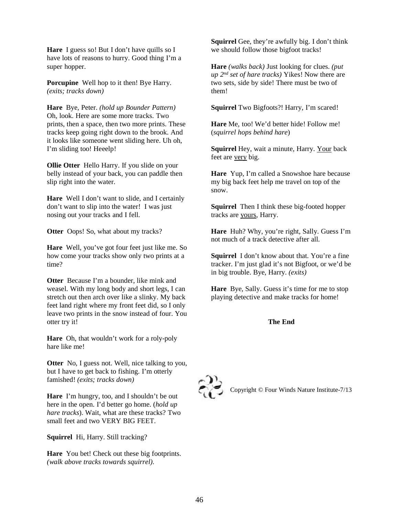**Hare** I guess so! But I don't have quills so I have lots of reasons to hurry. Good thing I'm a super hopper.

**Porcupine** Well hop to it then! Bye Harry. *(exits; tracks down)* 

**Hare** Bye, Peter. *(hold up Bounder Pattern)*  Oh, look. Here are some more tracks. Two prints, then a space, then two more prints. These tracks keep going right down to the brook. And it looks like someone went sliding here. Uh oh, I'm sliding too! Heeelp!

**Ollie Otter** Hello Harry. If you slide on your belly instead of your back, you can paddle then slip right into the water.

**Hare** Well I don't want to slide, and I certainly don't want to slip into the water! I was just nosing out your tracks and I fell.

**Otter** Oops! So, what about my tracks?

**Hare** Well, you've got four feet just like me. So how come your tracks show only two prints at a time?

**Otter** Because I'm a bounder, like mink and weasel. With my long body and short legs, I can stretch out then arch over like a slinky. My back feet land right where my front feet did, so I only leave two prints in the snow instead of four. You otter try it!

**Hare** Oh, that wouldn't work for a roly-poly hare like me!

**Otter** No, I guess not. Well, nice talking to you, but I have to get back to fishing. I'm otterly famished! *(exits; tracks down)* 

**Hare** I'm hungry, too, and I shouldn't be out here in the open. I'd better go home. (*hold up hare tracks*). Wait, what are these tracks? Two small feet and two VERY BIG FEET.

**Squirrel** Hi, Harry. Still tracking?

**Hare** You bet! Check out these big footprints. *(walk above tracks towards squirrel).* 

**Squirrel** Gee, they're awfully big. I don't think we should follow those bigfoot tracks!

**Hare** *(walks back)* Just looking for clues. *(put up 2nd set of hare tracks)* Yikes! Now there are two sets, side by side! There must be two of them!

**Squirrel** Two Bigfoots?! Harry, I'm scared!

**Hare** Me, too! We'd better hide! Follow me! (*squirrel hops behind hare*)

**Squirrel** Hey, wait a minute, Harry. Your back feet are very big.

**Hare** Yup, I'm called a Snowshoe hare because my big back feet help me travel on top of the snow.

**Squirrel** Then I think these big-footed hopper tracks are yours, Harry.

**Hare** Huh? Why, you're right, Sally. Guess I'm not much of a track detective after all.

**Squirrel** I don't know about that. You're a fine tracker. I'm just glad it's not Bigfoot, or we'd be in big trouble. Bye, Harry. *(exits)* 

**Hare** Bye, Sally. Guess it's time for me to stop playing detective and make tracks for home!

#### **The End**



Copyright © Four Winds Nature Institute-7/13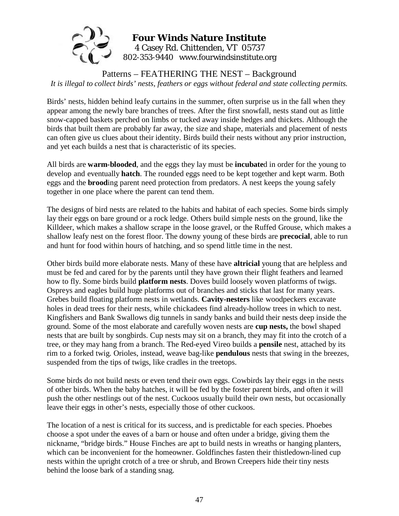

# **Four Winds Nature Institute**  4 Casey Rd. Chittenden, VT 05737 802-353-9440 www.fourwindsinstitute.org

Patterns – FEATHERING THE NEST – Background *It is illegal to collect birds' nests, feathers or eggs without federal and state collecting permits.* 

Birds' nests, hidden behind leafy curtains in the summer, often surprise us in the fall when they appear among the newly bare branches of trees. After the first snowfall, nests stand out as little snow-capped baskets perched on limbs or tucked away inside hedges and thickets. Although the birds that built them are probably far away, the size and shape, materials and placement of nests can often give us clues about their identity. Birds build their nests without any prior instruction, and yet each builds a nest that is characteristic of its species.

All birds are **warm-blooded**, and the eggs they lay must be **incubate**d in order for the young to develop and eventually **hatch**. The rounded eggs need to be kept together and kept warm. Both eggs and the **brood**ing parent need protection from predators. A nest keeps the young safely together in one place where the parent can tend them.

The designs of bird nests are related to the habits and habitat of each species. Some birds simply lay their eggs on bare ground or a rock ledge. Others build simple nests on the ground, like the Killdeer, which makes a shallow scrape in the loose gravel, or the Ruffed Grouse, which makes a shallow leafy nest on the forest floor. The downy young of these birds are **precocial**, able to run and hunt for food within hours of hatching, and so spend little time in the nest.

Other birds build more elaborate nests. Many of these have **altricial** young that are helpless and must be fed and cared for by the parents until they have grown their flight feathers and learned how to fly. Some birds build **platform nests**. Doves build loosely woven platforms of twigs. Ospreys and eagles build huge platforms out of branches and sticks that last for many years. Grebes build floating platform nests in wetlands. **Cavity-nesters** like woodpeckers excavate holes in dead trees for their nests, while chickadees find already-hollow trees in which to nest. Kingfishers and Bank Swallows dig tunnels in sandy banks and build their nests deep inside the ground. Some of the most elaborate and carefully woven nests are **cup nests,** the bowl shaped nests that are built by songbirds. Cup nests may sit on a branch, they may fit into the crotch of a tree, or they may hang from a branch. The Red-eyed Vireo builds a **pensile** nest, attached by its rim to a forked twig. Orioles, instead, weave bag-like **pendulous** nests that swing in the breezes, suspended from the tips of twigs, like cradles in the treetops.

Some birds do not build nests or even tend their own eggs. Cowbirds lay their eggs in the nests of other birds. When the baby hatches, it will be fed by the foster parent birds, and often it will push the other nestlings out of the nest. Cuckoos usually build their own nests, but occasionally leave their eggs in other's nests, especially those of other cuckoos.

The location of a nest is critical for its success, and is predictable for each species. Phoebes choose a spot under the eaves of a barn or house and often under a bridge, giving them the nickname, "bridge birds." House Finches are apt to build nests in wreaths or hanging planters, which can be inconvenient for the homeowner. Goldfinches fasten their thistledown-lined cup nests within the upright crotch of a tree or shrub, and Brown Creepers hide their tiny nests behind the loose bark of a standing snag.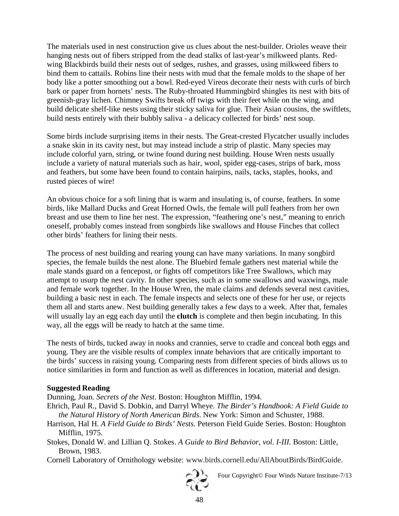The materials used in nest construction give us clues about the nest-builder. Orioles weave their hanging nests out of fibers stripped from the dead stalks of last-year's milkweed plants. Redwing Blackbirds build their nests out of sedges, rushes, and grasses, using milkweed fibers to bind them to cattails. Robins line their nests with mud that the female molds to the shape of her body like a potter smoothing out a bowl. Red-eyed Vireos decorate their nests with curls of birch bark or paper from hornets' nests. The Ruby-throated Hummingbird shingles its nest with bits of greenish-gray lichen. Chimney Swifts break off twigs with their feet while on the wing, and build delicate shelf-like nests using their sticky saliva for glue. Their Asian cousins, the swiftlets, build nests entirely with their bubbly saliva - a delicacy collected for birds' nest soup.

Some birds include surprising items in their nests. The Great-crested Flycatcher usually includes a snake skin in its cavity nest, but may instead include a strip of plastic. Many species may include colorful yarn, string, or twine found during nest building. House Wren nests usually include a variety of natural materials such as hair, wool, spider egg-cases, strips of bark, moss and feathers, but some have been found to contain hairpins, nails, tacks, staples, hooks, and rusted pieces of wire!

An obvious choice for a soft lining that is warm and insulating is, of course, feathers. In some birds, like Mallard Ducks and Great Horned Owls, the female will pull feathers from her own breast and use them to line her nest. The expression, "feathering one's nest," meaning to enrich oneself, probably comes instead from songbirds like swallows and House Finches that collect other birds' feathers for lining their nests.

The process of nest building and rearing young can have many variations. In many songbird species, the female builds the nest alone. The Bluebird female gathers nest material while the male stands guard on a fencepost, or fights off competitors like Tree Swallows, which may attempt to usurp the nest cavity. In other species, such as in some swallows and waxwings, male and female work together. In the House Wren, the male claims and defends several nest cavities, building a basic nest in each. The female inspects and selects one of these for her use, or rejects them all and starts anew. Nest building generally takes a few days to a week. After that, females will usually lay an egg each day until the **clutch** is complete and then begin incubating. In this way, all the eggs will be ready to hatch at the same time.

The nests of birds, tucked away in nooks and crannies, serve to cradle and conceal both eggs and young. They are the visible results of complex innate behaviors that are critically important to the birds' success in raising young. Comparing nests from different species of birds allows us to notice similarities in form and function as well as differences in location, material and design.

#### **Suggested Reading**

Dunning, Joan. *Secrets of the Nest*. Boston: Houghton Mifflin, 1994.

- Ehrich, Paul R., David S. Dobkin, and Darryl Wheye. *The Birder's Handbook: A Field Guide to the Natural History of North American Birds*. New York: Simon and Schuster, 1988.
- Harrison, Hal H. *A Field Guide to Birds' Nests*. Peterson Field Guide Series. Boston: Houghton Mifflin, 1975.
- Stokes, Donald W. and Lillian Q. Stokes. *A Guide to Bird Behavior, vol. I-III*. Boston: Little, Brown, 1983.
- Cornell Laboratory of Ornithology website: www.birds.cornell.edu/AllAboutBirds/BirdGuide.



Four Copyright© Four Winds Nature Institute-7/13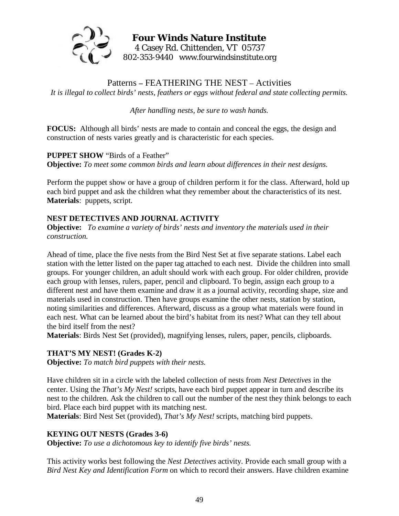

# **Four Winds Nature Institute**  4 Casey Rd. Chittenden, VT 05737 802-353-9440 www.fourwindsinstitute.org

Patterns **–** FEATHERING THE NEST – Activities *It is illegal to collect birds' nests, feathers or eggs without federal and state collecting permits.* 

*After handling nests, be sure to wash hands.* 

**FOCUS:** Although all birds' nests are made to contain and conceal the eggs, the design and construction of nests varies greatly and is characteristic for each species.

**PUPPET SHOW** "Birds of a Feather" **Objective:** *To meet some common birds and learn about differences in their nest designs.* 

Perform the puppet show or have a group of children perform it for the class. Afterward, hold up each bird puppet and ask the children what they remember about the characteristics of its nest. **Materials**: puppets, script.

# **NEST DETECTIVES AND JOURNAL ACTIVITY**

**Objective:** *To examine a variety of birds' nests and inventory the materials used in their construction.* 

Ahead of time, place the five nests from the Bird Nest Set at five separate stations. Label each station with the letter listed on the paper tag attached to each nest. Divide the children into small groups. For younger children, an adult should work with each group. For older children, provide each group with lenses, rulers, paper, pencil and clipboard. To begin, assign each group to a different nest and have them examine and draw it as a journal activity, recording shape, size and materials used in construction. Then have groups examine the other nests, station by station, noting similarities and differences. Afterward, discuss as a group what materials were found in each nest. What can be learned about the bird's habitat from its nest? What can they tell about the bird itself from the nest?

**Materials**: Birds Nest Set (provided), magnifying lenses, rulers, paper, pencils, clipboards.

### **THAT'S MY NEST! (Grades K-2)**

**Objective:** *To match bird puppets with their nests.* 

Have children sit in a circle with the labeled collection of nests from *Nest Detectives* in the center. Using the *That's My Nest!* scripts, have each bird puppet appear in turn and describe its nest to the children. Ask the children to call out the number of the nest they think belongs to each bird. Place each bird puppet with its matching nest.

**Materials**: Bird Nest Set (provided), *That's My Nest!* scripts, matching bird puppets.

### **KEYING OUT NESTS (Grades 3-6)**

**Objective:** *To use a dichotomous key to identify five birds' nests.* 

This activity works best following the *Nest Detectives* activity. Provide each small group with a *Bird Nest Key and Identification Form* on which to record their answers. Have children examine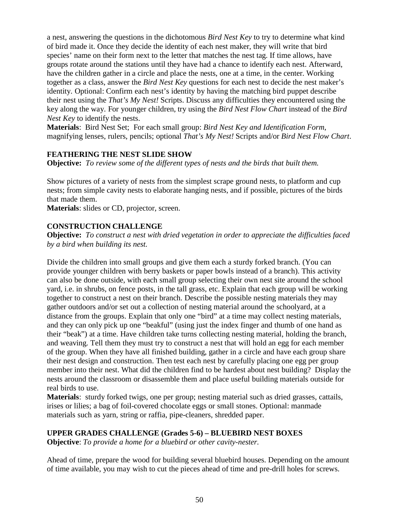a nest, answering the questions in the dichotomous *Bird Nest Key* to try to determine what kind of bird made it. Once they decide the identity of each nest maker, they will write that bird species' name on their form next to the letter that matches the nest tag. If time allows, have groups rotate around the stations until they have had a chance to identify each nest. Afterward, have the children gather in a circle and place the nests, one at a time, in the center. Working together as a class, answer the *Bird Nest Key* questions for each nest to decide the nest maker's identity. Optional: Confirm each nest's identity by having the matching bird puppet describe their nest using the *That's My Nest!* Scripts. Discuss any difficulties they encountered using the key along the way. For younger children, try using the *Bird Nest Flow Chart* instead of the *Bird Nest Key* to identify the nests.

**Materials**: Bird Nest Set; For each small group: *Bird Nest Key and Identification Form*, magnifying lenses, rulers, pencils; optional *That's My Nest!* Scripts and/or *Bird Nest Flow Chart*.

### **FEATHERING THE NEST SLIDE SHOW**

**Objective:** *To review some of the different types of nests and the birds that built them.* 

Show pictures of a variety of nests from the simplest scrape ground nests, to platform and cup nests; from simple cavity nests to elaborate hanging nests, and if possible, pictures of the birds that made them.

**Materials**: slides or CD, projector, screen.

#### **CONSTRUCTION CHALLENGE**

**Objective:** *To construct a nest with dried vegetation in order to appreciate the difficulties faced by a bird when building its nest.* 

Divide the children into small groups and give them each a sturdy forked branch. (You can provide younger children with berry baskets or paper bowls instead of a branch). This activity can also be done outside, with each small group selecting their own nest site around the school yard, i.e. in shrubs, on fence posts, in the tall grass, etc. Explain that each group will be working together to construct a nest on their branch. Describe the possible nesting materials they may gather outdoors and/or set out a collection of nesting material around the schoolyard, at a distance from the groups. Explain that only one "bird" at a time may collect nesting materials, and they can only pick up one "beakful" (using just the index finger and thumb of one hand as their "beak") at a time. Have children take turns collecting nesting material, holding the branch, and weaving. Tell them they must try to construct a nest that will hold an egg for each member of the group. When they have all finished building, gather in a circle and have each group share their nest design and construction. Then test each nest by carefully placing one egg per group member into their nest. What did the children find to be hardest about nest building? Display the nests around the classroom or disassemble them and place useful building materials outside for real birds to use.

**Materials**: sturdy forked twigs, one per group; nesting material such as dried grasses, cattails, irises or lilies; a bag of foil-covered chocolate eggs or small stones. Optional: manmade materials such as yarn, string or raffia, pipe-cleaners, shredded paper.

### **UPPER GRADES CHALLENGE (Grades 5-6) – BLUEBIRD NEST BOXES**

**Objective**: *To provide a home for a bluebird or other cavity-nester.* 

Ahead of time, prepare the wood for building several bluebird houses. Depending on the amount of time available, you may wish to cut the pieces ahead of time and pre-drill holes for screws.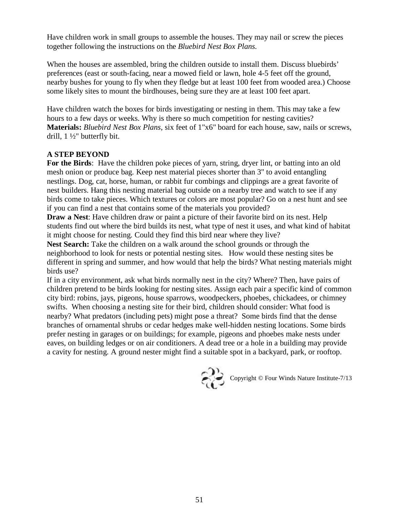Have children work in small groups to assemble the houses. They may nail or screw the pieces together following the instructions on the *Bluebird Nest Box Plans.*

When the houses are assembled, bring the children outside to install them. Discuss bluebirds' preferences (east or south-facing, near a mowed field or lawn, hole 4-5 feet off the ground, nearby bushes for young to fly when they fledge but at least 100 feet from wooded area.) Choose some likely sites to mount the birdhouses, being sure they are at least 100 feet apart.

Have children watch the boxes for birds investigating or nesting in them. This may take a few hours to a few days or weeks. Why is there so much competition for nesting cavities? **Materials:** *Bluebird Nest Box Plans*, six feet of 1"x6" board for each house, saw, nails or screws, drill, 1 ½" butterfly bit.

### **A STEP BEYOND**

**For the Birds**: Have the children poke pieces of yarn, string, dryer lint, or batting into an old mesh onion or produce bag. Keep nest material pieces shorter than 3" to avoid entangling nestlings. Dog, cat, horse, human, or rabbit fur combings and clippings are a great favorite of nest builders. Hang this nesting material bag outside on a nearby tree and watch to see if any birds come to take pieces. Which textures or colors are most popular? Go on a nest hunt and see if you can find a nest that contains some of the materials you provided?

**Draw a Nest**: Have children draw or paint a picture of their favorite bird on its nest. Help students find out where the bird builds its nest, what type of nest it uses, and what kind of habitat it might choose for nesting. Could they find this bird near where they live?

**Nest Search:** Take the children on a walk around the school grounds or through the neighborhood to look for nests or potential nesting sites. How would these nesting sites be different in spring and summer, and how would that help the birds? What nesting materials might birds use?

If in a city environment, ask what birds normally nest in the city? Where? Then, have pairs of children pretend to be birds looking for nesting sites. Assign each pair a specific kind of common city bird: robins, jays, pigeons, house sparrows, woodpeckers, phoebes, chickadees, or chimney swifts. When choosing a nesting site for their bird, children should consider: What food is nearby? What predators (including pets) might pose a threat? Some birds find that the dense branches of ornamental shrubs or cedar hedges make well-hidden nesting locations. Some birds prefer nesting in garages or on buildings; for example, pigeons and phoebes make nests under eaves, on building ledges or on air conditioners. A dead tree or a hole in a building may provide a cavity for nesting. A ground nester might find a suitable spot in a backyard, park, or rooftop.



Copyright © Four Winds Nature Institute-7/13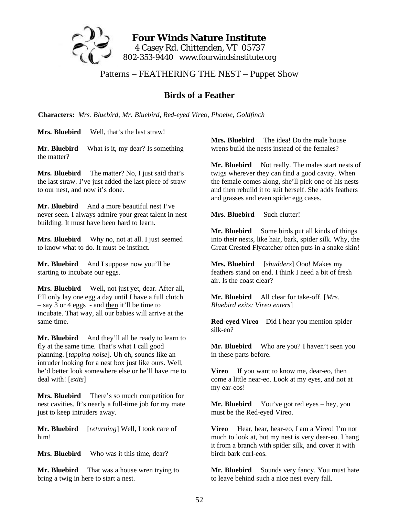

**Four Winds Nature Institute**  4 Casey Rd. Chittenden, VT 05737 802-353-9440 www.fourwindsinstitute.org

Patterns – FEATHERING THE NEST – Puppet Show

# **Birds of a Feather**

**Characters:** *Mrs. Bluebird, Mr. Bluebird, Red-eyed Vireo, Phoebe, Goldfinch* 

**Mrs. Bluebird** Well, that's the last straw!

**Mr. Bluebird** What is it, my dear? Is something the matter?

**Mrs. Bluebird** The matter? No, I just said that's the last straw. I've just added the last piece of straw to our nest, and now it's done.

**Mr. Bluebird** And a more beautiful nest I've never seen. I always admire your great talent in nest building. It must have been hard to learn.

**Mrs. Bluebird** Why no, not at all. I just seemed to know what to do. It must be instinct.

**Mr. Bluebird** And I suppose now you'll be starting to incubate our eggs.

**Mrs. Bluebird** Well, not just yet, dear. After all, I'll only lay one egg a day until I have a full clutch – say 3 or 4 eggs - and then it'll be time to incubate. That way, all our babies will arrive at the same time.

**Mr. Bluebird** And they'll all be ready to learn to fly at the same time. That's what I call good planning. [*tapping noise*]. Uh oh, sounds like an intruder looking for a nest box just like ours. Well, he'd better look somewhere else or he'll have me to deal with! [*exits*]

**Mrs. Bluebird** There's so much competition for nest cavities. It's nearly a full-time job for my mate just to keep intruders away.

**Mr. Bluebird** [*returning*] Well, I took care of him!

**Mrs. Bluebird** Who was it this time, dear?

**Mr. Bluebird** That was a house wren trying to bring a twig in here to start a nest.

**Mrs. Bluebird** The idea! Do the male house wrens build the nests instead of the females?

**Mr. Bluebird** Not really. The males start nests of twigs wherever they can find a good cavity. When the female comes along, she'll pick one of his nests and then rebuild it to suit herself. She adds feathers and grasses and even spider egg cases.

**Mrs. Bluebird** Such clutter!

**Mr. Bluebird** Some birds put all kinds of things into their nests, like hair, bark, spider silk. Why, the Great Crested Flycatcher often puts in a snake skin!

**Mrs. Bluebird** [*shudders*] Ooo! Makes my feathers stand on end. I think I need a bit of fresh air. Is the coast clear?

**Mr. Bluebird** All clear for take-off. [*Mrs. Bluebird exits; Vireo enters*]

**Red-eyed Vireo** Did I hear you mention spider silk-eo?

**Mr. Bluebird** Who are you? I haven't seen you in these parts before.

**Vireo** If you want to know me, dear-eo, then come a little near-eo. Look at my eyes, and not at my ear-eos!

**Mr. Bluebird** You've got red eyes – hey, you must be the Red-eyed Vireo.

**Vireo** Hear, hear, hear-eo, I am a Vireo! I'm not much to look at, but my nest is very dear-eo. I hang it from a branch with spider silk, and cover it with birch bark curl-eos.

**Mr. Bluebird** Sounds very fancy. You must hate to leave behind such a nice nest every fall.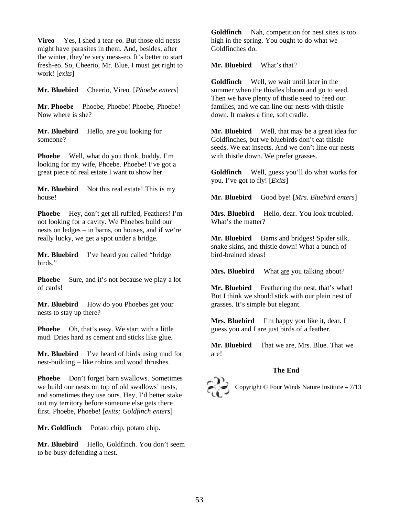**Vireo** Yes, I shed a tear-eo. But those old nests might have parasites in them. And, besides, after the winter, they're very mess-eo. It's better to start fresh-eo. So, Cheerio, Mr. Blue, I must get right to work! [*exits*]

**Mr. Bluebird** Cheerio, Vireo. [*Phoebe enters*]

**Mr. Phoebe** Phoebe, Phoebe! Phoebe, Phoebe! Now where is she?

**Mr. Bluebird** Hello, are you looking for someone?

**Phoebe** Well, what do you think, buddy. I'm looking for my wife, Phoebe. Phoebe! I've got a great piece of real estate I want to show her.

**Mr. Bluebird** Not this real estate! This is my house!

**Phoebe** Hey, don't get all ruffled, Feathers! I'm not looking for a cavity. We Phoebes build our nests on ledges – in barns, on houses, and if we're really lucky, we get a spot under a bridge.

**Mr. Bluebird** I've heard you called "bridge birds."

**Phoebe** Sure, and it's not because we play a lot of cards!

**Mr. Bluebird** How do you Phoebes get your nests to stay up there?

**Phoebe** Oh, that's easy. We start with a little mud. Dries hard as cement and sticks like glue.

**Mr. Bluebird** I've heard of birds using mud for nest-building – like robins and wood thrushes.

**Phoebe** Don't forget barn swallows. Sometimes we build our nests on top of old swallows' nests, and sometimes they use ours. Hey, I'd better stake out my territory before someone else gets there first. Phoebe, Phoebe! [*exits; Goldfinch enters*]

**Mr. Goldfinch** Potato chip, potato chip.

**Mr. Bluebird** Hello, Goldfinch. You don't seem to be busy defending a nest.

**Goldfinch** Nah, competition for nest sites is too high in the spring. You ought to do what we Goldfinches do.

**Mr. Bluebird** What's that?

**Goldfinch** Well, we wait until later in the summer when the thistles bloom and go to seed. Then we have plenty of thistle seed to feed our families, and we can line our nests with thistle down. It makes a fine, soft cradle.

**Mr. Bluebird** Well, that may be a great idea for Goldfinches, but we bluebirds don't eat thistle seeds. We eat insects. And we don't line our nests with thistle down. We prefer grasses.

**Goldfinch** Well, guess you'll do what works for you. I've got to fly! [*Exits*]

**Mr. Bluebird** Good bye! [*Mrs. Bluebird enters*]

**Mrs. Bluebird** Hello, dear. You look troubled. What's the matter?

**Mr. Bluebird** Barns and bridges! Spider silk, snake skins, and thistle down! What a bunch of bird-brained ideas!

**Mrs. Bluebird** What are you talking about?

**Mr. Bluebird** Feathering the nest, that's what! But I think we should stick with our plain nest of grasses. It's simple but elegant.

**Mrs. Bluebird** I'm happy you like it, dear. I guess you and I are just birds of a feather.

**Mr. Bluebird** That we are, Mrs. Blue. That we are!

#### **The End**



Copyright © Four Winds Nature Institute – 7/13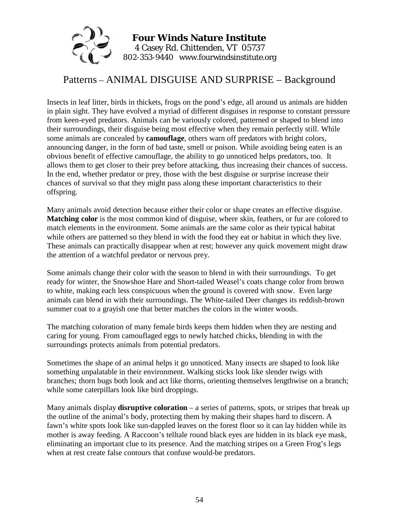

# Patterns – ANIMAL DISGUISE AND SURPRISE – Background

Insects in leaf litter, birds in thickets, frogs on the pond's edge, all around us animals are hidden in plain sight. They have evolved a myriad of different disguises in response to constant pressure from keen-eyed predators. Animals can be variously colored, patterned or shaped to blend into their surroundings, their disguise being most effective when they remain perfectly still. While some animals are concealed by **camouflage**, others warn off predators with bright colors, announcing danger, in the form of bad taste, smell or poison. While avoiding being eaten is an obvious benefit of effective camouflage, the ability to go unnoticed helps predators, too. It allows them to get closer to their prey before attacking, thus increasing their chances of success. In the end, whether predator or prey, those with the best disguise or surprise increase their chances of survival so that they might pass along these important characteristics to their offspring.

Many animals avoid detection because either their color or shape creates an effective disguise. **Matching color** is the most common kind of disguise, where skin, feathers, or fur are colored to match elements in the environment. Some animals are the same color as their typical habitat while others are patterned so they blend in with the food they eat or habitat in which they live. These animals can practically disappear when at rest; however any quick movement might draw the attention of a watchful predator or nervous prey.

Some animals change their color with the season to blend in with their surroundings. To get ready for winter, the Snowshoe Hare and Short-tailed Weasel's coats change color from brown to white, making each less conspicuous when the ground is covered with snow. Even large animals can blend in with their surroundings. The White-tailed Deer changes its reddish-brown summer coat to a grayish one that better matches the colors in the winter woods.

The matching coloration of many female birds keeps them hidden when they are nesting and caring for young. From camouflaged eggs to newly hatched chicks, blending in with the surroundings protects animals from potential predators.

Sometimes the shape of an animal helps it go unnoticed. Many insects are shaped to look like something unpalatable in their environment. Walking sticks look like slender twigs with branches; thorn bugs both look and act like thorns, orienting themselves lengthwise on a branch; while some caterpillars look like bird droppings.

Many animals display **disruptive coloration** – a series of patterns, spots, or stripes that break up the outline of the animal's body, protecting them by making their shapes hard to discern. A fawn's white spots look like sun-dappled leaves on the forest floor so it can lay hidden while its mother is away feeding. A Raccoon's telltale round black eyes are hidden in its black eye mask, eliminating an important clue to its presence. And the matching stripes on a Green Frog's legs when at rest create false contours that confuse would-be predators.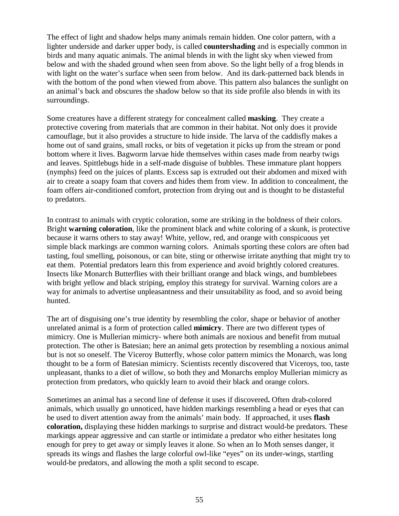The effect of light and shadow helps many animals remain hidden. One color pattern, with a lighter underside and darker upper body, is called **countershading** and is especially common in birds and many aquatic animals. The animal blends in with the light sky when viewed from below and with the shaded ground when seen from above. So the light belly of a frog blends in with light on the water's surface when seen from below. And its dark-patterned back blends in with the bottom of the pond when viewed from above. This pattern also balances the sunlight on an animal's back and obscures the shadow below so that its side profile also blends in with its surroundings.

Some creatures have a different strategy for concealment called **masking**. They create a protective covering from materials that are common in their habitat. Not only does it provide camouflage, but it also provides a structure to hide inside. The larva of the caddisfly makes a home out of sand grains, small rocks, or bits of vegetation it picks up from the stream or pond bottom where it lives. Bagworm larvae hide themselves within cases made from nearby twigs and leaves. Spittlebugs hide in a self-made disguise of bubbles. These immature plant hoppers (nymphs) feed on the juices of plants. Excess sap is extruded out their abdomen and mixed with air to create a soapy foam that covers and hides them from view. In addition to concealment, the foam offers air-conditioned comfort, protection from drying out and is thought to be distasteful to predators.

In contrast to animals with cryptic coloration, some are striking in the boldness of their colors. Bright **warning coloration**, like the prominent black and white coloring of a skunk, is protective because it warns others to stay away! White, yellow, red, and orange with conspicuous yet simple black markings are common warning colors. Animals sporting these colors are often bad tasting, foul smelling, poisonous, or can bite, sting or otherwise irritate anything that might try to eat them. Potential predators learn this from experience and avoid brightly colored creatures. Insects like Monarch Butterflies with their brilliant orange and black wings, and bumblebees with bright yellow and black striping, employ this strategy for survival. Warning colors are a way for animals to advertise unpleasantness and their unsuitability as food, and so avoid being hunted.

The art of disguising one's true identity by resembling the color, shape or behavior of another unrelated animal is a form of protection called **mimicry**. There are two different types of mimicry. One is Mullerian mimicry- where both animals are noxious and benefit from mutual protection. The other is Batesian; here an animal gets protection by resembling a noxious animal but is not so oneself. The Viceroy Butterfly, whose color pattern mimics the Monarch, was long thought to be a form of Batesian mimicry. Scientists recently discovered that Viceroys, too, taste unpleasant, thanks to a diet of willow, so both they and Monarchs employ Mullerian mimicry as protection from predators, who quickly learn to avoid their black and orange colors.

Sometimes an animal has a second line of defense it uses if discovered**.** Often drab-colored animals, which usually go unnoticed, have hidden markings resembling a head or eyes that can be used to divert attention away from the animals' main body. If approached, it uses **flash coloration,** displaying these hidden markings to surprise and distract would-be predators. These markings appear aggressive and can startle or intimidate a predator who either hesitates long enough for prey to get away or simply leaves it alone. So when an Io Moth senses danger, it spreads its wings and flashes the large colorful owl-like "eyes" on its under-wings, startling would-be predators, and allowing the moth a split second to escape.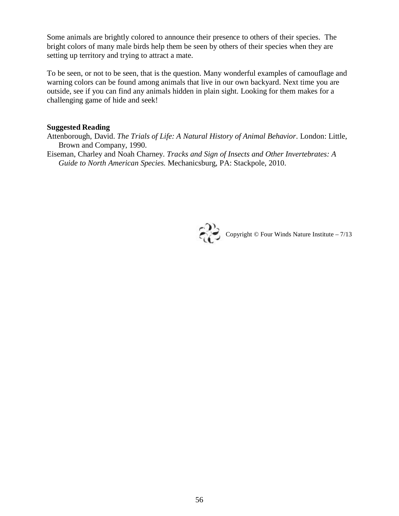Some animals are brightly colored to announce their presence to others of their species. The bright colors of many male birds help them be seen by others of their species when they are setting up territory and trying to attract a mate.

To be seen, or not to be seen, that is the question. Many wonderful examples of camouflage and warning colors can be found among animals that live in our own backyard. Next time you are outside, see if you can find any animals hidden in plain sight. Looking for them makes for a challenging game of hide and seek!

#### **Suggested Reading**

- Attenborough, David. *The Trials of Life: A Natural History of Animal Behavior*. London: Little, Brown and Company, 1990.
- Eiseman, Charley and Noah Charney. *Tracks and Sign of Insects and Other Invertebrates: A Guide to North American Species.* Mechanicsburg, PA: Stackpole, 2010.

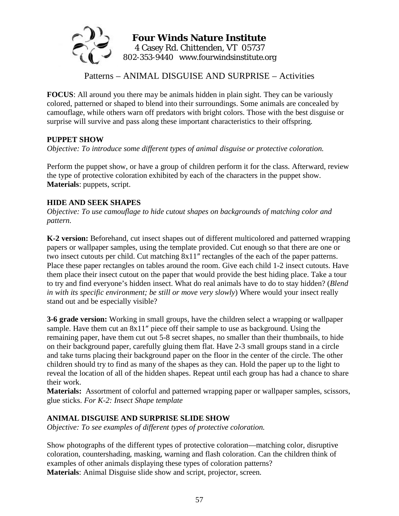

Patterns – ANIMAL DISGUISE AND SURPRISE – Activities

**FOCUS**: All around you there may be animals hidden in plain sight. They can be variously colored, patterned or shaped to blend into their surroundings. Some animals are concealed by camouflage, while others warn off predators with bright colors. Those with the best disguise or surprise will survive and pass along these important characteristics to their offspring.

### **PUPPET SHOW**

*Objective: To introduce some different types of animal disguise or protective coloration.* 

Perform the puppet show, or have a group of children perform it for the class. Afterward, review the type of protective coloration exhibited by each of the characters in the puppet show. **Materials**: puppets, script.

# **HIDE AND SEEK SHAPES**

*Objective: To use camouflage to hide cutout shapes on backgrounds of matching color and pattern.*

**K-2 version:** Beforehand, cut insect shapes out of different multicolored and patterned wrapping papers or wallpaper samples, using the template provided. Cut enough so that there are one or two insect cutouts per child. Cut matching 8x11″ rectangles of the each of the paper patterns. Place these paper rectangles on tables around the room. Give each child 1-2 insect cutouts. Have them place their insect cutout on the paper that would provide the best hiding place. Take a tour to try and find everyone's hidden insect. What do real animals have to do to stay hidden? (*Blend in with its specific environment; be still or move very slowly*) Where would your insect really stand out and be especially visible?

**3-6 grade version:** Working in small groups, have the children select a wrapping or wallpaper sample. Have them cut an 8x11″ piece off their sample to use as background. Using the remaining paper, have them cut out 5-8 secret shapes, no smaller than their thumbnails, to hide on their background paper, carefully gluing them flat. Have 2-3 small groups stand in a circle and take turns placing their background paper on the floor in the center of the circle. The other children should try to find as many of the shapes as they can. Hold the paper up to the light to reveal the location of all of the hidden shapes. Repeat until each group has had a chance to share their work.

**Materials:** Assortment of colorful and patterned wrapping paper or wallpaper samples, scissors, glue sticks. *For K-2: Insect Shape template*

# **ANIMAL DISGUISE AND SURPRISE SLIDE SHOW**

*Objective: To see examples of different types of protective coloration.* 

Show photographs of the different types of protective coloration—matching color, disruptive coloration, countershading, masking, warning and flash coloration. Can the children think of examples of other animals displaying these types of coloration patterns? **Materials**: Animal Disguise slide show and script, projector, screen*.*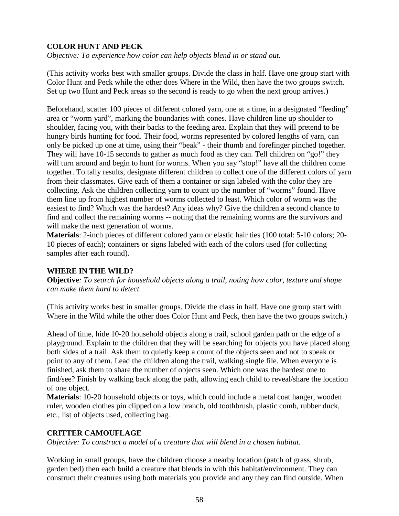# **COLOR HUNT AND PECK**

*Objective: To experience how color can help objects blend in or stand out.* 

(This activity works best with smaller groups. Divide the class in half. Have one group start with Color Hunt and Peck while the other does Where in the Wild, then have the two groups switch. Set up two Hunt and Peck areas so the second is ready to go when the next group arrives.)

Beforehand, scatter 100 pieces of different colored yarn, one at a time, in a designated "feeding" area or "worm yard", marking the boundaries with cones. Have children line up shoulder to shoulder, facing you, with their backs to the feeding area. Explain that they will pretend to be hungry birds hunting for food. Their food, worms represented by colored lengths of yarn, can only be picked up one at time, using their "beak" - their thumb and forefinger pinched together. They will have 10-15 seconds to gather as much food as they can. Tell children on "go!" they will turn around and begin to hunt for worms. When you say "stop!" have all the children come together. To tally results, designate different children to collect one of the different colors of yarn from their classmates. Give each of them a container or sign labeled with the color they are collecting. Ask the children collecting yarn to count up the number of "worms" found. Have them line up from highest number of worms collected to least. Which color of worm was the easiest to find? Which was the hardest? Any ideas why? Give the children a second chance to find and collect the remaining worms -- noting that the remaining worms are the survivors and will make the next generation of worms.

**Materials**: 2-inch pieces of different colored yarn or elastic hair ties (100 total: 5-10 colors; 20- 10 pieces of each); containers or signs labeled with each of the colors used (for collecting samples after each round).

#### **WHERE IN THE WILD?**

**Objective***: To search for household objects along a trail, noting how color, texture and shape can make them hard to detect.* 

(This activity works best in smaller groups. Divide the class in half. Have one group start with Where in the Wild while the other does Color Hunt and Peck, then have the two groups switch.)

Ahead of time, hide 10-20 household objects along a trail, school garden path or the edge of a playground. Explain to the children that they will be searching for objects you have placed along both sides of a trail. Ask them to quietly keep a count of the objects seen and not to speak or point to any of them. Lead the children along the trail, walking single file. When everyone is finished, ask them to share the number of objects seen. Which one was the hardest one to find/see? Finish by walking back along the path, allowing each child to reveal/share the location of one object.

**Materials**: 10-20 household objects or toys, which could include a metal coat hanger, wooden ruler, wooden clothes pin clipped on a low branch, old toothbrush, plastic comb, rubber duck, etc., list of objects used, collecting bag.

#### **CRITTER CAMOUFLAGE**

*Objective: To construct a model of a creature that will blend in a chosen habitat.* 

Working in small groups, have the children choose a nearby location (patch of grass, shrub, garden bed) then each build a creature that blends in with this habitat/environment. They can construct their creatures using both materials you provide and any they can find outside. When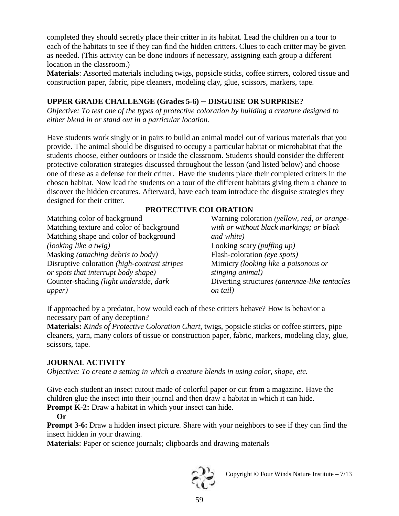completed they should secretly place their critter in its habitat. Lead the children on a tour to each of the habitats to see if they can find the hidden critters. Clues to each critter may be given as needed. (This activity can be done indoors if necessary, assigning each group a different location in the classroom.)

**Materials**: Assorted materials including twigs, popsicle sticks, coffee stirrers, colored tissue and construction paper, fabric, pipe cleaners, modeling clay, glue, scissors, markers, tape.

# **UPPER GRADE CHALLENGE (Grades 5-6) – DISGUISE OR SURPRISE?**

*Objective: To test one of the types of protective coloration by building a creature designed to either blend in or stand out in a particular location.* 

Have students work singly or in pairs to build an animal model out of various materials that you provide. The animal should be disguised to occupy a particular habitat or microhabitat that the students choose, either outdoors or inside the classroom. Students should consider the different protective coloration strategies discussed throughout the lesson (and listed below) and choose one of these as a defense for their critter. Have the students place their completed critters in the chosen habitat. Now lead the students on a tour of the different habitats giving them a chance to discover the hidden creatures. Afterward, have each team introduce the disguise strategies they designed for their critter.

# **PROTECTIVE COLORATION**

Matching color of background Matching texture and color of background Matching shape and color of background *(looking like a twig)* Masking *(attaching debris to body)*  Disruptive coloration *(high-contrast stripes or spots that interrupt body shape)*  Counter-shading *(light underside, dark upper)* 

Warning coloration *(yellow, red, or orangewith or without black markings; or black and white)* Looking scary *(puffing up)* Flash-coloration *(eye spots)* Mimicry *(looking like a poisonous or stinging animal)* Diverting structures *(antennae-like tentacles on tail)*

If approached by a predator, how would each of these critters behave? How is behavior a necessary part of any deception?

**Materials:** *Kinds of Protective Coloration Chart*, twigs, popsicle sticks or coffee stirrers, pipe cleaners, yarn, many colors of tissue or construction paper, fabric, markers, modeling clay, glue, scissors, tape.

# **JOURNAL ACTIVITY**

*Objective: To create a setting in which a creature blends in using color, shape, etc.*

Give each student an insect cutout made of colorful paper or cut from a magazine. Have the children glue the insect into their journal and then draw a habitat in which it can hide.

**Prompt K-2:** Draw a habitat in which your insect can hide.

**Or** 

**Prompt 3-6:** Draw a hidden insect picture. Share with your neighbors to see if they can find the insect hidden in your drawing.

**Materials**: Paper or science journals; clipboards and drawing materials



Copyright  $\odot$  Four Winds Nature Institute – 7/13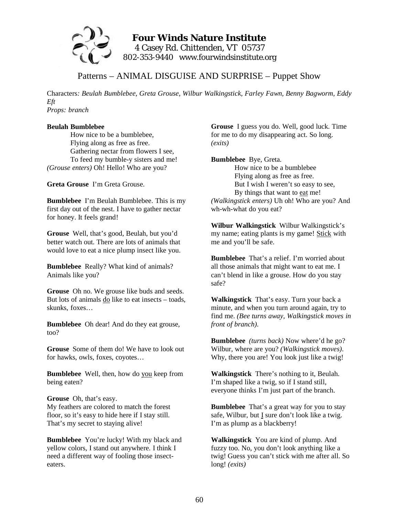

# **Four Winds Nature Institute**  4 Casey Rd. Chittenden, VT 05737 802-353-9440 www.fourwindsinstitute.org

# Patterns – ANIMAL DISGUISE AND SURPRISE – Puppet Show

Characters*: Beulah Bumblebee, Greta Grouse, Wilbur Walkingstick, Farley Fawn, Benny Bagworm, Eddy Eft Props: branch* 

## **Beulah Bumblebee**

How nice to be a bumblebee, Flying along as free as free. Gathering nectar from flowers I see, To feed my bumble-y sisters and me! *(Grouse enters)* Oh! Hello! Who are you?

**Greta Grouse** I'm Greta Grouse.

**Bumblebee** I'm Beulah Bumblebee. This is my first day out of the nest. I have to gather nectar for honey. It feels grand!

**Grouse** Well, that's good, Beulah, but you'd better watch out. There are lots of animals that would love to eat a nice plump insect like you.

**Bumblebee** Really? What kind of animals? Animals like you?

**Grouse** Oh no. We grouse like buds and seeds. But lots of animals do like to eat insects – toads, skunks, foxes…

**Bumblebee** Oh dear! And do they eat grouse, too?

**Grouse** Some of them do! We have to look out for hawks, owls, foxes, coyotes…

**Bumblebee** Well, then, how do you keep from being eaten?

**Grouse** Oh, that's easy. My feathers are colored to match the forest floor, so it's easy to hide here if I stay still. That's my secret to staying alive!

**Bumblebee** You're lucky! With my black and yellow colors, I stand out anywhere. I think I need a different way of fooling those insecteaters.

**Grouse** I guess you do. Well, good luck. Time for me to do my disappearing act. So long. *(exits)* 

**Bumblebee** Bye, Greta.

How nice to be a bumblebee Flying along as free as free. But I wish I weren't so easy to see, By things that want to eat me! *(Walkingstick enters)* Uh oh! Who are you? And wh-wh-what do you eat?

**Wilbur Walkingstick** Wilbur Walkingstick's my name; eating plants is my game! Stick with me and you'll be safe.

**Bumblebee** That's a relief. I'm worried about all those animals that might want to eat me. I can't blend in like a grouse. How do you stay safe?

**Walkingstick** That's easy. Turn your back a minute, and when you turn around again, try to find me. *(Bee turns away, Walkingstick moves in front of branch).* 

**Bumblebee** *(turns back)* Now where'd he go? Wilbur, where are you? *(Walkingstick moves).* Why, there you are! You look just like a twig!

**Walkingstick** There's nothing to it, Beulah. I'm shaped like a twig, so if I stand still, everyone thinks I'm just part of the branch.

**Bumblebee** That's a great way for you to stay safe, Wilbur, but  $\underline{I}$  sure don't look like a twig. I'm as plump as a blackberry!

**Walkingstick** You are kind of plump. And fuzzy too. No, you don't look anything like a twig! Guess you can't stick with me after all. So long! *(exits)*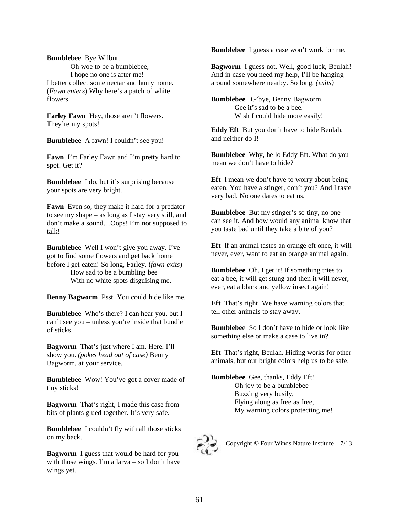**Bumblebee** Bye Wilbur. Oh woe to be a bumblebee, I hope no one is after me! I better collect some nectar and hurry home. (*Fawn enters*) Why here's a patch of white flowers.

**Farley Fawn** Hey, those aren't flowers. They're my spots!

**Bumblebee** A fawn! I couldn't see you!

**Fawn** I'm Farley Fawn and I'm pretty hard to spot! Get it?

**Bumblebee** I do, but it's surprising because your spots are very bright.

**Fawn** Even so, they make it hard for a predator to see my shape – as long as I stay very still, and don't make a sound…Oops! I'm not supposed to talk!

**Bumblebee** Well I won't give you away. I've got to find some flowers and get back home before I get eaten! So long, Farley. (*fawn exits*) How sad to be a bumbling bee With no white spots disguising me.

**Benny Bagworm** Psst. You could hide like me.

**Bumblebee** Who's there? I can hear you, but I can't see you – unless you're inside that bundle of sticks.

**Bagworm** That's just where I am. Here, I'll show you. *(pokes head out of case)* Benny Bagworm, at your service.

**Bumblebee** Wow! You've got a cover made of tiny sticks!

**Bagworm** That's right, I made this case from bits of plants glued together. It's very safe.

**Bumblebee** I couldn't fly with all those sticks on my back.

**Bagworm** I guess that would be hard for you with those wings. I'm a larva – so I don't have wings yet.

**Bumblebee** I guess a case won't work for me.

**Bagworm** I guess not. Well, good luck, Beulah! And in case you need my help, I'll be hanging around somewhere nearby. So long. *(exits)*

**Bumblebee** G'bye, Benny Bagworm. Gee it's sad to be a bee. Wish I could hide more easily!

**Eddy Eft** But you don't have to hide Beulah, and neither do I!

**Bumblebee** Why, hello Eddy Eft. What do you mean we don't have to hide?

**Eft** I mean we don't have to worry about being eaten. You have a stinger, don't you? And I taste very bad. No one dares to eat us.

**Bumblebee** But my stinger's so tiny, no one can see it. And how would any animal know that you taste bad until they take a bite of you?

**Eft** If an animal tastes an orange eft once, it will never, ever, want to eat an orange animal again.

**Bumblebee** Oh, I get it! If something tries to eat a bee, it will get stung and then it will never, ever, eat a black and yellow insect again!

**Eft** That's right! We have warning colors that tell other animals to stay away.

**Bumblebe**e So I don't have to hide or look like something else or make a case to live in?

**Eft** That's right, Beulah. Hiding works for other animals, but our bright colors help us to be safe.

**Bumblebee** Gee, thanks, Eddy Eft! Oh joy to be a bumblebee Buzzing very busily, Flying along as free as free, My warning colors protecting me!



Copyright © Four Winds Nature Institute – 7/13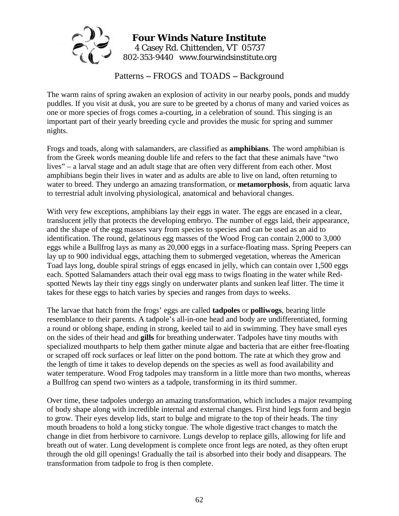

Patterns **–** FROGS and TOADS **–** Background

The warm rains of spring awaken an explosion of activity in our nearby pools, ponds and muddy puddles. If you visit at dusk, you are sure to be greeted by a chorus of many and varied voices as one or more species of frogs comes a-courting, in a celebration of sound. This singing is an important part of their yearly breeding cycle and provides the music for spring and summer nights.

Frogs and toads, along with salamanders, are classified as **amphibians**. The word amphibian is from the Greek words meaning double life and refers to the fact that these animals have "two lives" – a larval stage and an adult stage that are often very different from each other. Most amphibians begin their lives in water and as adults are able to live on land, often returning to water to breed. They undergo an amazing transformation, or **metamorphosis**, from aquatic larva to terrestrial adult involving physiological, anatomical and behavioral changes.

With very few exceptions, amphibians lay their eggs in water. The eggs are encased in a clear, translucent jelly that protects the developing embryo. The number of eggs laid, their appearance, and the shape of the egg masses vary from species to species and can be used as an aid to identification. The round, gelatinous egg masses of the Wood Frog can contain 2,000 to 3,000 eggs while a Bullfrog lays as many as 20,000 eggs in a surface-floating mass. Spring Peepers can lay up to 900 individual eggs, attaching them to submerged vegetation, whereas the American Toad lays long, double spiral strings of eggs encased in jelly, which can contain over 1,500 eggs each. Spotted Salamanders attach their oval egg mass to twigs floating in the water while Redspotted Newts lay their tiny eggs singly on underwater plants and sunken leaf litter. The time it takes for these eggs to hatch varies by species and ranges from days to weeks.

The larvae that hatch from the frogs' eggs are called **tadpoles** or **polliwogs**, bearing little resemblance to their parents. A tadpole's all-in-one head and body are undifferentiated, forming a round or oblong shape, ending in strong, keeled tail to aid in swimming. They have small eyes on the sides of their head and **gills** for breathing underwater. Tadpoles have tiny mouths with specialized mouthparts to help them gather minute algae and bacteria that are either free-floating or scraped off rock surfaces or leaf litter on the pond bottom. The rate at which they grow and the length of time it takes to develop depends on the species as well as food availability and water temperature. Wood Frog tadpoles may transform in a little more than two months, whereas a Bullfrog can spend two winters as a tadpole, transforming in its third summer.

Over time, these tadpoles undergo an amazing transformation, which includes a major revamping of body shape along with incredible internal and external changes. First hind legs form and begin to grow. Their eyes develop lids, start to bulge and migrate to the top of their heads. The tiny mouth broadens to hold a long sticky tongue. The whole digestive tract changes to match the change in diet from herbivore to carnivore. Lungs develop to replace gills, allowing for life and breath out of water. Lung development is complete once front legs are noted, as they often erupt through the old gill openings! Gradually the tail is absorbed into their body and disappears. The transformation from tadpole to frog is then complete.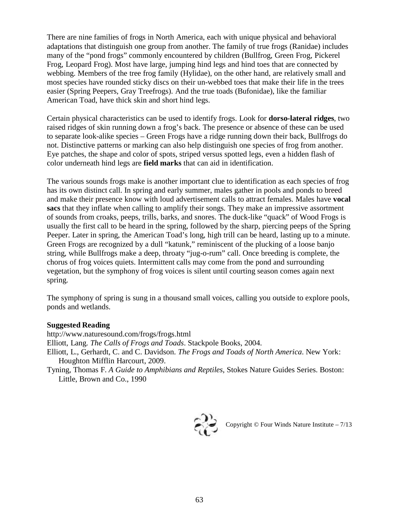There are nine families of frogs in North America, each with unique physical and behavioral adaptations that distinguish one group from another. The family of true frogs (Ranidae) includes many of the "pond frogs" commonly encountered by children (Bullfrog, Green Frog, Pickerel Frog, Leopard Frog). Most have large, jumping hind legs and hind toes that are connected by webbing. Members of the tree frog family (Hylidae), on the other hand, are relatively small and most species have rounded sticky discs on their un-webbed toes that make their life in the trees easier (Spring Peepers, Gray Treefrogs). And the true toads (Bufonidae), like the familiar American Toad, have thick skin and short hind legs.

Certain physical characteristics can be used to identify frogs. Look for **dorso-lateral ridges**, two raised ridges of skin running down a frog's back. The presence or absence of these can be used to separate look-alike species – Green Frogs have a ridge running down their back, Bullfrogs do not. Distinctive patterns or marking can also help distinguish one species of frog from another. Eye patches, the shape and color of spots, striped versus spotted legs, even a hidden flash of color underneath hind legs are **field marks** that can aid in identification.

The various sounds frogs make is another important clue to identification as each species of frog has its own distinct call. In spring and early summer, males gather in pools and ponds to breed and make their presence know with loud advertisement calls to attract females. Males have **vocal sacs** that they inflate when calling to amplify their songs. They make an impressive assortment of sounds from croaks, peeps, trills, barks, and snores. The duck-like "quack" of Wood Frogs is usually the first call to be heard in the spring, followed by the sharp, piercing peeps of the Spring Peeper. Later in spring, the American Toad's long, high trill can be heard, lasting up to a minute. Green Frogs are recognized by a dull "katunk," reminiscent of the plucking of a loose banjo string, while Bullfrogs make a deep, throaty "jug-o-rum" call. Once breeding is complete, the chorus of frog voices quiets. Intermittent calls may come from the pond and surrounding vegetation, but the symphony of frog voices is silent until courting season comes again next spring.

The symphony of spring is sung in a thousand small voices, calling you outside to explore pools, ponds and wetlands.

#### **Suggested Reading**

http://www.naturesound.com/frogs/frogs.html Elliott, Lang. *The Calls of Frogs and Toads*. Stackpole Books, 2004. Elliott, L., Gerhardt, C. and C. Davidson. *The Frogs and Toads of North America*. New York: Houghton Mifflin Harcourt, 2009.

Tyning, Thomas F. *A Guide to Amphibians and Reptiles*, Stokes Nature Guides Series. Boston: Little, Brown and Co., 1990



Copyright  $\copyright$  Four Winds Nature Institute –  $7/13$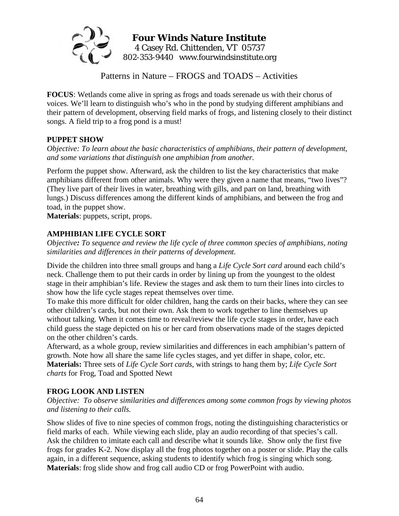

Patterns in Nature – FROGS and TOADS – Activities

**FOCUS**: Wetlands come alive in spring as frogs and toads serenade us with their chorus of voices. We'll learn to distinguish who's who in the pond by studying different amphibians and their pattern of development, observing field marks of frogs, and listening closely to their distinct songs. A field trip to a frog pond is a must!

# **PUPPET SHOW**

*Objective: To learn about the basic characteristics of amphibians, their pattern of development, and some variations that distinguish one amphibian from another.* 

Perform the puppet show. Afterward, ask the children to list the key characteristics that make amphibians different from other animals. Why were they given a name that means, "two lives"? (They live part of their lives in water, breathing with gills, and part on land, breathing with lungs.) Discuss differences among the different kinds of amphibians, and between the frog and toad, in the puppet show.

**Materials**: puppets, script, props.

# **AMPHIBIAN LIFE CYCLE SORT**

*Objective: To sequence and review the life cycle of three common species of amphibians, noting similarities and differences in their patterns of development.* 

Divide the children into three small groups and hang a *Life Cycle Sort card* around each child's neck. Challenge them to put their cards in order by lining up from the youngest to the oldest stage in their amphibian's life. Review the stages and ask them to turn their lines into circles to show how the life cycle stages repeat themselves over time.

To make this more difficult for older children, hang the cards on their backs, where they can see other children's cards, but not their own. Ask them to work together to line themselves up without talking. When it comes time to reveal/review the life cycle stages in order, have each child guess the stage depicted on his or her card from observations made of the stages depicted on the other children's cards.

Afterward, as a whole group, review similarities and differences in each amphibian's pattern of growth. Note how all share the same life cycles stages, and yet differ in shape, color, etc. **Materials:** Three sets of *Life Cycle Sort cards*, with strings to hang them by; *Life Cycle Sort charts* for Frog, Toad and Spotted Newt

# **FROG LOOK AND LISTEN**

*Objective: To observe similarities and differences among some common frogs by viewing photos and listening to their calls.* 

Show slides of five to nine species of common frogs, noting the distinguishing characteristics or field marks of each. While viewing each slide, play an audio recording of that species's call. Ask the children to imitate each call and describe what it sounds like. Show only the first five frogs for grades K-2. Now display all the frog photos together on a poster or slide. Play the calls again, in a different sequence, asking students to identify which frog is singing which song. **Materials**: frog slide show and frog call audio CD or frog PowerPoint with audio.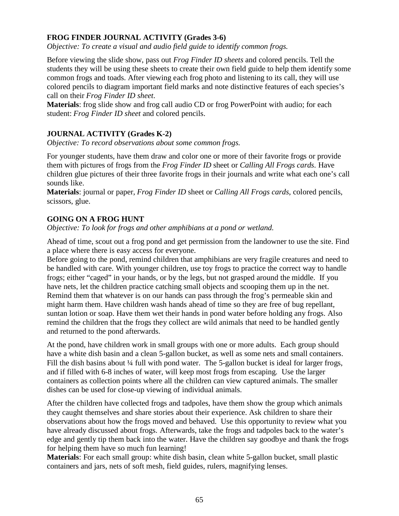## **FROG FINDER JOURNAL ACTIVITY (Grades 3-6)**

*Objective: To create a visual and audio field guide to identify common frogs.* 

Before viewing the slide show, pass out *Frog Finder ID sheets* and colored pencils. Tell the students they will be using these sheets to create their own field guide to help them identify some common frogs and toads. After viewing each frog photo and listening to its call, they will use colored pencils to diagram important field marks and note distinctive features of each species's call on their *Frog Finder ID sheet*.

**Materials**: frog slide show and frog call audio CD or frog PowerPoint with audio; for each student: *Frog Finder ID sheet* and colored pencils.

### **JOURNAL ACTIVITY (Grades K-2)**

*Objective: To record observations about some common frogs.* 

For younger students, have them draw and color one or more of their favorite frogs or provide them with pictures of frogs from the *Frog Finder ID* sheet or *Calling All Frogs cards*. Have children glue pictures of their three favorite frogs in their journals and write what each one's call sounds like.

**Materials**: journal or paper, *Frog Finder ID* sheet or *Calling All Frogs cards*, colored pencils, scissors, glue.

### **GOING ON A FROG HUNT**

*Objective: To look for frogs and other amphibians at a pond or wetland.* 

Ahead of time, scout out a frog pond and get permission from the landowner to use the site. Find a place where there is easy access for everyone.

Before going to the pond, remind children that amphibians are very fragile creatures and need to be handled with care. With younger children, use toy frogs to practice the correct way to handle frogs; either "caged" in your hands, or by the legs, but not grasped around the middle. If you have nets, let the children practice catching small objects and scooping them up in the net. Remind them that whatever is on our hands can pass through the frog's permeable skin and might harm them. Have children wash hands ahead of time so they are free of bug repellant, suntan lotion or soap. Have them wet their hands in pond water before holding any frogs. Also remind the children that the frogs they collect are wild animals that need to be handled gently and returned to the pond afterwards.

At the pond, have children work in small groups with one or more adults. Each group should have a white dish basin and a clean 5-gallon bucket, as well as some nets and small containers. Fill the dish basins about <sup>1</sup>/4 full with pond water. The 5-gallon bucket is ideal for larger frogs, and if filled with 6-8 inches of water, will keep most frogs from escaping. Use the larger containers as collection points where all the children can view captured animals. The smaller dishes can be used for close-up viewing of individual animals.

After the children have collected frogs and tadpoles, have them show the group which animals they caught themselves and share stories about their experience. Ask children to share their observations about how the frogs moved and behaved. Use this opportunity to review what you have already discussed about frogs. Afterwards, take the frogs and tadpoles back to the water's edge and gently tip them back into the water. Have the children say goodbye and thank the frogs for helping them have so much fun learning!

**Materials**: For each small group: white dish basin, clean white 5-gallon bucket, small plastic containers and jars, nets of soft mesh, field guides, rulers, magnifying lenses.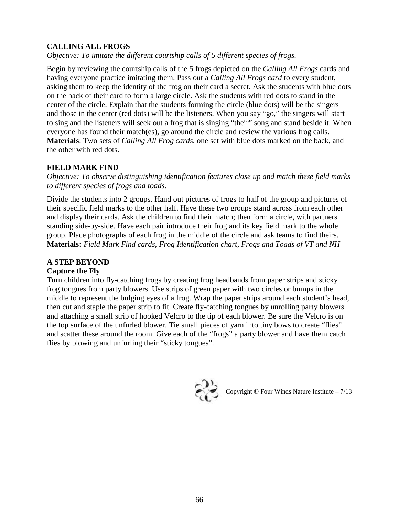# **CALLING ALL FROGS**

*Objective: To imitate the different courtship calls of 5 different species of frogs.* 

Begin by reviewing the courtship calls of the 5 frogs depicted on the *Calling All Frogs* cards and having everyone practice imitating them. Pass out a *Calling All Frogs card* to every student, asking them to keep the identity of the frog on their card a secret. Ask the students with blue dots on the back of their card to form a large circle. Ask the students with red dots to stand in the center of the circle. Explain that the students forming the circle (blue dots) will be the singers and those in the center (red dots) will be the listeners. When you say "go," the singers will start to sing and the listeners will seek out a frog that is singing "their" song and stand beside it. When everyone has found their match(es), go around the circle and review the various frog calls. **Materials**: Two sets of *Calling All Frog cards*, one set with blue dots marked on the back, and the other with red dots.

#### **FIELD MARK FIND**

*Objective: To observe distinguishing identification features close up and match these field marks to different species of frogs and toads.* 

Divide the students into 2 groups. Hand out pictures of frogs to half of the group and pictures of their specific field marks to the other half. Have these two groups stand across from each other and display their cards. Ask the children to find their match; then form a circle, with partners standing side-by-side. Have each pair introduce their frog and its key field mark to the whole group. Place photographs of each frog in the middle of the circle and ask teams to find theirs. **Materials:** *Field Mark Find cards, Frog Identification chart*, *Frogs and Toads of VT and NH* 

#### **A STEP BEYOND**

#### **Capture the Fly**

Turn children into fly-catching frogs by creating frog headbands from paper strips and sticky frog tongues from party blowers. Use strips of green paper with two circles or bumps in the middle to represent the bulging eyes of a frog. Wrap the paper strips around each student's head, then cut and staple the paper strip to fit. Create fly-catching tongues by unrolling party blowers and attaching a small strip of hooked Velcro to the tip of each blower. Be sure the Velcro is on the top surface of the unfurled blower. Tie small pieces of yarn into tiny bows to create "flies" and scatter these around the room. Give each of the "frogs" a party blower and have them catch flies by blowing and unfurling their "sticky tongues".



Copyright © Four Winds Nature Institute – 7/13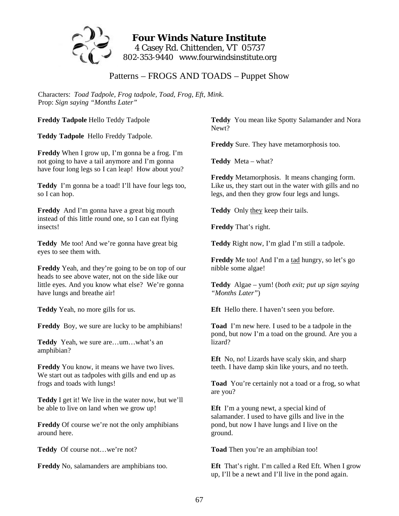

# **Four Winds Nature Institute**  4 Casey Rd. Chittenden, VT 05737 802-353-9440 www.fourwindsinstitute.org

Patterns – FROGS AND TOADS – Puppet Show

Characters: *Toad Tadpole, Frog tadpole, Toad, Frog, Eft, Mink*. Prop: *Sign saying "Months Later"* 

**Freddy Tadpole** Hello Teddy Tadpole

**Teddy Tadpole** Hello Freddy Tadpole.

**Freddy** When I grow up, I'm gonna be a frog. I'm not going to have a tail anymore and I'm gonna have four long legs so I can leap! How about you?

**Teddy** I'm gonna be a toad! I'll have four legs too, so I can hop.

**Freddy** And I'm gonna have a great big mouth instead of this little round one, so I can eat flying insects!

**Teddy** Me too! And we're gonna have great big eyes to see them with.

**Freddy** Yeah, and they're going to be on top of our heads to see above water, not on the side like our little eyes. And you know what else? We're gonna have lungs and breathe air!

**Teddy** Yeah, no more gills for us.

**Freddy** Boy, we sure are lucky to be amphibians!

**Teddy** Yeah, we sure are…um…what's an amphibian?

**Freddy** You know, it means we have two lives. We start out as tadpoles with gills and end up as frogs and toads with lungs!

**Teddy** I get it! We live in the water now, but we'll be able to live on land when we grow up!

**Freddy** Of course we're not the only amphibians around here.

**Teddy** Of course not…we're not?

**Freddy** No, salamanders are amphibians too.

**Teddy** You mean like Spotty Salamander and Nora Newt?

**Freddy** Sure. They have metamorphosis too.

**Teddy** Meta – what?

**Freddy** Metamorphosis. It means changing form. Like us, they start out in the water with gills and no legs, and then they grow four legs and lungs.

**Teddy** Only they keep their tails.

**Freddy** That's right.

**Teddy** Right now, I'm glad I'm still a tadpole.

Freddy Me too! And I'm a tad hungry, so let's go nibble some algae!

**Teddy** Algae – yum! (*both exit; put up sign saying "Months Later"*)

**Eft** Hello there. I haven't seen you before.

**Toad** I'm new here. I used to be a tadpole in the pond, but now I'm a toad on the ground. Are you a lizard?

**Eft** No, no! Lizards have scaly skin, and sharp teeth. I have damp skin like yours, and no teeth.

**Toad** You're certainly not a toad or a frog, so what are you?

**Eft** I'm a young newt, a special kind of salamander. I used to have gills and live in the pond, but now I have lungs and I live on the ground.

**Toad** Then you're an amphibian too!

**Eft** That's right. I'm called a Red Eft. When I grow up, I'll be a newt and I'll live in the pond again.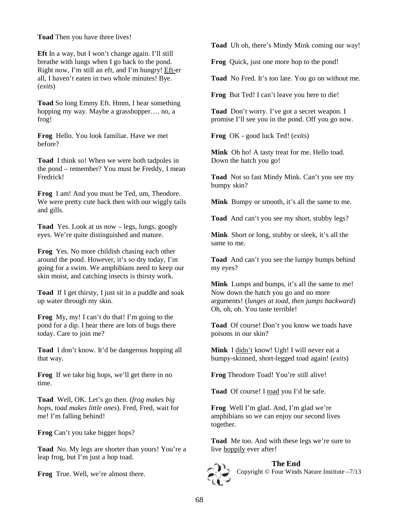**Toad** Then you have three lives!

**Eft** In a way, but I won't change again. I'll still breathe with lungs when I go back to the pond. Right now, I'm still an eft, and I'm hungry! Eft-er all, I haven't eaten in two whole minutes! Bye. (*exits*)

**Toad** So long Emmy Eft. Hmm, I hear something hopping my way. Maybe a grasshopper…. no, a frog!

**Frog** Hello. You look familiar. Have we met before?

**Toad** I think so! When we were both tadpoles in the pond – remember? You must be Freddy, I mean Fredrick!

**Frog** I am! And you must be Ted, um, Theodore. We were pretty cute back then with our wiggly tails and gills.

**Toad** Yes. Look at us now – legs, lungs, googly eyes. We're quite distinguished and mature.

**Frog** Yes. No more childish chasing each other around the pond. However, it's so dry today, I'm going for a swim. We amphibians need to keep our skin moist, and catching insects is thirsty work.

**Toad** If I get thirsty, I just sit in a puddle and soak up water through my skin.

**Frog** My, my! I can't do that! I'm going to the pond for a dip. I hear there are lots of bugs there today. Care to join me?

**Toad** I don't know. It'd be dangerous hopping all that way.

**Frog** If we take big hops, we'll get there in no time.

**Toad** Well, OK. Let's go then. (*frog makes big hops, toad makes little ones*). Fred, Fred, wait for me! I'm falling behind!

**Frog** Can't you take bigger hops?

**Toad** No. My legs are shorter than yours! You're a leap frog, but I'm just a hop toad.

**Frog** True. Well, we're almost there.

**Toad** Uh oh, there's Mindy Mink coming our way!

**Frog** Quick, just one more hop to the pond!

**Toad** No Fred. It's too late. You go on without me.

**Frog** But Ted! I can't leave you here to die!

**Toad** Don't worry. I've got a secret weapon. I promise I'll see you in the pond. Off you go now.

**Frog** OK - good luck Ted! (*exits*)

**Mink** Oh ho! A tasty treat for me. Hello toad. Down the hatch you go!

**Toad** Not so fast Mindy Mink. Can't you see my bumpy skin?

**Mink** Bumpy or smooth, it's all the same to me.

**Toad** And can't you see my short, stubby legs?

**Mink** Short or long, stubby or sleek, it's all the same to me.

**Toad** And can't you see the lumpy bumps behind my eyes?

**Mink** Lumps and bumps, it's all the same to me! Now down the hatch you go and no more arguments! (*lunges at toad, then jumps backward*) Oh, oh, oh. You taste terrible!

**Toad** Of course! Don't you know we toads have poisons in our skin?

**Mink** I didn't know! Ugh! I will never eat a bumpy-skinned, short-legged toad again! (*exits*)

**Frog** Theodore Toad! You're still alive!

**Toad** Of course! I toad you I'd be safe.

**Frog** Well I'm glad. And, I'm glad we're amphibians so we can enjoy our second lives together.

**Toad** Me too. And with these legs we're sure to live hoppily ever after!



**The End**  Copyright © Four Winds Nature Institute –7/13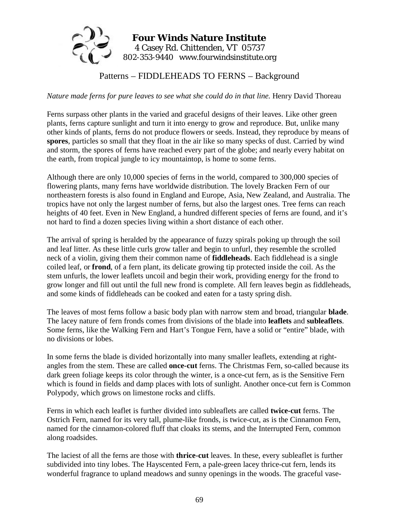

Patterns – FIDDLEHEADS TO FERNS – Background

*Nature made ferns for pure leaves to see what she could do in that line.* Henry David Thoreau

Ferns surpass other plants in the varied and graceful designs of their leaves. Like other green plants, ferns capture sunlight and turn it into energy to grow and reproduce. But, unlike many other kinds of plants, ferns do not produce flowers or seeds. Instead, they reproduce by means of **spores**, particles so small that they float in the air like so many specks of dust. Carried by wind and storm, the spores of ferns have reached every part of the globe; and nearly every habitat on the earth, from tropical jungle to icy mountaintop, is home to some ferns.

Although there are only 10,000 species of ferns in the world, compared to 300,000 species of flowering plants, many ferns have worldwide distribution. The lovely Bracken Fern of our northeastern forests is also found in England and Europe, Asia, New Zealand, and Australia. The tropics have not only the largest number of ferns, but also the largest ones. Tree ferns can reach heights of 40 feet. Even in New England, a hundred different species of ferns are found, and it's not hard to find a dozen species living within a short distance of each other.

The arrival of spring is heralded by the appearance of fuzzy spirals poking up through the soil and leaf litter. As these little curls grow taller and begin to unfurl, they resemble the scrolled neck of a violin, giving them their common name of **fiddleheads**. Each fiddlehead is a single coiled leaf, or **frond**, of a fern plant, its delicate growing tip protected inside the coil. As the stem unfurls, the lower leaflets uncoil and begin their work, providing energy for the frond to grow longer and fill out until the full new frond is complete. All fern leaves begin as fiddleheads, and some kinds of fiddleheads can be cooked and eaten for a tasty spring dish.

The leaves of most ferns follow a basic body plan with narrow stem and broad, triangular **blade**. The lacey nature of fern fronds comes from divisions of the blade into **leaflets** and **subleaflets**. Some ferns, like the Walking Fern and Hart's Tongue Fern, have a solid or "entire" blade, with no divisions or lobes.

In some ferns the blade is divided horizontally into many smaller leaflets, extending at rightangles from the stem. These are called **once-cut** ferns. The Christmas Fern, so-called because its dark green foliage keeps its color through the winter, is a once-cut fern, as is the Sensitive Fern which is found in fields and damp places with lots of sunlight. Another once-cut fern is Common Polypody, which grows on limestone rocks and cliffs.

Ferns in which each leaflet is further divided into subleaflets are called **twice-cut** ferns. The Ostrich Fern, named for its very tall, plume-like fronds, is twice-cut, as is the Cinnamon Fern, named for the cinnamon-colored fluff that cloaks its stems, and the Interrupted Fern, common along roadsides.

The laciest of all the ferns are those with **thrice-cut** leaves. In these, every subleaflet is further subdivided into tiny lobes. The Hayscented Fern, a pale-green lacey thrice-cut fern, lends its wonderful fragrance to upland meadows and sunny openings in the woods. The graceful vase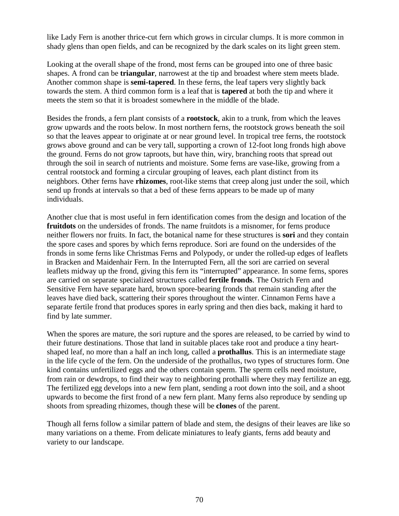like Lady Fern is another thrice-cut fern which grows in circular clumps. It is more common in shady glens than open fields, and can be recognized by the dark scales on its light green stem.

Looking at the overall shape of the frond, most ferns can be grouped into one of three basic shapes. A frond can be **triangular**, narrowest at the tip and broadest where stem meets blade. Another common shape is **semi-tapered**. In these ferns, the leaf tapers very slightly back towards the stem. A third common form is a leaf that is **tapered** at both the tip and where it meets the stem so that it is broadest somewhere in the middle of the blade.

Besides the fronds, a fern plant consists of a **rootstock**, akin to a trunk, from which the leaves grow upwards and the roots below. In most northern ferns, the rootstock grows beneath the soil so that the leaves appear to originate at or near ground level. In tropical tree ferns, the rootstock grows above ground and can be very tall, supporting a crown of 12-foot long fronds high above the ground. Ferns do not grow taproots, but have thin, wiry, branching roots that spread out through the soil in search of nutrients and moisture. Some ferns are vase-like, growing from a central rootstock and forming a circular grouping of leaves, each plant distinct from its neighbors. Other ferns have **rhizomes**, root-like stems that creep along just under the soil, which send up fronds at intervals so that a bed of these ferns appears to be made up of many individuals.

Another clue that is most useful in fern identification comes from the design and location of the **fruitdots** on the undersides of fronds. The name fruitdots is a misnomer, for ferns produce neither flowers nor fruits. In fact, the botanical name for these structures is **sori** and they contain the spore cases and spores by which ferns reproduce. Sori are found on the undersides of the fronds in some ferns like Christmas Ferns and Polypody, or under the rolled-up edges of leaflets in Bracken and Maidenhair Fern. In the Interrupted Fern, all the sori are carried on several leaflets midway up the frond, giving this fern its "interrupted" appearance. In some ferns, spores are carried on separate specialized structures called **fertile fronds**. The Ostrich Fern and Sensitive Fern have separate hard, brown spore-bearing fronds that remain standing after the leaves have died back, scattering their spores throughout the winter. Cinnamon Ferns have a separate fertile frond that produces spores in early spring and then dies back, making it hard to find by late summer.

When the spores are mature, the sori rupture and the spores are released, to be carried by wind to their future destinations. Those that land in suitable places take root and produce a tiny heartshaped leaf, no more than a half an inch long, called a **prothallus**. This is an intermediate stage in the life cycle of the fern. On the underside of the prothallus, two types of structures form. One kind contains unfertilized eggs and the others contain sperm. The sperm cells need moisture, from rain or dewdrops, to find their way to neighboring prothalli where they may fertilize an egg. The fertilized egg develops into a new fern plant, sending a root down into the soil, and a shoot upwards to become the first frond of a new fern plant. Many ferns also reproduce by sending up shoots from spreading rhizomes, though these will be **clones** of the parent.

Though all ferns follow a similar pattern of blade and stem, the designs of their leaves are like so many variations on a theme. From delicate miniatures to leafy giants, ferns add beauty and variety to our landscape.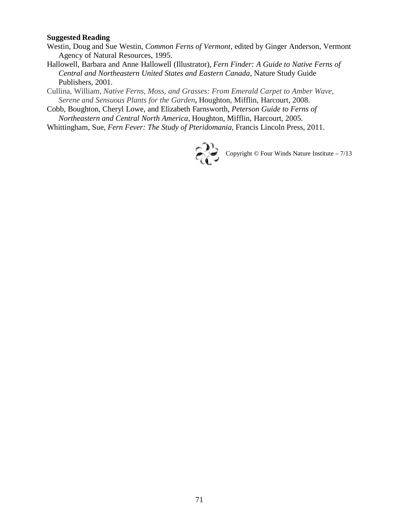#### **Suggested Reading**

- Westin, Doug and Sue Westin, *Common Ferns of Vermont*, edited by Ginger Anderson, Vermont Agency of Natural Resources, 1995.
- Hallowell, Barbara and Anne Hallowell (Illustrator), *Fern Finder: A Guide to Native Ferns of Central and Northeastern United States and Eastern Canada*, Nature Study Guide Publishers, 2001.
- Cullina, William, *Native Ferns, Moss, and Grasses: From Emerald Carpet to Amber Wave, Serene and Sensuous Plants for the Garden***,** Houghton, Mifflin, Harcourt, 2008.
- Cobb, Boughton, Cheryl Lowe, and Elizabeth Farnsworth, *Peterson Guide to Ferns of Northeastern and Central North America*, Houghton, Mifflin, Harcourt, 2005.
- Whittingham, Sue, *Fern Fever: The Study of Pteridomania*, Francis Lincoln Press, 2011.



Copyright © Four Winds Nature Institute – 7/13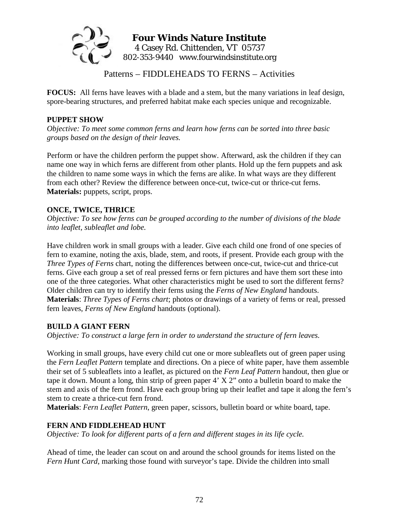

# **Four Winds Nature Institute**  4 Casey Rd. Chittenden, VT 05737 802-353-9440 www.fourwindsinstitute.org

Patterns – FIDDLEHEADS TO FERNS – Activities

**FOCUS:** All ferns have leaves with a blade and a stem, but the many variations in leaf design, spore-bearing structures, and preferred habitat make each species unique and recognizable.

#### **PUPPET SHOW**

*Objective: To meet some common ferns and learn how ferns can be sorted into three basic groups based on the design of their leaves.* 

Perform or have the children perform the puppet show. Afterward, ask the children if they can name one way in which ferns are different from other plants. Hold up the fern puppets and ask the children to name some ways in which the ferns are alike. In what ways are they different from each other? Review the difference between once-cut, twice-cut or thrice-cut ferns. **Materials:** puppets, script, props.

## **ONCE, TWICE, THRICE**

*Objective: To see how ferns can be grouped according to the number of divisions of the blade into leaflet, subleaflet and lobe.* 

Have children work in small groups with a leader. Give each child one frond of one species of fern to examine, noting the axis, blade, stem, and roots, if present. Provide each group with the *Three Types of Ferns* chart, noting the differences between once-cut, twice-cut and thrice-cut ferns. Give each group a set of real pressed ferns or fern pictures and have them sort these into one of the three categories. What other characteristics might be used to sort the different ferns? Older children can try to identify their ferns using the *Ferns of New England* handouts. **Materials**: *Three Types of Ferns chart*; photos or drawings of a variety of ferns or real, pressed fern leaves, *Ferns of New England* handouts (optional).

#### **BUILD A GIANT FERN**

*Objective: To construct a large fern in order to understand the structure of fern leaves.* 

Working in small groups, have every child cut one or more subleaflets out of green paper using the *Fern Leaflet Pattern* template and directions. On a piece of white paper, have them assemble their set of 5 subleaflets into a leaflet, as pictured on the *Fern Leaf Pattern* handout, then glue or tape it down. Mount a long, thin strip of green paper 4' X 2" onto a bulletin board to make the stem and axis of the fern frond. Have each group bring up their leaflet and tape it along the fern's stem to create a thrice-cut fern frond.

**Materials**: *Fern Leaflet Pattern*, green paper, scissors, bulletin board or white board, tape.

#### **FERN AND FIDDLEHEAD HUNT**

*Objective: To look for different parts of a fern and different stages in its life cycle.* 

Ahead of time, the leader can scout on and around the school grounds for items listed on the *Fern Hunt Card*, marking those found with surveyor's tape. Divide the children into small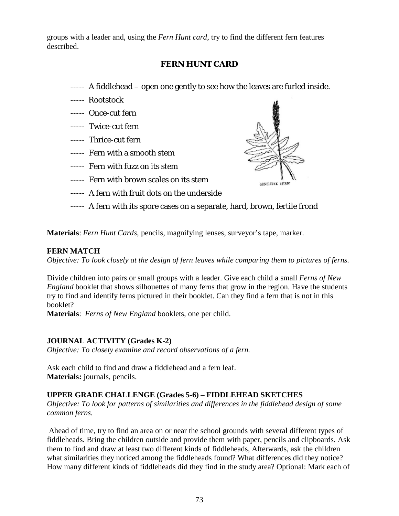groups with a leader and, using the *Fern Hunt card*, try to find the different fern features described.

## **FERN HUNT CARD**

- ----- A fiddlehead open one gently to see how the leaves are furled inside.
- ----- Rootstock
- ----- Once-cut fern
- ----- Twice-cut fern
- ----- Thrice-cut fern
- ----- Fern with a smooth stem
- ----- Fern with fuzz on its stem
- ----- Fern with brown scales on its stem
- ----- A fern with fruit dots on the underside
- ----- A fern with its spore cases on a separate, hard, brown, fertile frond

SENSITYVE IFRN

**Materials**: *Fern Hunt Cards*, pencils, magnifying lenses, surveyor's tape, marker.

#### **FERN MATCH**

*Objective: To look closely at the design of fern leaves while comparing them to pictures of ferns.* 

Divide children into pairs or small groups with a leader. Give each child a small *Ferns of New England* booklet that shows silhouettes of many ferns that grow in the region. Have the students try to find and identify ferns pictured in their booklet. Can they find a fern that is not in this booklet?

**Materials**: *Ferns of New England* booklets, one per child.

#### **JOURNAL ACTIVITY (Grades K-2)**

*Objective: To closely examine and record observations of a fern.* 

Ask each child to find and draw a fiddlehead and a fern leaf. **Materials:** journals, pencils.

#### **UPPER GRADE CHALLENGE (Grades 5-6) – FIDDLEHEAD SKETCHES**

*Objective: To look for patterns of similarities and differences in the fiddlehead design of some common ferns.* 

Ahead of time, try to find an area on or near the school grounds with several different types of fiddleheads. Bring the children outside and provide them with paper, pencils and clipboards. Ask them to find and draw at least two different kinds of fiddleheads, Afterwards, ask the children what similarities they noticed among the fiddleheads found? What differences did they notice? How many different kinds of fiddleheads did they find in the study area? Optional: Mark each of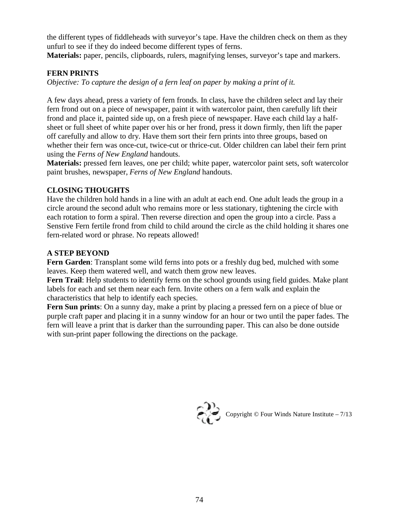the different types of fiddleheads with surveyor's tape. Have the children check on them as they unfurl to see if they do indeed become different types of ferns.

**Materials:** paper, pencils, clipboards, rulers, magnifying lenses, surveyor's tape and markers.

## **FERN PRINTS**

*Objective: To capture the design of a fern leaf on paper by making a print of it.* 

A few days ahead, press a variety of fern fronds. In class, have the children select and lay their fern frond out on a piece of newspaper, paint it with watercolor paint, then carefully lift their frond and place it, painted side up, on a fresh piece of newspaper. Have each child lay a halfsheet or full sheet of white paper over his or her frond, press it down firmly, then lift the paper off carefully and allow to dry. Have them sort their fern prints into three groups, based on whether their fern was once-cut, twice-cut or thrice-cut. Older children can label their fern print using the *Ferns of New England* handouts.

**Materials:** pressed fern leaves, one per child; white paper, watercolor paint sets, soft watercolor paint brushes, newspaper, *Ferns of New England* handouts.

## **CLOSING THOUGHTS**

Have the children hold hands in a line with an adult at each end. One adult leads the group in a circle around the second adult who remains more or less stationary, tightening the circle with each rotation to form a spiral. Then reverse direction and open the group into a circle. Pass a Senstive Fern fertile frond from child to child around the circle as the child holding it shares one fern-related word or phrase. No repeats allowed!

## **A STEP BEYOND**

**Fern Garden**: Transplant some wild ferns into pots or a freshly dug bed, mulched with some leaves. Keep them watered well, and watch them grow new leaves.

**Fern Trail**: Help students to identify ferns on the school grounds using field guides. Make plant labels for each and set them near each fern. Invite others on a fern walk and explain the characteristics that help to identify each species.

**Fern Sun prints**: On a sunny day, make a print by placing a pressed fern on a piece of blue or purple craft paper and placing it in a sunny window for an hour or two until the paper fades. The fern will leave a print that is darker than the surrounding paper. This can also be done outside with sun-print paper following the directions on the package.



Copyright © Four Winds Nature Institute –  $7/13$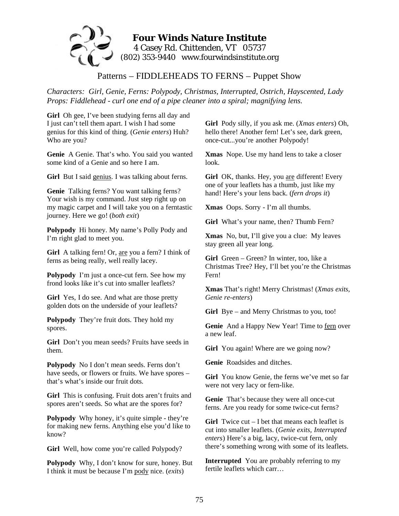

Patterns – FIDDLEHEADS TO FERNS – Puppet Show

*Characters: Girl, Genie, Ferns: Polypody, Christmas, Interrupted, Ostrich, Hayscented, Lady Props: Fiddlehead - curl one end of a pipe cleaner into a spiral; magnifying lens.* 

Girl Oh gee, I've been studying ferns all day and I just can't tell them apart. I wish I had some genius for this kind of thing. (*Genie enters*) Huh? Who are you?

**Genie** A Genie. That's who. You said you wanted some kind of a Genie and so here I am.

**Girl** But I said genius. I was talking about ferns.

**Genie** Talking ferns? You want talking ferns? Your wish is my command. Just step right up on my magic carpet and I will take you on a ferntastic journey. Here we go! (*both exit*)

**Polypody** Hi honey. My name's Polly Pody and I'm right glad to meet you.

**Girl** A talking fern! Or, are you a fern? I think of ferns as being really, well really lacey.

**Polypody** I'm just a once-cut fern. See how my frond looks like it's cut into smaller leaflets?

**Girl** Yes, I do see. And what are those pretty golden dots on the underside of your leaflets?

**Polypody** They're fruit dots. They hold my spores.

Girl Don't you mean seeds? Fruits have seeds in them.

**Polypody** No I don't mean seeds. Ferns don't have seeds, or flowers or fruits. We have spores – that's what's inside our fruit dots.

**Girl** This is confusing. Fruit dots aren't fruits and spores aren't seeds. So what are the spores for?

**Polypody** Why honey, it's quite simple - they're for making new ferns. Anything else you'd like to know?

Girl Well, how come you're called Polypody?

**Polypody** Why, I don't know for sure, honey. But I think it must be because I'm pody nice. (*exits*)

**Girl** Pody silly, if you ask me. (*Xmas enters*) Oh, hello there! Another fern! Let's see, dark green, once-cut...you're another Polypody!

**Xmas** Nope. Use my hand lens to take a closer look.

Girl OK, thanks. Hey, you are different! Every one of your leaflets has a thumb, just like my hand! Here's your lens back. (*fern drops it*)

**Xmas** Oops. Sorry - I'm all thumbs.

**Girl** What's your name, then? Thumb Fern?

**Xmas** No, but, I'll give you a clue: My leaves stay green all year long.

**Girl** Green – Green? In winter, too, like a Christmas Tree? Hey, I'll bet you're the Christmas Fern!

**Xmas** That's right! Merry Christmas! (*Xmas exits, Genie re-enters*)

**Girl** Bye – and Merry Christmas to you, too!

Genie And a Happy New Year! Time to fern over a new leaf.

Girl You again! Where are we going now?

**Genie** Roadsides and ditches.

**Girl** You know Genie, the ferns we've met so far were not very lacy or fern-like.

**Genie** That's because they were all once-cut ferns. Are you ready for some twice-cut ferns?

**Girl** Twice cut – I bet that means each leaflet is cut into smaller leaflets. (*Genie exits, Interrupted enters*) Here's a big, lacy, twice-cut fern, only there's something wrong with some of its leaflets.

**Interrupted** You are probably referring to my fertile leaflets which carr…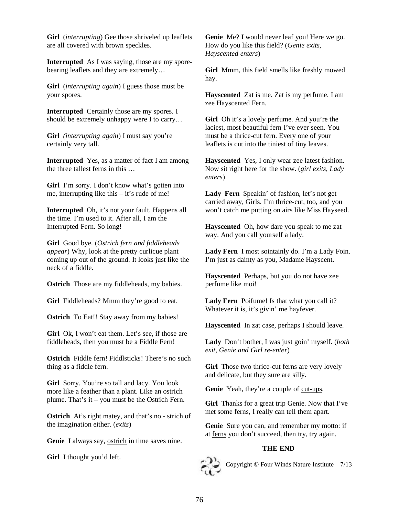**Girl** (*interrupting*) Gee those shriveled up leaflets are all covered with brown speckles.

**Interrupted** As I was saying, those are my sporebearing leaflets and they are extremely…

**Girl** (*interrupting again*) I guess those must be your spores.

**Interrupted** Certainly those are my spores. I should be extremely unhappy were I to carry…

**Girl** *(interrupting again*) I must say you're certainly very tall.

**Interrupted** Yes, as a matter of fact I am among the three tallest ferns in this …

**Girl** I'm sorry. I don't know what's gotten into me, interrupting like this – it's rude of me!

**Interrupted** Oh, it's not your fault. Happens all the time. I'm used to it. After all, I am the Interrupted Fern. So long!

**Girl** Good bye. (*Ostrich fern and fiddleheads appear*) Why, look at the pretty curlicue plant coming up out of the ground. It looks just like the neck of a fiddle.

**Ostrich** Those are my fiddleheads, my babies.

**Girl** Fiddleheads? Mmm they're good to eat.

**Ostrich** To Eat!! Stay away from my babies!

Girl Ok, I won't eat them. Let's see, if those are fiddleheads, then you must be a Fiddle Fern!

**Ostrich** Fiddle fern! Fiddlsticks! There's no such thing as a fiddle fern.

**Girl** Sorry. You're so tall and lacy. You look more like a feather than a plant. Like an ostrich plume. That's it – you must be the Ostrich Fern.

**Ostrich** At's right matey, and that's no - strich of the imagination either. (*exits*)

Genie I always say, ostrich in time saves nine.

**Girl** I thought you'd left.

**Genie** Me? I would never leaf you! Here we go. How do you like this field? (*Genie exits, Hayscented enters*)

**Girl** Mmm, this field smells like freshly mowed hay.

**Hayscented** Zat is me. Zat is my perfume. I am zee Hayscented Fern.

**Girl** Oh it's a lovely perfume. And you're the laciest, most beautiful fern I've ever seen. You must be a thrice-cut fern. Every one of your leaflets is cut into the tiniest of tiny leaves.

**Hayscented** Yes, I only wear zee latest fashion. Now sit right here for the show. (*girl exits, Lady enters*)

**Lady Fern** Speakin' of fashion, let's not get carried away, Girls. I'm thrice-cut, too, and you won't catch me putting on airs like Miss Hayseed.

**Hayscented** Oh, how dare you speak to me zat way. And you call yourself a lady.

**Lady Fern** I most sointainly do. I'm a Lady Foin. I'm just as dainty as you, Madame Hayscent.

**Hayscented** Perhaps, but you do not have zee perfume like moi!

**Lady Fern** Poifume! Is that what you call it? Whatever it is, it's givin' me hayfever.

**Hayscented** In zat case, perhaps I should leave.

**Lady** Don't bother, I was just goin' myself. (*both exit, Genie and Girl re-enter*)

**Girl** Those two thrice-cut ferns are very lovely and delicate, but they sure are silly.

**Genie** Yeah, they're a couple of cut-ups.

**Girl** Thanks for a great trip Genie. Now that I've met some ferns, I really can tell them apart.

**Genie** Sure you can, and remember my motto: if at ferns you don't succeed, then try, try again.

#### **THE END**



Copyright © Four Winds Nature Institute – 7/13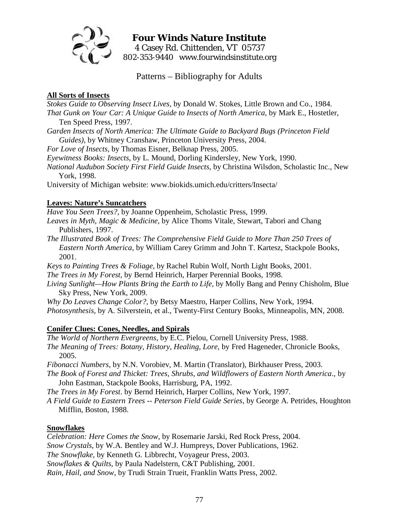

# **Four Winds Nature Institute**  4 Casey Rd. Chittenden, VT 05737 802-353-9440 www.fourwindsinstitute.org

Patterns – Bibliography for Adults

### **All Sorts of Insects**

*Stokes Guide to Observing Insect Lives,* by Donald W. Stokes, Little Brown and Co., 1984. *That Gunk on Your Car: A Unique Guide to Insects of North America,* by Mark E., Hostetler, Ten Speed Press, 1997.

*Garden Insects of North America: The Ultimate Guide to Backyard Bugs (Princeton Field Guides),* by Whitney Cranshaw, Princeton University Press, 2004.

*For Love of Insects,* by Thomas Eisner, Belknap Press, 2005.

*Eyewitness Books: Insects*, by L. Mound, Dorling Kindersley, New York, 1990.

*National Audubon Society First Field Guide Insects,* by Christina Wilsdon, Scholastic Inc., New York, 1998.

University of Michigan website: www.biokids.umich.edu/critters/Insecta/

## **Leaves: Nature's Suncatchers**

*Have You Seen Trees?*, by Joanne Oppenheim, Scholastic Press, 1999.

*Leaves in Myth, Magic & Medicine*, by Alice Thoms Vitale, Stewart, Tabori and Chang Publishers, 1997.

*The Illustrated Book of Trees: The Comprehensive Field Guide to More Than 250 Trees of Eastern North America*, by William Carey Grimm and John T. Kartesz, Stackpole Books, 2001.

*Keys to Painting Trees & Foliage*, by Rachel Rubin Wolf, North Light Books, 2001.

*The Trees in My Forest,* by Bernd Heinrich, Harper Perennial Books, 1998.

*Living Sunlight—How Plants Bring the Earth to Life,* by Molly Bang and Penny Chisholm, Blue Sky Press, New York, 2009.

*Why Do Leaves Change Color?,* by Betsy Maestro, Harper Collins, New York, 1994. *Photosynthesis,* by A. Silverstein, et al., Twenty-First Century Books, Minneapolis, MN, 2008.

#### **Conifer Clues: Cones, Needles, and Spirals**

*The World of Northern Evergreens*, by E.C. Pielou, Cornell University Press, 1988. *The Meaning of Trees: Botany, History, Healing, Lore*, by Fred Hageneder, Chronicle Books, 2005.

*Fibonacci Numbers*, by N.N. Vorobiev, M. Martin (Translator), Birkhauser Press, 2003.

*The Book of Forest and Thicket: Trees, Shrubs, and Wildflowers of Eastern North America*., by John Eastman, Stackpole Books, Harrisburg, PA, 1992.

*The Trees in My Forest*. by Bernd Heinrich, Harper Collins, New York, 1997.

*A Field Guide to Eastern Trees -- Peterson Field Guide Series*, by George A. Petrides, Houghton Mifflin, Boston, 1988.

## **Snowflakes**

*Celebration: Here Comes the Snow*, by Rosemarie Jarski, Red Rock Press, 2004. *Snow Crystals*, by W.A. Bentley and W.J. Humpreys, Dover Publications, 1962. *The Snowflake*, by Kenneth G. Libbrecht, Voyageur Press, 2003. *Snowflakes & Quilts*, by Paula Nadelstern, C&T Publishing, 2001. *Rain, Hail, and Snow*, by Trudi Strain Trueit, Franklin Watts Press, 2002.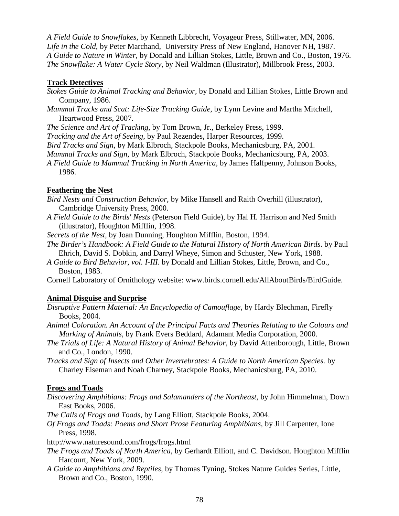*A Field Guide to Snowflakes,* by Kenneth Libbrecht, Voyageur Press, Stillwater, MN, 2006. *Life in the Cold*, by Peter Marchand, University Press of New England, Hanover NH, 1987. *A Guide to Nature in Winter*, by Donald and Lillian Stokes, Little, Brown and Co., Boston, 1976. *The Snowflake: A Water Cycle Story*, by Neil Waldman (Illustrator), Millbrook Press, 2003.

#### **Track Detectives**

- *Stokes Guide to Animal Tracking and Behavior*, by Donald and Lillian Stokes, Little Brown and Company, 1986.
- *Mammal Tracks and Scat: Life-Size Tracking Guide*, by Lynn Levine and Martha Mitchell, Heartwood Press, 2007.

*The Science and Art of Tracking*, by Tom Brown, Jr., Berkeley Press, 1999.

*Tracking and the Art of Seeing*, by Paul Rezendes, Harper Resources, 1999.

*Bird Tracks and Sign*, by Mark Elbroch, Stackpole Books, Mechanicsburg, PA, 2001.

*Mammal Tracks and Sign*, by Mark Elbroch, Stackpole Books, Mechanicsburg, PA, 2003.

*A Field Guide to Mammal Tracking in North America*, by James Halfpenny, Johnson Books, 1986.

#### **Feathering the Nest**

- *Bird Nests and Construction Behavior*, by Mike Hansell and Raith Overhill (illustrator), Cambridge University Press, 2000.
- *A Field Guide to the Birds' Nests* (Peterson Field Guide), by Hal H. Harrison and Ned Smith (illustrator), Houghton Mifflin, 1998.
- *Secrets of the Nest*, by Joan Dunning, Houghton Mifflin, Boston, 1994.
- *The Birder's Handbook: A Field Guide to the Natural History of North American Birds*. by Paul Ehrich, David S. Dobkin, and Darryl Wheye, Simon and Schuster, New York, 1988.
- *A Guide to Bird Behavior, vol. I-III*. by Donald and Lillian Stokes, Little, Brown, and Co., Boston, 1983.

Cornell Laboratory of Ornithology website: www.birds.cornell.edu/AllAboutBirds/BirdGuide.

### **Animal Disguise and Surprise**

- *Disruptive Pattern Material: An Encyclopedia of Camouflage*, by Hardy Blechman, Firefly Books, 2004.
- *Animal Coloration. An Account of the Principal Facts and Theories Relating to the Colours and Marking of Animals*, by Frank Evers Beddard, Adamant Media Corporation, 2000.
- *The Trials of Life: A Natural History of Animal Behavior,* by David Attenborough, Little, Brown and Co., London, 1990.
- *Tracks and Sign of Insects and Other Invertebrates: A Guide to North American Species.* by Charley Eiseman and Noah Charney, Stackpole Books, Mechanicsburg, PA, 2010.

#### **Frogs and Toads**

- *Discovering Amphibians: Frogs and Salamanders of the Northeast*, by John Himmelman, Down East Books, 2006.
- *The Calls of Frogs and Toads*, by Lang Elliott, Stackpole Books, 2004.
- *Of Frogs and Toads: Poems and Short Prose Featuring Amphibians*, by Jill Carpenter, Ione Press, 1998.
- http://www.naturesound.com/frogs/frogs.html
- *The Frogs and Toads of North America*, by Gerhardt Elliott, and C. Davidson. Houghton Mifflin Harcourt, New York, 2009.
- *A Guide to Amphibians and Reptiles*, by Thomas Tyning, Stokes Nature Guides Series, Little, Brown and Co., Boston, 1990.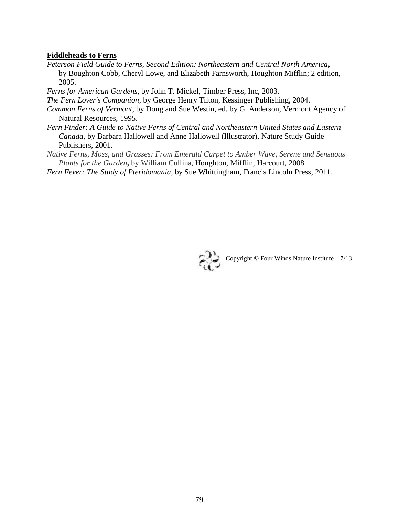#### **Fiddleheads to Ferns**

- *Peterson Field Guide to Ferns, Second Edition: Northeastern and Central North America***,** by Boughton Cobb, Cheryl Lowe, and Elizabeth Farnsworth, Houghton Mifflin; 2 edition, 2005.
- *Ferns for American Gardens*, by John T. Mickel, Timber Press, Inc, 2003.

*The Fern Lover's Companion*, by George Henry Tilton, Kessinger Publishing, 2004.

- *Common Ferns of Vermont*, by Doug and Sue Westin, ed. by G. Anderson, Vermont Agency of Natural Resources, 1995.
- *Fern Finder: A Guide to Native Ferns of Central and Northeastern United States and Eastern Canada*, by Barbara Hallowell and Anne Hallowell (Illustrator), Nature Study Guide Publishers, 2001.
- *Native Ferns, Moss, and Grasses: From Emerald Carpet to Amber Wave, Serene and Sensuous Plants for the Garden***,** by William Cullina, Houghton, Mifflin, Harcourt, 2008.

*Fern Fever: The Study of Pteridomania*, by Sue Whittingham, Francis Lincoln Press, 2011.



Copyright  $\odot$  Four Winds Nature Institute – 7/13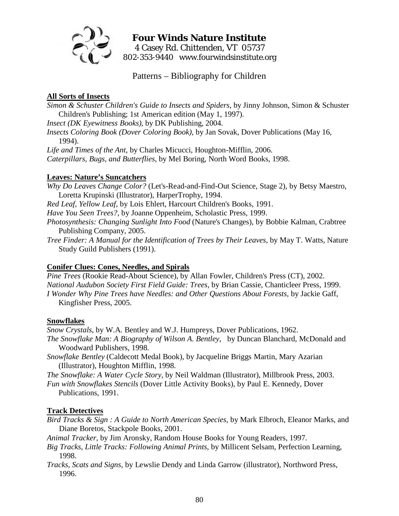

# **Four Winds Nature Institute**  4 Casey Rd. Chittenden, VT 05737 802-353-9440 www.fourwindsinstitute.org

Patterns – Bibliography for Children

## **All Sorts of Insects**

*Simon & Schuster Children's Guide to Insects and Spiders*, by Jinny Johnson, Simon & Schuster Children's Publishing; 1st American edition (May 1, 1997).

*Insect (DK Eyewitness Books)*, by DK Publishing, 2004.

*Insects Coloring Book (Dover Coloring Book)*, by Jan Sovak, Dover Publications (May 16, 1994).

*Life and Times of the Ant*, by Charles Micucci, Houghton-Mifflin, 2006.

*Caterpillars, Bugs, and Butterflies*, by Mel Boring, North Word Books, 1998.

## **Leaves: Nature's Suncatchers**

*Why Do Leaves Change Color?* (Let's-Read-and-Find-Out Science, Stage 2), by Betsy Maestro, Loretta Krupinski (Illustrator), HarperTrophy, 1994.

*Red Leaf, Yellow Leaf*, by Lois Ehlert, Harcourt Children's Books, 1991.

*Have You Seen Trees?*, by Joanne Oppenheim, Scholastic Press, 1999.

*Photosynthesis: Changing Sunlight Into Food* (Nature's Changes), by Bobbie Kalman, Crabtree Publishing Company, 2005.

*Tree Finder: A Manual for the Identification of Trees by Their Leaves*, by May T. Watts, Nature Study Guild Publishers (1991).

## **Conifer Clues: Cones, Needles, and Spirals**

*Pine Trees* (Rookie Read-About Science), by Allan Fowler, Children's Press (CT), 2002. *National Audubon Society First Field Guide: Trees*, by Brian Cassie, Chanticleer Press, 1999. *I Wonder Why Pine Trees have Needles: and Other Questions About Forests*, by Jackie Gaff, Kingfisher Press, 2005.

## **Snowflakes**

*Snow Crystals*, by W.A. Bentley and W.J. Humpreys, Dover Publications, 1962.

*The Snowflake Man: A Biography of Wilson A. Bentley*, by Duncan Blanchard, McDonald and Woodward Publishers, 1998.

*Snowflake Bentley* (Caldecott Medal Book), by Jacqueline Briggs Martin, Mary Azarian (Illustrator), Houghton Mifflin, 1998.

*The Snowflake: A Water Cycle Story*, by Neil Waldman (Illustrator), Millbrook Press, 2003.

*Fun with Snowflakes Stencils* (Dover Little Activity Books), by Paul E. Kennedy, Dover Publications, 1991.

## **Track Detectives**

*Bird Tracks & Sign : A Guide to North American Species*, by Mark Elbroch, Eleanor Marks, and Diane Boretos, Stackpole Books, 2001.

*Animal Tracker*, by Jim Aronsky, Random House Books for Young Readers, 1997.

- *Big Tracks, Little Tracks: Following Animal Prints*, by Millicent Selsam, Perfection Learning, 1998.
- *Tracks, Scats and Signs*, by Lewslie Dendy and Linda Garrow (illustrator), Northword Press, 1996.